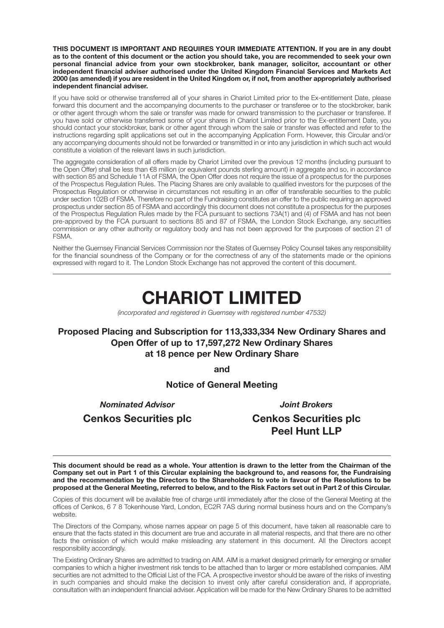**THIS DOCUMENT IS IMPORTANT AND REQUIRES YOUR IMMEDIATE ATTENTION. If you are in any doubt as to the content of this document or the action you should take, you are recommended to seek your own personal financial advice from your own stockbroker, bank manager, solicitor, accountant or other independent financial adviser authorised under the United Kingdom Financial Services and Markets Act 2000 (as amended) if you are resident in the United Kingdom or, if not, from another appropriately authorised independent financial adviser.**

If you have sold or otherwise transferred all of your shares in Chariot Limited prior to the Ex-entitlement Date, please forward this document and the accompanying documents to the purchaser or transferee or to the stockbroker, bank or other agent through whom the sale or transfer was made for onward transmission to the purchaser or transferee. If you have sold or otherwise transferred some of your shares in Chariot Limited prior to the Ex-entitlement Date, you should contact your stockbroker, bank or other agent through whom the sale or transfer was effected and refer to the instructions regarding split applications set out in the accompanying Application Form. However, this Circular and/or any accompanying documents should not be forwarded or transmitted in or into any jurisdiction in which such act would constitute a violation of the relevant laws in such jurisdiction.

The aggregate consideration of all offers made by Chariot Limited over the previous 12 months (including pursuant to the Open Offer) shall be less than €8 million (or equivalent pounds sterling amount) in aggregate and so, in accordance with section 85 and Schedule 11A of FSMA, the Open Offer does not require the issue of a prospectus for the purposes of the Prospectus Regulation Rules. The Placing Shares are only available to qualified investors for the purposes of the Prospectus Regulation or otherwise in circumstances not resulting in an offer of transferable securities to the public under section 102B of FSMA. Therefore no part of the Fundraising constitutes an offer to the public requiring an approved prospectus under section 85 of FSMA and accordingly this document does not constitute a prospectus for the purposes of the Prospectus Regulation Rules made by the FCA pursuant to sections 73A(1) and (4) of FSMA and has not been pre-approved by the FCA pursuant to sections 85 and 87 of FSMA, the London Stock Exchange, any securities commission or any other authority or regulatory body and has not been approved for the purposes of section 21 of FSMA.

Neither the Guernsey Financial Services Commission nor the States of Guernsey Policy Counsel takes any responsibility for the financial soundness of the Company or for the correctness of any of the statements made or the opinions expressed with regard to it. The London Stock Exchange has not approved the content of this document.

# **CHARIOT LIMITED**

(incorporated and registered in Guernsey with registered number 47532)

### **Proposed Placing and Subscription for 113,333,334 New Ordinary Shares and Open Offer of up to 17,597,272 New Ordinary Shares at 18 pence per New Ordinary Share**

**and**

#### **Notice of General Meeting**

 *Nominated Advisor Joint Brokers*  **Cenkos Securities plc Cenkos Securities plc**

 **Peel Hunt LLP**

**This document should be read as a whole. Your attention is drawn to the letter from the Chairman of the Company set out in Part 1 of this Circular explaining the background to, and reasons for, the Fundraising and the recommendation by the Directors to the Shareholders to vote in favour of the Resolutions to be proposed at the General Meeting, referred to below, and to the Risk Factors set out in Part 2 of this Circular.**

Copies of this document will be available free of charge until immediately after the close of the General Meeting at the offices of Cenkos, 6 7 8 Tokenhouse Yard, London, EC2R 7AS during normal business hours and on the Company's website.

The Directors of the Company, whose names appear on page 5 of this document, have taken all reasonable care to ensure that the facts stated in this document are true and accurate in all material respects, and that there are no other facts the omission of which would make misleading any statement in this document. All the Directors accept responsibility accordingly.

The Existing Ordinary Shares are admitted to trading on AIM. AIM is a market designed primarily for emerging or smaller companies to which a higher investment risk tends to be attached than to larger or more established companies. AIM securities are not admitted to the Official List of the FCA. A prospective investor should be aware of the risks of investing in such companies and should make the decision to invest only after careful consideration and, if appropriate, consultation with an independent financial adviser. Application will be made for the New Ordinary Shares to be admitted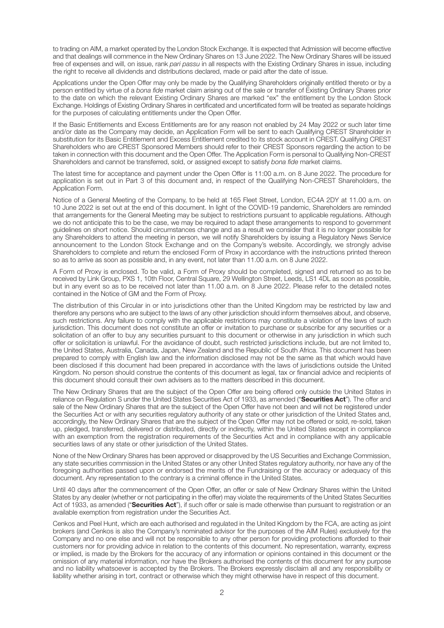to trading on AIM, a market operated by the London Stock Exchange. It is expected that Admission will become effective and that dealings will commence in the New Ordinary Shares on 13 June 2022. The New Ordinary Shares will be issued free of expenses and will, on issue, rank pari passu in all respects with the Existing Ordinary Shares in issue, including the right to receive all dividends and distributions declared, made or paid after the date of issue.

Applications under the Open Offer may only be made by the Qualifying Shareholders originally entitled thereto or by a person entitled by virtue of a bona fide market claim arising out of the sale or transfer of Existing Ordinary Shares prior to the date on which the relevant Existing Ordinary Shares are marked "ex" the entitlement by the London Stock Exchange. Holdings of Existing Ordinary Shares in certificated and uncertificated form will be treated as separate holdings for the purposes of calculating entitlements under the Open Offer.

If the Basic Entitlements and Excess Entitlements are for any reason not enabled by 24 May 2022 or such later time and/or date as the Company may decide, an Application Form will be sent to each Qualifying CREST Shareholder in substitution for its Basic Entitlement and Excess Entitlement credited to its stock account in CREST. Qualifying CREST Shareholders who are CREST Sponsored Members should refer to their CREST Sponsors regarding the action to be taken in connection with this document and the Open Offer. The Application Form is personal to Qualifying Non-CREST Shareholders and cannot be transferred, sold, or assigned except to satisfy bona fide market claims.

The latest time for acceptance and payment under the Open Offer is 11:00 a.m. on 8 June 2022. The procedure for application is set out in Part 3 of this document and, in respect of the Qualifying Non-CREST Shareholders, the Application Form.

Notice of a General Meeting of the Company, to be held at 165 Fleet Street, London, EC4A 2DY at 11.00 a.m. on 10 June 2022 is set out at the end of this document. In light of the COVID-19 pandemic, Shareholders are reminded that arrangements for the General Meeting may be subject to restrictions pursuant to applicable regulations. Although we do not anticipate this to be the case, we may be required to adapt these arrangements to respond to government guidelines on short notice. Should circumstances change and as a result we consider that it is no longer possible for any Shareholders to attend the meeting in person, we will notify Shareholders by issuing a Regulatory News Service announcement to the London Stock Exchange and on the Company's website. Accordingly, we strongly advise Shareholders to complete and return the enclosed Form of Proxy in accordance with the instructions printed thereon so as to arrive as soon as possible and, in any event, not later than 11.00 a.m. on 8 June 2022.

A Form of Proxy is enclosed. To be valid, a Form of Proxy should be completed, signed and returned so as to be received by Link Group, PXS 1, 10th Floor, Central Square, 29 Wellington Street, Leeds, LS1 4DL as soon as possible, but in any event so as to be received not later than 11.00 a.m. on 8 June 2022. Please refer to the detailed notes contained in the Notice of GM and the Form of Proxy.

The distribution of this Circular in or into jurisdictions other than the United Kingdom may be restricted by law and therefore any persons who are subject to the laws of any other jurisdiction should inform themselves about, and observe, such restrictions. Any failure to comply with the applicable restrictions may constitute a violation of the laws of such jurisdiction. This document does not constitute an offer or invitation to purchase or subscribe for any securities or a solicitation of an offer to buy any securities pursuant to this document or otherwise in any jurisdiction in which such offer or solicitation is unlawful. For the avoidance of doubt, such restricted jurisdictions include, but are not limited to, the United States, Australia, Canada, Japan, New Zealand and the Republic of South Africa. This document has been prepared to comply with English law and the information disclosed may not be the same as that which would have been disclosed if this document had been prepared in accordance with the laws of jurisdictions outside the United Kingdom. No person should construe the contents of this document as legal, tax or financial advice and recipients of this document should consult their own advisers as to the matters described in this document.

The New Ordinary Shares that are the subject of the Open Offer are being offered only outside the United States in reliance on Regulation S under the United States Securities Act of 1933, as amended ("**Securities Act**"). The offer and sale of the New Ordinary Shares that are the subject of the Open Offer have not been and will not be registered under the Securities Act or with any securities regulatory authority of any state or other jurisdiction of the United States and, accordingly, the New Ordinary Shares that are the subject of the Open Offer may not be offered or sold, re-sold, taken up, pledged, transferred, delivered or distributed, directly or indirectly, within the United States except in compliance with an exemption from the registration requirements of the Securities Act and in compliance with any applicable securities laws of any state or other jurisdiction of the United States.

None of the New Ordinary Shares has been approved or disapproved by the US Securities and Exchange Commission, any state securities commission in the United States or any other United States regulatory authority, nor have any of the foregoing authorities passed upon or endorsed the merits of the Fundraising or the accuracy or adequacy of this document. Any representation to the contrary is a criminal offence in the United States.

Until 40 days after the commencement of the Open Offer, an offer or sale of New Ordinary Shares within the United States by any dealer (whether or not participating in the offer) may violate the requirements of the United States Securities Act of 1933, as amended ("**Securities Act**"), if such offer or sale is made otherwise than pursuant to registration or an available exemption from registration under the Securities Act.

Cenkos and Peel Hunt, which are each authorised and regulated in the United Kingdom by the FCA, are acting as joint brokers (and Cenkos is also the Company's nominated advisor for the purposes of the AIM Rules) exclusively for the Company and no one else and will not be responsible to any other person for providing protections afforded to their customers nor for providing advice in relation to the contents of this document. No representation, warranty, express or implied, is made by the Brokers for the accuracy of any information or opinions contained in this document or the omission of any material information, nor have the Brokers authorised the contents of this document for any purpose and no liability whatsoever is accepted by the Brokers. The Brokers expressly disclaim all and any responsibility or liability whether arising in tort, contract or otherwise which they might otherwise have in respect of this document.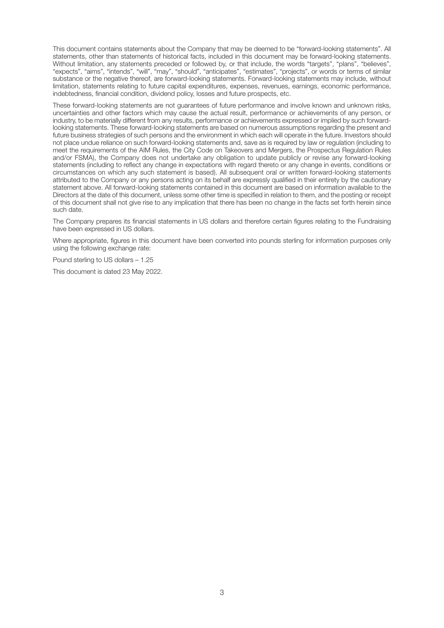This document contains statements about the Company that may be deemed to be "forward-looking statements". All statements, other than statements of historical facts, included in this document may be forward-looking statements. Without limitation, any statements preceded or followed by, or that include, the words "targets", "plans", "believes", "expects", "aims", "intends", "will", "may", "should", "anticipates", "estimates", "projects", or words or terms of similar substance or the negative thereof, are forward-looking statements. Forward-looking statements may include, without limitation, statements relating to future capital expenditures, expenses, revenues, earnings, economic performance, indebtedness, financial condition, dividend policy, losses and future prospects, etc.

These forward-looking statements are not guarantees of future performance and involve known and unknown risks, uncertainties and other factors which may cause the actual result, performance or achievements of any person, or industry, to be materially different from any results, performance or achievements expressed or implied by such forwardlooking statements. These forward-looking statements are based on numerous assumptions regarding the present and future business strategies of such persons and the environment in which each will operate in the future. Investors should not place undue reliance on such forward-looking statements and, save as is required by law or regulation (including to meet the requirements of the AIM Rules, the City Code on Takeovers and Mergers, the Prospectus Regulation Rules and/or FSMA), the Company does not undertake any obligation to update publicly or revise any forward-looking statements (including to reflect any change in expectations with regard thereto or any change in events, conditions or circumstances on which any such statement is based). All subsequent oral or written forward-looking statements attributed to the Company or any persons acting on its behalf are expressly qualified in their entirety by the cautionary statement above. All forward-looking statements contained in this document are based on information available to the Directors at the date of this document, unless some other time is specified in relation to them, and the posting or receipt of this document shall not give rise to any implication that there has been no change in the facts set forth herein since such date.

The Company prepares its financial statements in US dollars and therefore certain figures relating to the Fundraising have been expressed in US dollars.

Where appropriate, figures in this document have been converted into pounds sterling for information purposes only using the following exchange rate:

Pound sterling to US dollars – 1.25

This document is dated 23 May 2022.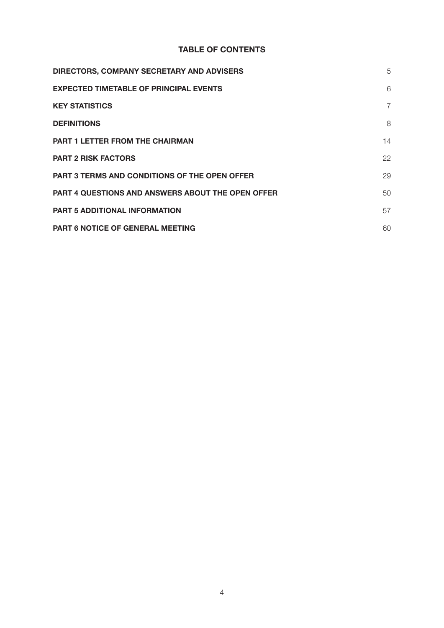# **TABLE OF CONTENTS**

| <b>DIRECTORS, COMPANY SECRETARY AND ADVISERS</b>         | 5              |
|----------------------------------------------------------|----------------|
| <b>EXPECTED TIMETABLE OF PRINCIPAL EVENTS</b>            | 6              |
| <b>KEY STATISTICS</b>                                    | $\overline{7}$ |
| <b>DEFINITIONS</b>                                       | 8              |
| <b>PART 1 LETTER FROM THE CHAIRMAN</b>                   | 14             |
| <b>PART 2 RISK FACTORS</b>                               | 22             |
| <b>PART 3 TERMS AND CONDITIONS OF THE OPEN OFFER</b>     | 29             |
| <b>PART 4 QUESTIONS AND ANSWERS ABOUT THE OPEN OFFER</b> | 50             |
| <b>PART 5 ADDITIONAL INFORMATION</b>                     | 57             |
| <b>PART 6 NOTICE OF GENERAL MEETING</b>                  | 60             |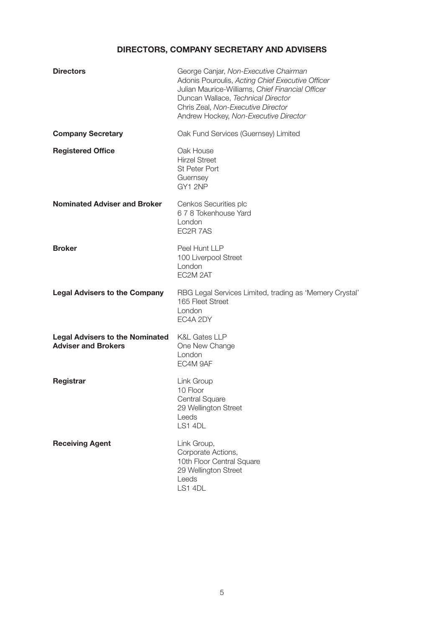# **DIRECTORS, COMPANY SECRETARY AND ADVISERS**

| <b>Directors</b>                                                     | George Canjar, Non-Executive Chairman<br>Adonis Pouroulis, Acting Chief Executive Officer<br>Julian Maurice-Williams, Chief Financial Officer<br>Duncan Wallace, Technical Director<br>Chris Zeal, Non-Executive Director<br>Andrew Hockey, Non-Executive Director |
|----------------------------------------------------------------------|--------------------------------------------------------------------------------------------------------------------------------------------------------------------------------------------------------------------------------------------------------------------|
| <b>Company Secretary</b>                                             | Oak Fund Services (Guernsey) Limited                                                                                                                                                                                                                               |
| <b>Registered Office</b>                                             | Oak House<br><b>Hirzel Street</b><br><b>St Peter Port</b><br>Guernsey<br>GY1 2NP                                                                                                                                                                                   |
| <b>Nominated Adviser and Broker</b>                                  | Cenkos Securities plc<br>6 7 8 Tokenhouse Yard<br>London<br>EC2R 7AS                                                                                                                                                                                               |
| <b>Broker</b>                                                        | Peel Hunt LLP<br>100 Liverpool Street<br>London<br>EC2M 2AT                                                                                                                                                                                                        |
| <b>Legal Advisers to the Company</b>                                 | RBG Legal Services Limited, trading as 'Memery Crystal'<br>165 Fleet Street<br>London<br>EC4A 2DY                                                                                                                                                                  |
| <b>Legal Advisers to the Nominated</b><br><b>Adviser and Brokers</b> | <b>K&amp;L Gates LLP</b><br>One New Change<br>London<br>EC4M 9AF                                                                                                                                                                                                   |
| <b>Registrar</b>                                                     | Link Group<br>10 Floor<br>Central Square<br>29 Wellington Street<br>Leeds<br>LS1 4DL                                                                                                                                                                               |
| <b>Receiving Agent</b>                                               | Link Group,<br>Corporate Actions,<br>10th Floor Central Square<br>29 Wellington Street<br>Leeds<br>LS1 4DL                                                                                                                                                         |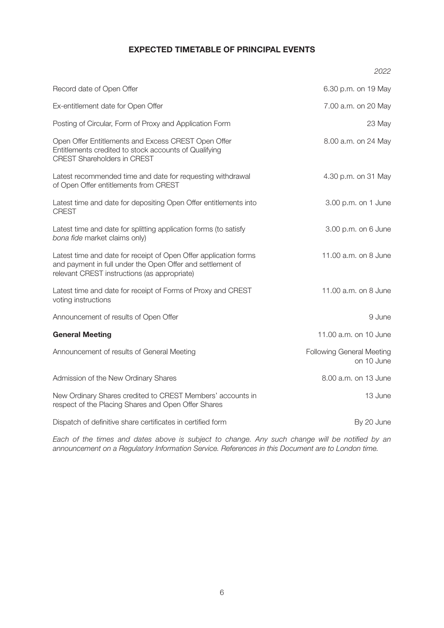#### **EXPECTED TIMETABLE OF PRINCIPAL EVENTS**

|                                                                                                                                                                                | 2022                                           |
|--------------------------------------------------------------------------------------------------------------------------------------------------------------------------------|------------------------------------------------|
| Record date of Open Offer                                                                                                                                                      | 6.30 p.m. on 19 May                            |
| Ex-entitlement date for Open Offer                                                                                                                                             | 7.00 a.m. on 20 May                            |
| Posting of Circular, Form of Proxy and Application Form                                                                                                                        | 23 May                                         |
| Open Offer Entitlements and Excess CREST Open Offer<br>Entitlements credited to stock accounts of Qualifying<br><b>CREST Shareholders in CREST</b>                             | 8.00 a.m. on 24 May                            |
| Latest recommended time and date for requesting withdrawal<br>of Open Offer entitlements from CREST                                                                            | 4.30 p.m. on 31 May                            |
| Latest time and date for depositing Open Offer entitlements into<br><b>CREST</b>                                                                                               | 3.00 p.m. on 1 June                            |
| Latest time and date for splitting application forms (to satisfy<br>bona fide market claims only)                                                                              | 3.00 p.m. on 6 June                            |
| Latest time and date for receipt of Open Offer application forms<br>and payment in full under the Open Offer and settlement of<br>relevant CREST instructions (as appropriate) | 11.00 a.m. on 8 June                           |
| Latest time and date for receipt of Forms of Proxy and CREST<br>voting instructions                                                                                            | 11.00 a.m. on 8 June                           |
| Announcement of results of Open Offer                                                                                                                                          | 9 June                                         |
| <b>General Meeting</b>                                                                                                                                                         | 11.00 a.m. on 10 June                          |
| Announcement of results of General Meeting                                                                                                                                     | <b>Following General Meeting</b><br>on 10 June |
| Admission of the New Ordinary Shares                                                                                                                                           | 8.00 a.m. on 13 June                           |
| New Ordinary Shares credited to CREST Members' accounts in<br>respect of the Placing Shares and Open Offer Shares                                                              | 13 June                                        |
| Dispatch of definitive share certificates in certified form                                                                                                                    | By 20 June                                     |

Each of the times and dates above is subject to change. Any such change will be notified by an announcement on a Regulatory Information Service. References in this Document are to London time.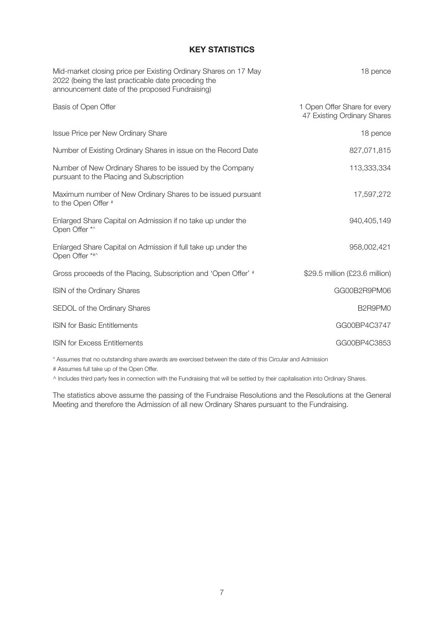### **KEY STATISTICS**

| 18 pence                                                    |
|-------------------------------------------------------------|
| 1 Open Offer Share for every<br>47 Existing Ordinary Shares |
| 18 pence                                                    |
| 827,071,815                                                 |
| 113,333,334                                                 |
| 17,597,272                                                  |
| 940,405,149                                                 |
| 958,002,421                                                 |
| \$29.5 million (£23.6 million)                              |
| GG00B2R9PM06                                                |
| B2R9PM0                                                     |
| GG00BP4C3747                                                |
| GG00BP4C3853                                                |
|                                                             |

\* Assumes that no outstanding share awards are exercised between the date of this Circular and Admission

# Assumes full take up of the Open Offer.

^ Includes third party fees in connection with the Fundraising that will be settled by their capitalisation into Ordinary Shares.

The statistics above assume the passing of the Fundraise Resolutions and the Resolutions at the General Meeting and therefore the Admission of all new Ordinary Shares pursuant to the Fundraising.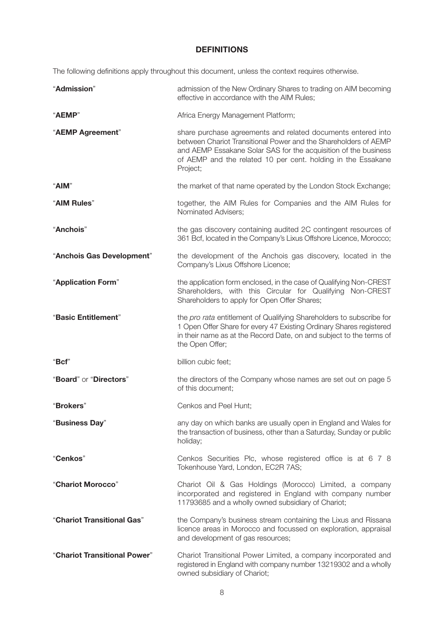## **DEFINITIONS**

The following definitions apply throughout this document, unless the context requires otherwise.

| "Admission"                  | admission of the New Ordinary Shares to trading on AIM becoming<br>effective in accordance with the AIM Rules;                                                                                                                                                                 |  |  |
|------------------------------|--------------------------------------------------------------------------------------------------------------------------------------------------------------------------------------------------------------------------------------------------------------------------------|--|--|
| "AEMP"                       | Africa Energy Management Platform;                                                                                                                                                                                                                                             |  |  |
| "AEMP Agreement"             | share purchase agreements and related documents entered into<br>between Chariot Transitional Power and the Shareholders of AEMP<br>and AEMP Essakane Solar SAS for the acquisition of the business<br>of AEMP and the related 10 per cent. holding in the Essakane<br>Project; |  |  |
| "AIM"                        | the market of that name operated by the London Stock Exchange;                                                                                                                                                                                                                 |  |  |
| "AIM Rules"                  | together, the AIM Rules for Companies and the AIM Rules for<br>Nominated Advisers;                                                                                                                                                                                             |  |  |
| "Anchois"                    | the gas discovery containing audited 2C contingent resources of<br>361 Bcf, located in the Company's Lixus Offshore Licence, Morocco;                                                                                                                                          |  |  |
| "Anchois Gas Development"    | the development of the Anchois gas discovery, located in the<br>Company's Lixus Offshore Licence;                                                                                                                                                                              |  |  |
| "Application Form"           | the application form enclosed, in the case of Qualifying Non-CREST<br>Shareholders, with this Circular for Qualifying Non-CREST<br>Shareholders to apply for Open Offer Shares;                                                                                                |  |  |
| "Basic Entitlement"          | the pro rata entitlement of Qualifying Shareholders to subscribe for<br>1 Open Offer Share for every 47 Existing Ordinary Shares registered<br>in their name as at the Record Date, on and subject to the terms of<br>the Open Offer;                                          |  |  |
| "Bcf"                        | billion cubic feet;                                                                                                                                                                                                                                                            |  |  |
| "Board" or "Directors"       | the directors of the Company whose names are set out on page 5<br>of this document;                                                                                                                                                                                            |  |  |
| "Brokers"                    | Cenkos and Peel Hunt:                                                                                                                                                                                                                                                          |  |  |
| "Business Day"               | any day on which banks are usually open in England and Wales for<br>the transaction of business, other than a Saturday, Sunday or public<br>holiday;                                                                                                                           |  |  |
| "Cenkos"                     | Cenkos Securities Plc, whose registered office is at 6 7 8<br>Tokenhouse Yard, London, EC2R 7AS;                                                                                                                                                                               |  |  |
| "Chariot Morocco"            | Chariot Oil & Gas Holdings (Morocco) Limited, a company<br>incorporated and registered in England with company number<br>11793685 and a wholly owned subsidiary of Chariot;                                                                                                    |  |  |
| "Chariot Transitional Gas"   | the Company's business stream containing the Lixus and Rissana<br>licence areas in Morocco and focussed on exploration, appraisal<br>and development of gas resources;                                                                                                         |  |  |
| "Chariot Transitional Power" | Chariot Transitional Power Limited, a company incorporated and<br>registered in England with company number 13219302 and a wholly<br>owned subsidiary of Chariot;                                                                                                              |  |  |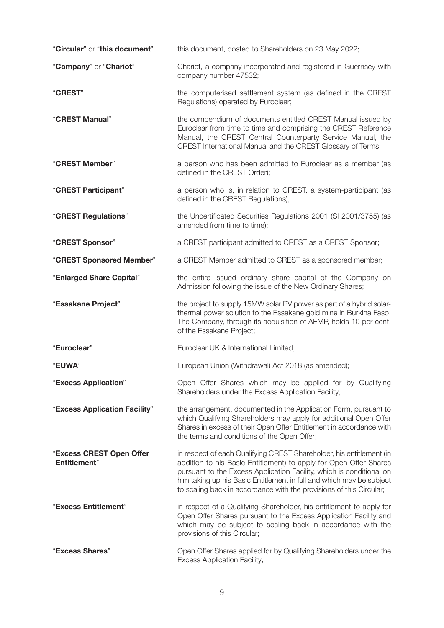| "Circular" or "this document"                    | this document, posted to Shareholders on 23 May 2022;                                                                                                                                                                                                                                                                                                            |
|--------------------------------------------------|------------------------------------------------------------------------------------------------------------------------------------------------------------------------------------------------------------------------------------------------------------------------------------------------------------------------------------------------------------------|
| "Company" or "Chariot"                           | Chariot, a company incorporated and registered in Guernsey with<br>company number 47532;                                                                                                                                                                                                                                                                         |
| "CREST"                                          | the computerised settlement system (as defined in the CREST<br>Regulations) operated by Euroclear;                                                                                                                                                                                                                                                               |
| "CREST Manual"                                   | the compendium of documents entitled CREST Manual issued by<br>Euroclear from time to time and comprising the CREST Reference<br>Manual, the CREST Central Counterparty Service Manual, the<br>CREST International Manual and the CREST Glossary of Terms;                                                                                                       |
| "CREST Member"                                   | a person who has been admitted to Euroclear as a member (as<br>defined in the CREST Order);                                                                                                                                                                                                                                                                      |
| "CREST Participant"                              | a person who is, in relation to CREST, a system-participant (as<br>defined in the CREST Regulations);                                                                                                                                                                                                                                                            |
| "CREST Regulations"                              | the Uncertificated Securities Regulations 2001 (SI 2001/3755) (as<br>amended from time to time);                                                                                                                                                                                                                                                                 |
| "CREST Sponsor"                                  | a CREST participant admitted to CREST as a CREST Sponsor;                                                                                                                                                                                                                                                                                                        |
| "CREST Sponsored Member"                         | a CREST Member admitted to CREST as a sponsored member;                                                                                                                                                                                                                                                                                                          |
| "Enlarged Share Capital"                         | the entire issued ordinary share capital of the Company on<br>Admission following the issue of the New Ordinary Shares;                                                                                                                                                                                                                                          |
| "Essakane Project"                               | the project to supply 15MW solar PV power as part of a hybrid solar-<br>thermal power solution to the Essakane gold mine in Burkina Faso.<br>The Company, through its acquisition of AEMP, holds 10 per cent.<br>of the Essakane Project;                                                                                                                        |
| "Euroclear"                                      | Euroclear UK & International Limited;                                                                                                                                                                                                                                                                                                                            |
| "EUWA"                                           | European Union (Withdrawal) Act 2018 (as amended);                                                                                                                                                                                                                                                                                                               |
| "Excess Application"                             | Open Offer Shares which may be applied for by Qualifying<br>Shareholders under the Excess Application Facility;                                                                                                                                                                                                                                                  |
| "Excess Application Facility"                    | the arrangement, documented in the Application Form, pursuant to<br>which Qualifying Shareholders may apply for additional Open Offer<br>Shares in excess of their Open Offer Entitlement in accordance with<br>the terms and conditions of the Open Offer;                                                                                                      |
| "Excess CREST Open Offer<br><b>Entitlement</b> " | in respect of each Qualifying CREST Shareholder, his entitlement (in<br>addition to his Basic Entitlement) to apply for Open Offer Shares<br>pursuant to the Excess Application Facility, which is conditional on<br>him taking up his Basic Entitlement in full and which may be subject<br>to scaling back in accordance with the provisions of this Circular; |
| "Excess Entitlement"                             | in respect of a Qualifying Shareholder, his entitlement to apply for<br>Open Offer Shares pursuant to the Excess Application Facility and<br>which may be subject to scaling back in accordance with the<br>provisions of this Circular;                                                                                                                         |
| "Excess Shares"                                  | Open Offer Shares applied for by Qualifying Shareholders under the<br><b>Excess Application Facility;</b>                                                                                                                                                                                                                                                        |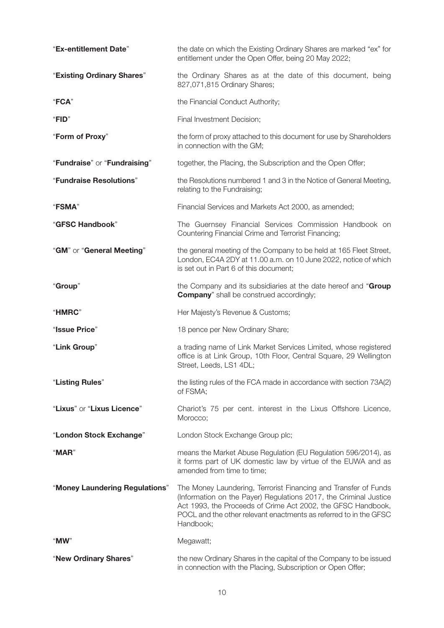| "Ex-entitlement Date"          | the date on which the Existing Ordinary Shares are marked "ex" for<br>entitlement under the Open Offer, being 20 May 2022;                                                                                                                                                             |  |
|--------------------------------|----------------------------------------------------------------------------------------------------------------------------------------------------------------------------------------------------------------------------------------------------------------------------------------|--|
| "Existing Ordinary Shares"     | the Ordinary Shares as at the date of this document, being<br>827,071,815 Ordinary Shares;                                                                                                                                                                                             |  |
| "FCA"                          | the Financial Conduct Authority;                                                                                                                                                                                                                                                       |  |
| "FID"                          | Final Investment Decision;                                                                                                                                                                                                                                                             |  |
| "Form of Proxy"                | the form of proxy attached to this document for use by Shareholders<br>in connection with the GM;                                                                                                                                                                                      |  |
| "Fundraise" or "Fundraising"   | together, the Placing, the Subscription and the Open Offer;                                                                                                                                                                                                                            |  |
| "Fundraise Resolutions"        | the Resolutions numbered 1 and 3 in the Notice of General Meeting,<br>relating to the Fundraising;                                                                                                                                                                                     |  |
| "FSMA"                         | Financial Services and Markets Act 2000, as amended;                                                                                                                                                                                                                                   |  |
| "GFSC Handbook"                | The Guernsey Financial Services Commission Handbook on<br>Countering Financial Crime and Terrorist Financing;                                                                                                                                                                          |  |
| "GM" or "General Meeting"      | the general meeting of the Company to be held at 165 Fleet Street,<br>London, EC4A 2DY at 11.00 a.m. on 10 June 2022, notice of which<br>is set out in Part 6 of this document;                                                                                                        |  |
| "Group"                        | the Company and its subsidiaries at the date hereof and "Group<br><b>Company</b> " shall be construed accordingly;                                                                                                                                                                     |  |
| "HMRC"                         | Her Majesty's Revenue & Customs;                                                                                                                                                                                                                                                       |  |
| "Issue Price"                  | 18 pence per New Ordinary Share;                                                                                                                                                                                                                                                       |  |
|                                |                                                                                                                                                                                                                                                                                        |  |
| "Link Group"                   | a trading name of Link Market Services Limited, whose registered<br>office is at Link Group, 10th Floor, Central Square, 29 Wellington<br>Street, Leeds, LS1 4DL;                                                                                                                      |  |
| "Listing Rules"                | the listing rules of the FCA made in accordance with section 73A(2)<br>of FSMA;                                                                                                                                                                                                        |  |
| "Lixus" or "Lixus Licence"     | Chariot's 75 per cent. interest in the Lixus Offshore Licence,<br>Morocco;                                                                                                                                                                                                             |  |
| "London Stock Exchange"        | London Stock Exchange Group plc;                                                                                                                                                                                                                                                       |  |
| "MAR"                          | means the Market Abuse Regulation (EU Regulation 596/2014), as<br>it forms part of UK domestic law by virtue of the EUWA and as<br>amended from time to time;                                                                                                                          |  |
| "Money Laundering Regulations" | The Money Laundering, Terrorist Financing and Transfer of Funds<br>(Information on the Payer) Regulations 2017, the Criminal Justice<br>Act 1993, the Proceeds of Crime Act 2002, the GFSC Handbook,<br>POCL and the other relevant enactments as referred to in the GFSC<br>Handbook; |  |
| "MW"                           | Megawatt;                                                                                                                                                                                                                                                                              |  |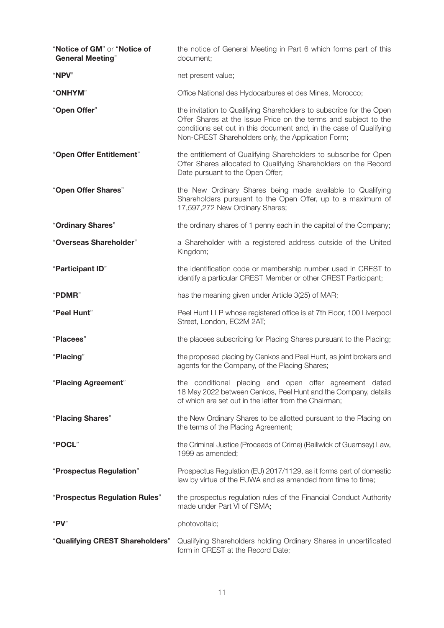| "Notice of GM" or "Notice of<br><b>General Meeting"</b> | the notice of General Meeting in Part 6 which forms part of this<br>document;                                                                                                                                                                                      |
|---------------------------------------------------------|--------------------------------------------------------------------------------------------------------------------------------------------------------------------------------------------------------------------------------------------------------------------|
| "NPV"                                                   | net present value;                                                                                                                                                                                                                                                 |
| "ONHYM"                                                 | Office National des Hydocarbures et des Mines, Morocco;                                                                                                                                                                                                            |
| "Open Offer"                                            | the invitation to Qualifying Shareholders to subscribe for the Open<br>Offer Shares at the Issue Price on the terms and subject to the<br>conditions set out in this document and, in the case of Qualifying<br>Non-CREST Shareholders only, the Application Form; |
| "Open Offer Entitlement"                                | the entitlement of Qualifying Shareholders to subscribe for Open<br>Offer Shares allocated to Qualifying Shareholders on the Record<br>Date pursuant to the Open Offer;                                                                                            |
| "Open Offer Shares"                                     | the New Ordinary Shares being made available to Qualifying<br>Shareholders pursuant to the Open Offer, up to a maximum of<br>17,597,272 New Ordinary Shares;                                                                                                       |
| "Ordinary Shares"                                       | the ordinary shares of 1 penny each in the capital of the Company;                                                                                                                                                                                                 |
| "Overseas Shareholder"                                  | a Shareholder with a registered address outside of the United<br>Kingdom;                                                                                                                                                                                          |
| "Participant ID"                                        | the identification code or membership number used in CREST to<br>identify a particular CREST Member or other CREST Participant;                                                                                                                                    |
| "PDMR"                                                  | has the meaning given under Article 3(25) of MAR;                                                                                                                                                                                                                  |
| "Peel Hunt"                                             | Peel Hunt LLP whose registered office is at 7th Floor, 100 Liverpool<br>Street, London, EC2M 2AT;                                                                                                                                                                  |
| "Placees"                                               | the placees subscribing for Placing Shares pursuant to the Placing;                                                                                                                                                                                                |
| "Placing"                                               | the proposed placing by Cenkos and Peel Hunt, as joint brokers and<br>agents for the Company, of the Placing Shares;                                                                                                                                               |
| "Placing Agreement"                                     | the conditional placing and open offer agreement dated<br>18 May 2022 between Cenkos, Peel Hunt and the Company, details<br>of which are set out in the letter from the Chairman;                                                                                  |
| "Placing Shares"                                        | the New Ordinary Shares to be allotted pursuant to the Placing on<br>the terms of the Placing Agreement;                                                                                                                                                           |
| "POCL"                                                  | the Criminal Justice (Proceeds of Crime) (Bailiwick of Guernsey) Law,<br>1999 as amended;                                                                                                                                                                          |
| "Prospectus Regulation"                                 | Prospectus Regulation (EU) 2017/1129, as it forms part of domestic<br>law by virtue of the EUWA and as amended from time to time;                                                                                                                                  |
| "Prospectus Regulation Rules"                           | the prospectus regulation rules of the Financial Conduct Authority<br>made under Part VI of FSMA;                                                                                                                                                                  |
| " $PV$ "                                                | photovoltaic;                                                                                                                                                                                                                                                      |
| "Qualifying CREST Shareholders"                         | Qualifying Shareholders holding Ordinary Shares in uncertificated<br>form in CREST at the Record Date;                                                                                                                                                             |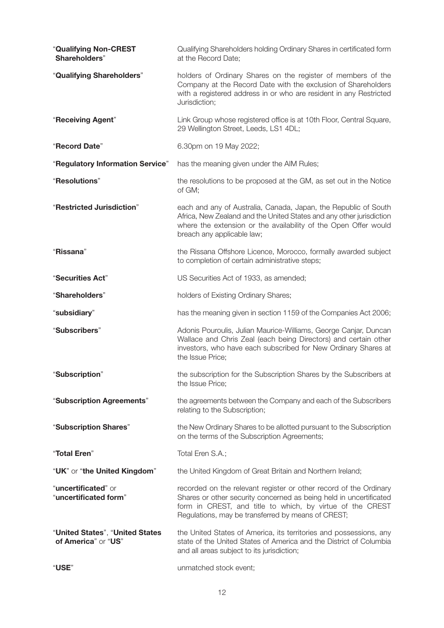| "Qualifying Non-CREST<br>Shareholders"                 | Qualifying Shareholders holding Ordinary Shares in certificated form<br>at the Record Date;                                                                                                                                                                |
|--------------------------------------------------------|------------------------------------------------------------------------------------------------------------------------------------------------------------------------------------------------------------------------------------------------------------|
| "Qualifying Shareholders"                              | holders of Ordinary Shares on the register of members of the<br>Company at the Record Date with the exclusion of Shareholders<br>with a registered address in or who are resident in any Restricted<br>Jurisdiction;                                       |
| "Receiving Agent"                                      | Link Group whose registered office is at 10th Floor, Central Square,<br>29 Wellington Street, Leeds, LS1 4DL;                                                                                                                                              |
| "Record Date"                                          | 6.30pm on 19 May 2022;                                                                                                                                                                                                                                     |
| "Regulatory Information Service"                       | has the meaning given under the AIM Rules;                                                                                                                                                                                                                 |
| "Resolutions"                                          | the resolutions to be proposed at the GM, as set out in the Notice<br>of GM;                                                                                                                                                                               |
| "Restricted Jurisdiction"                              | each and any of Australia, Canada, Japan, the Republic of South<br>Africa, New Zealand and the United States and any other jurisdiction<br>where the extension or the availability of the Open Offer would<br>breach any applicable law;                   |
| "Rissana"                                              | the Rissana Offshore Licence, Morocco, formally awarded subject<br>to completion of certain administrative steps;                                                                                                                                          |
| "Securities Act"                                       | US Securities Act of 1933, as amended;                                                                                                                                                                                                                     |
| "Shareholders"                                         | holders of Existing Ordinary Shares;                                                                                                                                                                                                                       |
| "subsidiary"                                           | has the meaning given in section 1159 of the Companies Act 2006;                                                                                                                                                                                           |
| "Subscribers"                                          | Adonis Pouroulis, Julian Maurice-Williams, George Canjar, Duncan<br>Wallace and Chris Zeal (each being Directors) and certain other<br>investors, who have each subscribed for New Ordinary Shares at<br>the Issue Price;                                  |
| "Subscription"                                         | the subscription for the Subscription Shares by the Subscribers at<br>the Issue Price;                                                                                                                                                                     |
| "Subscription Agreements"                              | the agreements between the Company and each of the Subscribers<br>relating to the Subscription;                                                                                                                                                            |
| "Subscription Shares"                                  | the New Ordinary Shares to be allotted pursuant to the Subscription<br>on the terms of the Subscription Agreements;                                                                                                                                        |
| "Total Eren"                                           | Total Eren S.A.;                                                                                                                                                                                                                                           |
| "UK" or "the United Kingdom"                           | the United Kingdom of Great Britain and Northern Ireland;                                                                                                                                                                                                  |
| "uncertificated" or<br>"uncertificated form"           | recorded on the relevant register or other record of the Ordinary<br>Shares or other security concerned as being held in uncertificated<br>form in CREST, and title to which, by virtue of the CREST<br>Regulations, may be transferred by means of CREST; |
| "United States", "United States<br>of America" or "US" | the United States of America, its territories and possessions, any<br>state of the United States of America and the District of Columbia<br>and all areas subject to its jurisdiction;                                                                     |
| "USE"                                                  | unmatched stock event;                                                                                                                                                                                                                                     |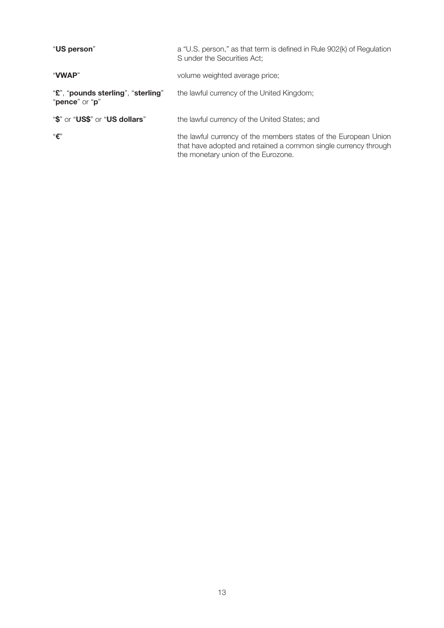| "US person"                                          | a "U.S. person," as that term is defined in Rule 902(k) of Regulation<br>S under the Securities Act;                                                                      |
|------------------------------------------------------|---------------------------------------------------------------------------------------------------------------------------------------------------------------------------|
| "VWAP"                                               | volume weighted average price;                                                                                                                                            |
| "£", "pounds sterling", "sterling"<br>"pence" or "p" | the lawful currency of the United Kingdom;                                                                                                                                |
| "\$" or "US\$" or "US dollars"                       | the lawful currency of the United States; and                                                                                                                             |
| $``\epsilon"$                                        | the lawful currency of the members states of the European Union<br>that have adopted and retained a common single currency through<br>the monetary union of the Eurozone. |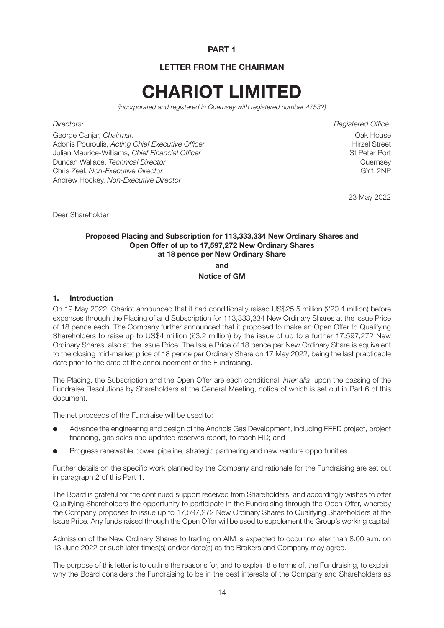#### **PART 1**

#### **LETTER FROM THE CHAIRMAN**

# **CHARIOT LIMITED**

(incorporated and registered in Guernsey with registered number 47532)

George Canjar, Chairman<br>Adonis Pouroulis. Acting Chief Executive Officer Chief Chief Chief Chief Chief Chief Chief Chief Chief Chief Adonis Pouroulis, Acting Chief Executive Officer Julian Maurice-Williams, Chief Financial Officer St Peter Port Duncan Wallace, *Technical Director*<br>Chris Zeal *Non-Fxecutive Director* Guernsey<br>GY1 2NP Chris Zeal, Non-Executive Director Andrew Hockey, Non-Executive Director

Directors: Registered Office:

23 May 2022

Dear Shareholder

#### **Proposed Placing and Subscription for 113,333,334 New Ordinary Shares and Open Offer of up to 17,597,272 New Ordinary Shares at 18 pence per New Ordinary Share**

**and**

#### **Notice of GM**

#### **1. Introduction**

On 19 May 2022, Chariot announced that it had conditionally raised US\$25.5 million (£20.4 million) before expenses through the Placing of and Subscription for 113,333,334 New Ordinary Shares at the Issue Price of 18 pence each. The Company further announced that it proposed to make an Open Offer to Qualifying Shareholders to raise up to US\$4 million (£3.2 million) by the issue of up to a further 17,597,272 New Ordinary Shares, also at the Issue Price. The Issue Price of 18 pence per New Ordinary Share is equivalent to the closing mid-market price of 18 pence per Ordinary Share on 17 May 2022, being the last practicable date prior to the date of the announcement of the Fundraising.

The Placing, the Subscription and the Open Offer are each conditional, inter alia, upon the passing of the Fundraise Resolutions by Shareholders at the General Meeting, notice of which is set out in Part 6 of this document.

The net proceeds of the Fundraise will be used to:

- l Advance the engineering and design of the Anchois Gas Development, including FEED project, project financing, gas sales and updated reserves report, to reach FID; and
- Progress renewable power pipeline, strategic partnering and new venture opportunities.

Further details on the specific work planned by the Company and rationale for the Fundraising are set out in paragraph 2 of this Part 1.

The Board is grateful for the continued support received from Shareholders, and accordingly wishes to offer Qualifying Shareholders the opportunity to participate in the Fundraising through the Open Offer, whereby the Company proposes to issue up to 17,597,272 New Ordinary Shares to Qualifying Shareholders at the Issue Price. Any funds raised through the Open Offer will be used to supplement the Group's working capital.

Admission of the New Ordinary Shares to trading on AIM is expected to occur no later than 8.00 a.m. on 13 June 2022 or such later times(s) and/or date(s) as the Brokers and Company may agree.

The purpose of this letter is to outline the reasons for, and to explain the terms of, the Fundraising, to explain why the Board considers the Fundraising to be in the best interests of the Company and Shareholders as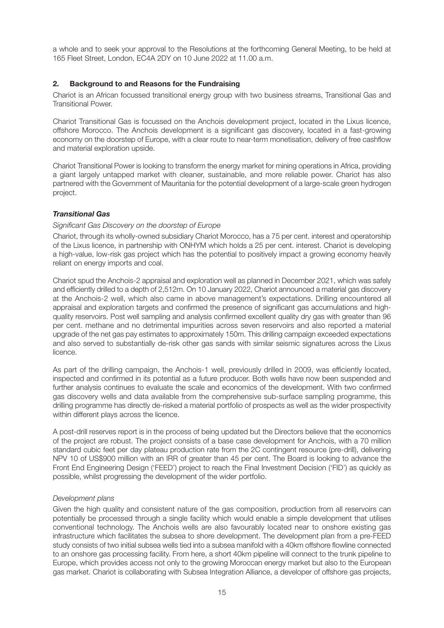a whole and to seek your approval to the Resolutions at the forthcoming General Meeting, to be held at 165 Fleet Street, London, EC4A 2DY on 10 June 2022 at 11.00 a.m.

#### **2. Background to and Reasons for the Fundraising**

Chariot is an African focussed transitional energy group with two business streams, Transitional Gas and Transitional Power.

Chariot Transitional Gas is focussed on the Anchois development project, located in the Lixus licence, offshore Morocco. The Anchois development is a significant gas discovery, located in a fast-growing economy on the doorstep of Europe, with a clear route to near-term monetisation, delivery of free cashflow and material exploration upside.

Chariot Transitional Power is looking to transform the energy market for mining operations in Africa, providing a giant largely untapped market with cleaner, sustainable, and more reliable power. Chariot has also partnered with the Government of Mauritania for the potential development of a large-scale green hydrogen project.

#### *Transitional Gas*

#### Significant Gas Discovery on the doorstep of Europe

Chariot, through its wholly-owned subsidiary Chariot Morocco, has a 75 per cent. interest and operatorship of the Lixus licence, in partnership with ONHYM which holds a 25 per cent. interest. Chariot is developing a high-value, low-risk gas project which has the potential to positively impact a growing economy heavily reliant on energy imports and coal.

Chariot spud the Anchois-2 appraisal and exploration well as planned in December 2021, which was safely and efficiently drilled to a depth of 2,512m. On 10 January 2022, Chariot announced a material gas discovery at the Anchois-2 well, which also came in above management's expectations. Drilling encountered all appraisal and exploration targets and confirmed the presence of significant gas accumulations and highquality reservoirs. Post well sampling and analysis confirmed excellent quality dry gas with greater than 96 per cent. methane and no detrimental impurities across seven reservoirs and also reported a material upgrade of the net gas pay estimates to approximately 150m. This drilling campaign exceeded expectations and also served to substantially de-risk other gas sands with similar seismic signatures across the Lixus licence.

As part of the drilling campaign, the Anchois-1 well, previously drilled in 2009, was efficiently located, inspected and confirmed in its potential as a future producer. Both wells have now been suspended and further analysis continues to evaluate the scale and economics of the development. With two confirmed gas discovery wells and data available from the comprehensive sub-surface sampling programme, this drilling programme has directly de-risked a material portfolio of prospects as well as the wider prospectivity within different plays across the licence.

A post-drill reserves report is in the process of being updated but the Directors believe that the economics of the project are robust. The project consists of a base case development for Anchois, with a 70 million standard cubic feet per day plateau production rate from the 2C contingent resource (pre-drill), delivering NPV 10 of US\$900 million with an IRR of greater than 45 per cent. The Board is looking to advance the Front End Engineering Design ('FEED') project to reach the Final Investment Decision ('FID') as quickly as possible, whilst progressing the development of the wider portfolio.

#### Development plans

Given the high quality and consistent nature of the gas composition, production from all reservoirs can potentially be processed through a single facility which would enable a simple development that utilises conventional technology. The Anchois wells are also favourably located near to onshore existing gas infrastructure which facilitates the subsea to shore development. The development plan from a pre-FEED study consists of two initial subsea wells tied into a subsea manifold with a 40km offshore flowline connected to an onshore gas processing facility. From here, a short 40km pipeline will connect to the trunk pipeline to Europe, which provides access not only to the growing Moroccan energy market but also to the European gas market. Chariot is collaborating with Subsea Integration Alliance, a developer of offshore gas projects,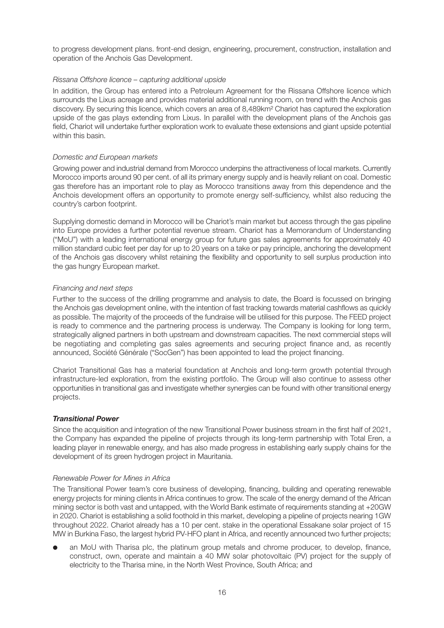to progress development plans. front-end design, engineering, procurement, construction, installation and operation of the Anchois Gas Development.

#### Rissana Offshore licence – capturing additional upside

In addition, the Group has entered into a Petroleum Agreement for the Rissana Offshore licence which surrounds the Lixus acreage and provides material additional running room, on trend with the Anchois gas discovery. By securing this licence, which covers an area of 8,489km² Chariot has captured the exploration upside of the gas plays extending from Lixus. In parallel with the development plans of the Anchois gas field, Chariot will undertake further exploration work to evaluate these extensions and giant upside potential within this basin.

#### Domestic and European markets

Growing power and industrial demand from Morocco underpins the attractiveness of local markets. Currently Morocco imports around 90 per cent. of all its primary energy supply and is heavily reliant on coal. Domestic gas therefore has an important role to play as Morocco transitions away from this dependence and the Anchois development offers an opportunity to promote energy self-sufficiency, whilst also reducing the country's carbon footprint.

Supplying domestic demand in Morocco will be Chariot's main market but access through the gas pipeline into Europe provides a further potential revenue stream. Chariot has a Memorandum of Understanding ("MoU") with a leading international energy group for future gas sales agreements for approximately 40 million standard cubic feet per day for up to 20 years on a take or pay principle, anchoring the development of the Anchois gas discovery whilst retaining the flexibility and opportunity to sell surplus production into the gas hungry European market.

#### Financing and next steps

Further to the success of the drilling programme and analysis to date, the Board is focussed on bringing the Anchois gas development online, with the intention of fast tracking towards material cashflows as quickly as possible. The majority of the proceeds of the fundraise will be utilised for this purpose. The FEED project is ready to commence and the partnering process is underway. The Company is looking for long term, strategically aligned partners in both upstream and downstream capacities. The next commercial steps will be negotiating and completing gas sales agreements and securing project finance and, as recently announced, Société Générale ("SocGen") has been appointed to lead the project financing.

Chariot Transitional Gas has a material foundation at Anchois and long-term growth potential through infrastructure-led exploration, from the existing portfolio. The Group will also continue to assess other opportunities in transitional gas and investigate whether synergies can be found with other transitional energy projects.

#### *Transitional Power*

Since the acquisition and integration of the new Transitional Power business stream in the first half of 2021, the Company has expanded the pipeline of projects through its long-term partnership with Total Eren, a leading player in renewable energy, and has also made progress in establishing early supply chains for the development of its green hydrogen project in Mauritania.

#### Renewable Power for Mines in Africa

The Transitional Power team's core business of developing, financing, building and operating renewable energy projects for mining clients in Africa continues to grow. The scale of the energy demand of the African mining sector is both vast and untapped, with the World Bank estimate of requirements standing at +20GW in 2020. Chariot is establishing a solid foothold in this market, developing a pipeline of projects nearing 1GW throughout 2022. Chariot already has a 10 per cent. stake in the operational Essakane solar project of 15 MW in Burkina Faso, the largest hybrid PV-HFO plant in Africa, and recently announced two further projects;

an MoU with Tharisa plc, the platinum group metals and chrome producer, to develop, finance, construct, own, operate and maintain a 40 MW solar photovoltaic (PV) project for the supply of electricity to the Tharisa mine, in the North West Province, South Africa; and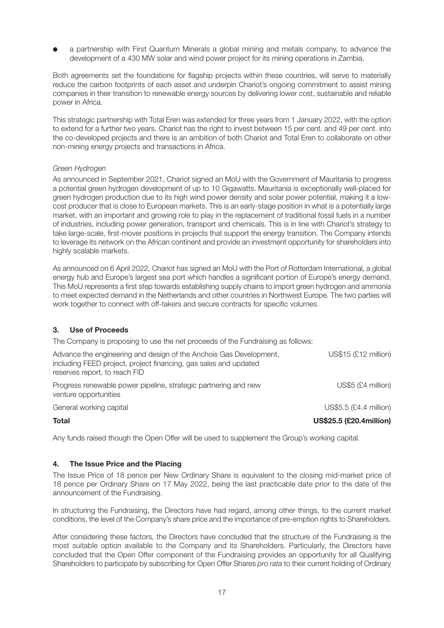a partnership with First Quantum Minerals a global mining and metals company, to advance the development of a 430 MW solar and wind power project for its mining operations in Zambia.

Both agreements set the foundations for flagship projects within these countries, will serve to materially reduce the carbon footprints of each asset and underpin Chariot's ongoing commitment to assist mining companies in their transition to renewable energy sources by delivering lower cost, sustainable and reliable power in Africa.

This strategic partnership with Total Eren was extended for three years from 1 January 2022, with the option to extend for a further two years. Chariot has the right to invest between 15 per cent. and 49 per cent. into the co-developed projects and there is an ambition of both Chariot and Total Eren to collaborate on other non-mining energy projects and transactions in Africa.

#### Green Hydrogen

As announced in September 2021, Chariot signed an MoU with the Government of Mauritania to progress a potential green hydrogen development of up to 10 Gigawatts. Mauritania is exceptionally well-placed for green hydrogen production due to its high wind power density and solar power potential, making it a lowcost producer that is close to European markets. This is an early-stage position in what is a potentially large market, with an important and growing role to play in the replacement of traditional fossil fuels in a number of industries, including power generation, transport and chemicals. This is in line with Chariot's strategy to take large-scale, first-mover positions in projects that support the energy transition. The Company intends to leverage its network on the African continent and provide an investment opportunity for shareholders into highly scalable markets.

As announced on 6 April 2022, Chariot has signed an MoU with the Port of Rotterdam International, a global energy hub and Europe's largest sea port which handles a significant portion of Europe's energy demand. This MoU represents a first step towards establishing supply chains to import green hydrogen and ammonia to meet expected demand in the Netherlands and other countries in Northwest Europe. The two parties will work together to connect with off-takers and secure contracts for specific volumes.

#### **3. Use of Proceeds**

| <b>Total</b>                                                                                                                                                            | <b>US\$25.5 (£20.4million)</b> |
|-------------------------------------------------------------------------------------------------------------------------------------------------------------------------|--------------------------------|
| General working capital                                                                                                                                                 | US\$5.5 (£4.4 million)         |
| Progress renewable power pipeline, strategic partnering and new<br>venture opportunities                                                                                | US\$5 (£4 million)             |
| Advance the engineering and design of the Anchois Gas Development,<br>including FEED project, project financing, gas sales and updated<br>reserves report, to reach FID | <b>US\$15 (£12 million)</b>    |
| The Company is proposing to use the net proceeds of the Fundraising as follows:                                                                                         |                                |

Any funds raised though the Open Offer will be used to supplement the Group's working capital.

#### **4. The Issue Price and the Placing**

The Issue Price of 18 pence per New Ordinary Share is equivalent to the closing mid-market price of 18 pence per Ordinary Share on 17 May 2022, being the last practicable date prior to the date of the announcement of the Fundraising.

In structuring the Fundraising, the Directors have had regard, among other things, to the current market conditions, the level of the Company's share price and the importance of pre-emption rights to Shareholders.

After considering these factors, the Directors have concluded that the structure of the Fundraising is the most suitable option available to the Company and its Shareholders. Particularly, the Directors have concluded that the Open Offer component of the Fundraising provides an opportunity for all Qualifying Shareholders to participate by subscribing for Open Offer Shares pro rata to their current holding of Ordinary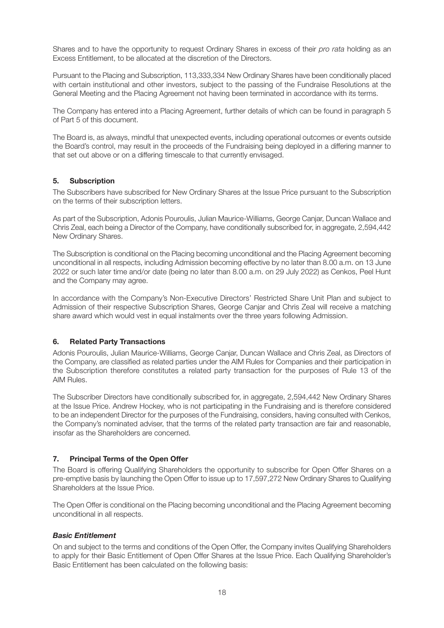Shares and to have the opportunity to request Ordinary Shares in excess of their *pro rata* holding as an Excess Entitlement, to be allocated at the discretion of the Directors.

Pursuant to the Placing and Subscription, 113,333,334 New Ordinary Shares have been conditionally placed with certain institutional and other investors, subject to the passing of the Fundraise Resolutions at the General Meeting and the Placing Agreement not having been terminated in accordance with its terms.

The Company has entered into a Placing Agreement, further details of which can be found in paragraph 5 of Part 5 of this document.

The Board is, as always, mindful that unexpected events, including operational outcomes or events outside the Board's control, may result in the proceeds of the Fundraising being deployed in a differing manner to that set out above or on a differing timescale to that currently envisaged.

#### **5. Subscription**

The Subscribers have subscribed for New Ordinary Shares at the Issue Price pursuant to the Subscription on the terms of their subscription letters.

As part of the Subscription, Adonis Pouroulis, Julian Maurice-Williams, George Canjar, Duncan Wallace and Chris Zeal, each being a Director of the Company, have conditionally subscribed for, in aggregate, 2,594,442 New Ordinary Shares.

The Subscription is conditional on the Placing becoming unconditional and the Placing Agreement becoming unconditional in all respects, including Admission becoming effective by no later than 8.00 a.m. on 13 June 2022 or such later time and/or date (being no later than 8.00 a.m. on 29 July 2022) as Cenkos, Peel Hunt and the Company may agree.

In accordance with the Company's Non-Executive Directors' Restricted Share Unit Plan and subject to Admission of their respective Subscription Shares, George Canjar and Chris Zeal will receive a matching share award which would vest in equal instalments over the three years following Admission.

#### **6. Related Party Transactions**

Adonis Pouroulis, Julian Maurice-Williams, George Canjar, Duncan Wallace and Chris Zeal, as Directors of the Company, are classified as related parties under the AIM Rules for Companies and their participation in the Subscription therefore constitutes a related party transaction for the purposes of Rule 13 of the AIM Rules.

The Subscriber Directors have conditionally subscribed for, in aggregate, 2,594,442 New Ordinary Shares at the Issue Price. Andrew Hockey, who is not participating in the Fundraising and is therefore considered to be an independent Director for the purposes of the Fundraising, considers, having consulted with Cenkos, the Company's nominated adviser, that the terms of the related party transaction are fair and reasonable, insofar as the Shareholders are concerned.

#### **7. Principal Terms of the Open Offer**

The Board is offering Qualifying Shareholders the opportunity to subscribe for Open Offer Shares on a pre-emptive basis by launching the Open Offer to issue up to 17,597,272 New Ordinary Shares to Qualifying Shareholders at the Issue Price.

The Open Offer is conditional on the Placing becoming unconditional and the Placing Agreement becoming unconditional in all respects.

#### *Basic Entitlement*

On and subject to the terms and conditions of the Open Offer, the Company invites Qualifying Shareholders to apply for their Basic Entitlement of Open Offer Shares at the Issue Price. Each Qualifying Shareholder's Basic Entitlement has been calculated on the following basis: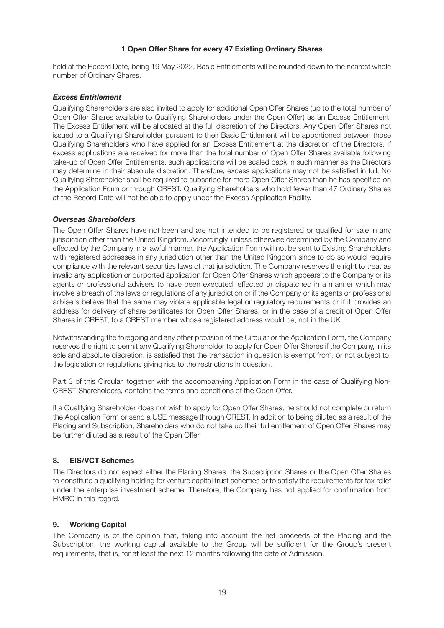#### **1 Open Offer Share for every 47 Existing Ordinary Shares**

held at the Record Date, being 19 May 2022. Basic Entitlements will be rounded down to the nearest whole number of Ordinary Shares.

#### *Excess Entitlement*

Qualifying Shareholders are also invited to apply for additional Open Offer Shares (up to the total number of Open Offer Shares available to Qualifying Shareholders under the Open Offer) as an Excess Entitlement. The Excess Entitlement will be allocated at the full discretion of the Directors. Any Open Offer Shares not issued to a Qualifying Shareholder pursuant to their Basic Entitlement will be apportioned between those Qualifying Shareholders who have applied for an Excess Entitlement at the discretion of the Directors. If excess applications are received for more than the total number of Open Offer Shares available following take-up of Open Offer Entitlements, such applications will be scaled back in such manner as the Directors may determine in their absolute discretion. Therefore, excess applications may not be satisfied in full. No Qualifying Shareholder shall be required to subscribe for more Open Offer Shares than he has specified on the Application Form or through CREST. Qualifying Shareholders who hold fewer than 47 Ordinary Shares at the Record Date will not be able to apply under the Excess Application Facility.

#### *Overseas Shareholders*

The Open Offer Shares have not been and are not intended to be registered or qualified for sale in any jurisdiction other than the United Kingdom. Accordingly, unless otherwise determined by the Company and effected by the Company in a lawful manner, the Application Form will not be sent to Existing Shareholders with registered addresses in any jurisdiction other than the United Kingdom since to do so would require compliance with the relevant securities laws of that jurisdiction. The Company reserves the right to treat as invalid any application or purported application for Open Offer Shares which appears to the Company or its agents or professional advisers to have been executed, effected or dispatched in a manner which may involve a breach of the laws or regulations of any jurisdiction or if the Company or its agents or professional advisers believe that the same may violate applicable legal or regulatory requirements or if it provides an address for delivery of share certificates for Open Offer Shares, or in the case of a credit of Open Offer Shares in CREST, to a CREST member whose registered address would be, not in the UK.

Notwithstanding the foregoing and any other provision of the Circular or the Application Form, the Company reserves the right to permit any Qualifying Shareholder to apply for Open Offer Shares if the Company, in its sole and absolute discretion, is satisfied that the transaction in question is exempt from, or not subject to, the legislation or regulations giving rise to the restrictions in question.

Part 3 of this Circular, together with the accompanying Application Form in the case of Qualifying Non-CREST Shareholders, contains the terms and conditions of the Open Offer.

If a Qualifying Shareholder does not wish to apply for Open Offer Shares, he should not complete or return the Application Form or send a USE message through CREST. In addition to being diluted as a result of the Placing and Subscription, Shareholders who do not take up their full entitlement of Open Offer Shares may be further diluted as a result of the Open Offer.

#### **8. EIS/VCT Schemes**

The Directors do not expect either the Placing Shares, the Subscription Shares or the Open Offer Shares to constitute a qualifying holding for venture capital trust schemes or to satisfy the requirements for tax relief under the enterprise investment scheme. Therefore, the Company has not applied for confirmation from HMRC in this regard.

#### **9. Working Capital**

The Company is of the opinion that, taking into account the net proceeds of the Placing and the Subscription, the working capital available to the Group will be sufficient for the Group's present requirements, that is, for at least the next 12 months following the date of Admission.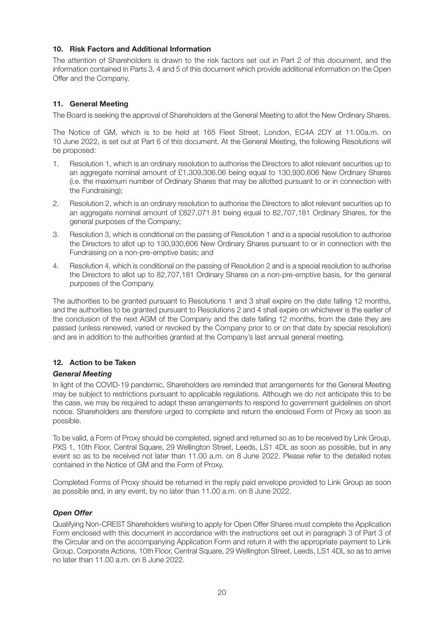#### **10. Risk Factors and Additional Information**

The attention of Shareholders is drawn to the risk factors set out in Part 2 of this document, and the information contained in Parts 3, 4 and 5 of this document which provide additional information on the Open Offer and the Company.

#### **11. General Meeting**

The Board is seeking the approval of Shareholders at the General Meeting to allot the New Ordinary Shares.

The Notice of GM, which is to be held at 165 Fleet Street, London, EC4A 2DY at 11.00a.m. on 10 June 2022, is set out at Part 6 of this document. At the General Meeting, the following Resolutions will be proposed:

- 1. Resolution 1, which is an ordinary resolution to authorise the Directors to allot relevant securities up to an aggregate nominal amount of £1,309,306.06 being equal to 130,930,606 New Ordinary Shares (i.e. the maximum number of Ordinary Shares that may be allotted pursuant to or in connection with the Fundraising);
- 2. Resolution 2, which is an ordinary resolution to authorise the Directors to allot relevant securities up to an aggregate nominal amount of £827,071.81 being equal to 82,707,181 Ordinary Shares, for the general purposes of the Company;
- 3. Resolution 3, which is conditional on the passing of Resolution 1 and is a special resolution to authorise the Directors to allot up to 130,930,606 New Ordinary Shares pursuant to or in connection with the Fundraising on a non-pre-emptive basis; and
- 4. Resolution 4, which is conditional on the passing of Resolution 2 and is a special resolution to authorise the Directors to allot up to 82,707,181 Ordinary Shares on a non-pre-emptive basis, for the general purposes of the Company.

The authorities to be granted pursuant to Resolutions 1 and 3 shall expire on the date falling 12 months, and the authorities to be granted pursuant to Resolutions 2 and 4 shall expire on whichever is the earlier of the conclusion of the next AGM of the Company and the date falling 12 months, from the date they are passed (unless renewed, varied or revoked by the Company prior to or on that date by special resolution) and are in addition to the authorities granted at the Company's last annual general meeting.

#### **12. Action to be Taken**

#### *General Meeting*

In light of the COVID-19 pandemic, Shareholders are reminded that arrangements for the General Meeting may be subject to restrictions pursuant to applicable regulations. Although we do not anticipate this to be the case, we may be required to adapt these arrangements to respond to government guidelines on short notice. Shareholders are therefore urged to complete and return the enclosed Form of Proxy as soon as possible.

To be valid, a Form of Proxy should be completed, signed and returned so as to be received by Link Group, PXS 1, 10th Floor, Central Square, 29 Wellington Street, Leeds, LS1 4DL as soon as possible, but in any event so as to be received not later than 11.00 a.m. on 8 June 2022. Please refer to the detailed notes contained in the Notice of GM and the Form of Proxy.

Completed Forms of Proxy should be returned in the reply paid envelope provided to Link Group as soon as possible and, in any event, by no later than 11.00 a.m. on 8 June 2022.

#### *Open Offer*

Qualifying Non-CREST Shareholders wishing to apply for Open Offer Shares must complete the Application Form enclosed with this document in accordance with the instructions set out in paragraph 3 of Part 3 of the Circular and on the accompanying Application Form and return it with the appropriate payment to Link Group, Corporate Actions, 10th Floor, Central Square, 29 Wellington Street, Leeds, LS1 4DL so as to arrive no later than 11.00 a.m. on 8 June 2022.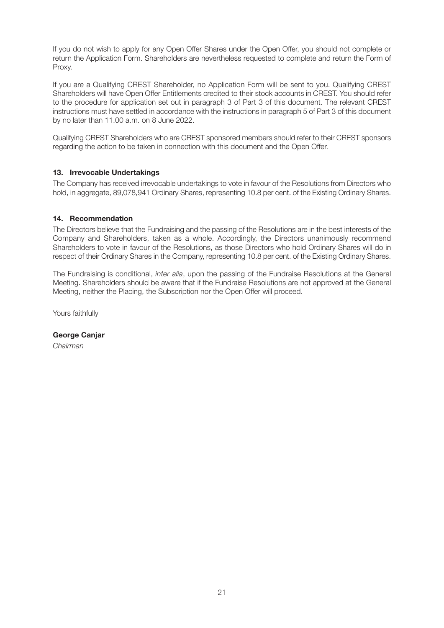If you do not wish to apply for any Open Offer Shares under the Open Offer, you should not complete or return the Application Form. Shareholders are nevertheless requested to complete and return the Form of Proxy.

If you are a Qualifying CREST Shareholder, no Application Form will be sent to you. Qualifying CREST Shareholders will have Open Offer Entitlements credited to their stock accounts in CREST. You should refer to the procedure for application set out in paragraph 3 of Part 3 of this document. The relevant CREST instructions must have settled in accordance with the instructions in paragraph 5 of Part 3 of this document by no later than 11.00 a.m. on 8 June 2022.

Qualifying CREST Shareholders who are CREST sponsored members should refer to their CREST sponsors regarding the action to be taken in connection with this document and the Open Offer.

#### **13. Irrevocable Undertakings**

The Company has received irrevocable undertakings to vote in favour of the Resolutions from Directors who hold, in aggregate, 89,078,941 Ordinary Shares, representing 10.8 per cent. of the Existing Ordinary Shares.

#### **14. Recommendation**

The Directors believe that the Fundraising and the passing of the Resolutions are in the best interests of the Company and Shareholders, taken as a whole. Accordingly, the Directors unanimously recommend Shareholders to vote in favour of the Resolutions, as those Directors who hold Ordinary Shares will do in respect of their Ordinary Shares in the Company, representing 10.8 per cent. of the Existing Ordinary Shares.

The Fundraising is conditional, *inter alia*, upon the passing of the Fundraise Resolutions at the General Meeting. Shareholders should be aware that if the Fundraise Resolutions are not approved at the General Meeting, neither the Placing, the Subscription nor the Open Offer will proceed.

Yours faithfully

**George Canjar** Chairman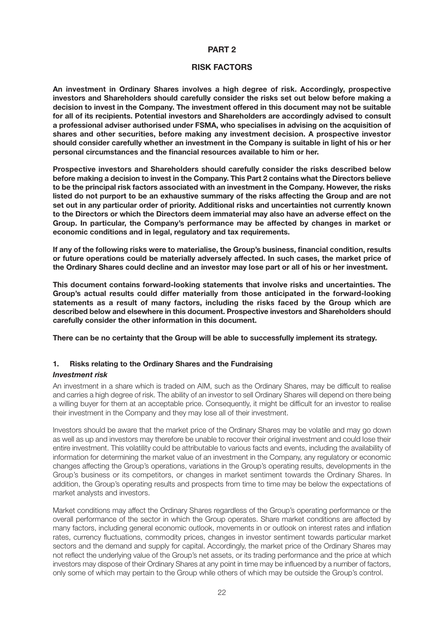#### **PART 2**

#### **RISK FACTORS**

**An investment in Ordinary Shares involves a high degree of risk. Accordingly, prospective investors and Shareholders should carefully consider the risks set out below before making a decision to invest in the Company. The investment offered in this document may not be suitable for all of its recipients. Potential investors and Shareholders are accordingly advised to consult a professional adviser authorised under FSMA, who specialises in advising on the acquisition of shares and other securities, before making any investment decision. A prospective investor should consider carefully whether an investment in the Company is suitable in light of his or her personal circumstances and the financial resources available to him or her.**

**Prospective investors and Shareholders should carefully consider the risks described below before making a decision to invest in the Company. This Part 2 contains what the Directors believe to be the principal risk factors associated with an investment in the Company. However, the risks listed do not purport to be an exhaustive summary of the risks affecting the Group and are not set out in any particular order of priority. Additional risks and uncertainties not currently known to the Directors or which the Directors deem immaterial may also have an adverse effect on the Group. In particular, the Company's performance may be affected by changes in market or economic conditions and in legal, regulatory and tax requirements.**

**If any of the following risks were to materialise, the Group's business, financial condition, results or future operations could be materially adversely affected. In such cases, the market price of the Ordinary Shares could decline and an investor may lose part or all of his or her investment.**

**This document contains forward-looking statements that involve risks and uncertainties. The Group's actual results could differ materially from those anticipated in the forward-looking statements as a result of many factors, including the risks faced by the Group which are described below and elsewhere in this document. Prospective investors and Shareholders should carefully consider the other information in this document.**

**There can be no certainty that the Group will be able to successfully implement its strategy.**

#### **1. Risks relating to the Ordinary Shares and the Fundraising**

#### *Investment risk*

An investment in a share which is traded on AIM, such as the Ordinary Shares, may be difficult to realise and carries a high degree of risk. The ability of an investor to sell Ordinary Shares will depend on there being a willing buyer for them at an acceptable price. Consequently, it might be difficult for an investor to realise their investment in the Company and they may lose all of their investment.

Investors should be aware that the market price of the Ordinary Shares may be volatile and may go down as well as up and investors may therefore be unable to recover their original investment and could lose their entire investment. This volatility could be attributable to various facts and events, including the availability of information for determining the market value of an investment in the Company, any regulatory or economic changes affecting the Group's operations, variations in the Group's operating results, developments in the Group's business or its competitors, or changes in market sentiment towards the Ordinary Shares. In addition, the Group's operating results and prospects from time to time may be below the expectations of market analysts and investors.

Market conditions may affect the Ordinary Shares regardless of the Group's operating performance or the overall performance of the sector in which the Group operates. Share market conditions are affected by many factors, including general economic outlook, movements in or outlook on interest rates and inflation rates, currency fluctuations, commodity prices, changes in investor sentiment towards particular market sectors and the demand and supply for capital. Accordingly, the market price of the Ordinary Shares may not reflect the underlying value of the Group's net assets, or its trading performance and the price at which investors may dispose of their Ordinary Shares at any point in time may be influenced by a number of factors, only some of which may pertain to the Group while others of which may be outside the Group's control.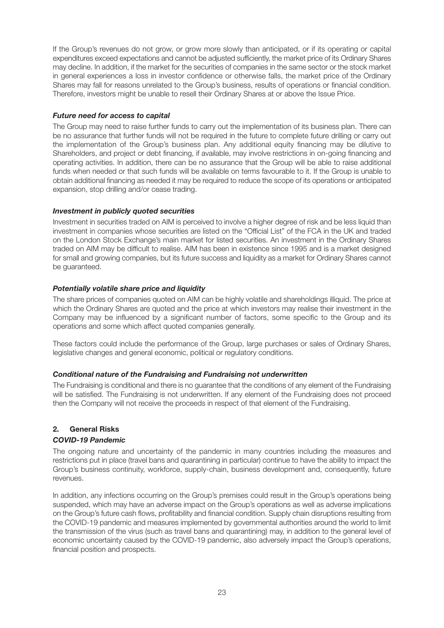If the Group's revenues do not grow, or grow more slowly than anticipated, or if its operating or capital expenditures exceed expectations and cannot be adjusted sufficiently, the market price of its Ordinary Shares may decline. In addition, if the market for the securities of companies in the same sector or the stock market in general experiences a loss in investor confidence or otherwise falls, the market price of the Ordinary Shares may fall for reasons unrelated to the Group's business, results of operations or financial condition. Therefore, investors might be unable to resell their Ordinary Shares at or above the Issue Price.

#### *Future need for access to capital*

The Group may need to raise further funds to carry out the implementation of its business plan. There can be no assurance that further funds will not be required in the future to complete future drilling or carry out the implementation of the Group's business plan. Any additional equity financing may be dilutive to Shareholders, and project or debt financing, if available, may involve restrictions in on-going financing and operating activities. In addition, there can be no assurance that the Group will be able to raise additional funds when needed or that such funds will be available on terms favourable to it. If the Group is unable to obtain additional financing as needed it may be required to reduce the scope of its operations or anticipated expansion, stop drilling and/or cease trading.

#### *Investment in publicly quoted securities*

Investment in securities traded on AIM is perceived to involve a higher degree of risk and be less liquid than investment in companies whose securities are listed on the "Official List" of the FCA in the UK and traded on the London Stock Exchange's main market for listed securities. An investment in the Ordinary Shares traded on AIM may be difficult to realise. AIM has been in existence since 1995 and is a market designed for small and growing companies, but its future success and liquidity as a market for Ordinary Shares cannot be guaranteed.

#### *Potentially volatile share price and liquidity*

The share prices of companies quoted on AIM can be highly volatile and shareholdings illiquid. The price at which the Ordinary Shares are quoted and the price at which investors may realise their investment in the Company may be influenced by a significant number of factors, some specific to the Group and its operations and some which affect quoted companies generally.

These factors could include the performance of the Group, large purchases or sales of Ordinary Shares, legislative changes and general economic, political or regulatory conditions.

#### *Conditional nature of the Fundraising and Fundraising not underwritten*

The Fundraising is conditional and there is no guarantee that the conditions of any element of the Fundraising will be satisfied. The Fundraising is not underwritten. If any element of the Fundraising does not proceed then the Company will not receive the proceeds in respect of that element of the Fundraising.

#### **2. General Risks**

#### *COVID-19 Pandemic*

The ongoing nature and uncertainty of the pandemic in many countries including the measures and restrictions put in place (travel bans and quarantining in particular) continue to have the ability to impact the Group's business continuity, workforce, supply-chain, business development and, consequently, future revenues.

In addition, any infections occurring on the Group's premises could result in the Group's operations being suspended, which may have an adverse impact on the Group's operations as well as adverse implications on the Group's future cash flows, profitability and financial condition. Supply chain disruptions resulting from the COVID-19 pandemic and measures implemented by governmental authorities around the world to limit the transmission of the virus (such as travel bans and quarantining) may, in addition to the general level of economic uncertainty caused by the COVID-19 pandemic, also adversely impact the Group's operations, financial position and prospects.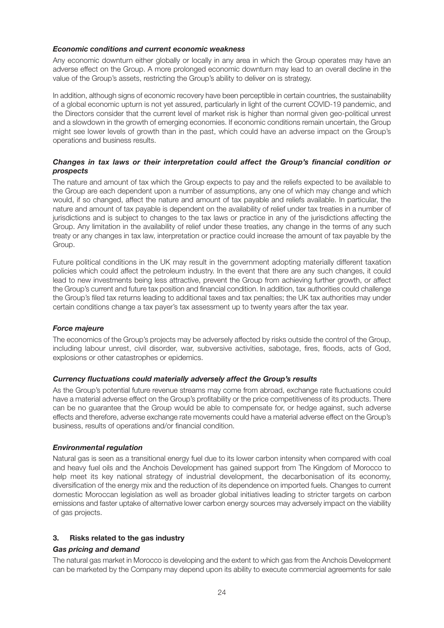#### *Economic conditions and current economic weakness*

Any economic downturn either globally or locally in any area in which the Group operates may have an adverse effect on the Group. A more prolonged economic downturn may lead to an overall decline in the value of the Group's assets, restricting the Group's ability to deliver on is strategy.

In addition, although signs of economic recovery have been perceptible in certain countries, the sustainability of a global economic upturn is not yet assured, particularly in light of the current COVID-19 pandemic, and the Directors consider that the current level of market risk is higher than normal given geo-political unrest and a slowdown in the growth of emerging economies. If economic conditions remain uncertain, the Group might see lower levels of growth than in the past, which could have an adverse impact on the Group's operations and business results.

#### *Changes in tax laws or their interpretation could affect the Group's financial condition or prospects*

The nature and amount of tax which the Group expects to pay and the reliefs expected to be available to the Group are each dependent upon a number of assumptions, any one of which may change and which would, if so changed, affect the nature and amount of tax payable and reliefs available. In particular, the nature and amount of tax payable is dependent on the availability of relief under tax treaties in a number of jurisdictions and is subject to changes to the tax laws or practice in any of the jurisdictions affecting the Group. Any limitation in the availability of relief under these treaties, any change in the terms of any such treaty or any changes in tax law, interpretation or practice could increase the amount of tax payable by the Group.

Future political conditions in the UK may result in the government adopting materially different taxation policies which could affect the petroleum industry. In the event that there are any such changes, it could lead to new investments being less attractive, prevent the Group from achieving further growth, or affect the Group's current and future tax position and financial condition. In addition, tax authorities could challenge the Group's filed tax returns leading to additional taxes and tax penalties; the UK tax authorities may under certain conditions change a tax payer's tax assessment up to twenty years after the tax year.

#### *Force majeure*

The economics of the Group's projects may be adversely affected by risks outside the control of the Group, including labour unrest, civil disorder, war, subversive activities, sabotage, fires, floods, acts of God, explosions or other catastrophes or epidemics.

#### *Currency fluctuations could materially adversely affect the Group's results*

As the Group's potential future revenue streams may come from abroad, exchange rate fluctuations could have a material adverse effect on the Group's profitability or the price competitiveness of its products. There can be no guarantee that the Group would be able to compensate for, or hedge against, such adverse effects and therefore, adverse exchange rate movements could have a material adverse effect on the Group's business, results of operations and/or financial condition.

#### *Environmental regulation*

Natural gas is seen as a transitional energy fuel due to its lower carbon intensity when compared with coal and heavy fuel oils and the Anchois Development has gained support from The Kingdom of Morocco to help meet its key national strategy of industrial development, the decarbonisation of its economy, diversification of the energy mix and the reduction of its dependence on imported fuels. Changes to current domestic Moroccan legislation as well as broader global initiatives leading to stricter targets on carbon emissions and faster uptake of alternative lower carbon energy sources may adversely impact on the viability of gas projects.

#### **3. Risks related to the gas industry**

#### *Gas pricing and demand*

The natural gas market in Morocco is developing and the extent to which gas from the Anchois Development can be marketed by the Company may depend upon its ability to execute commercial agreements for sale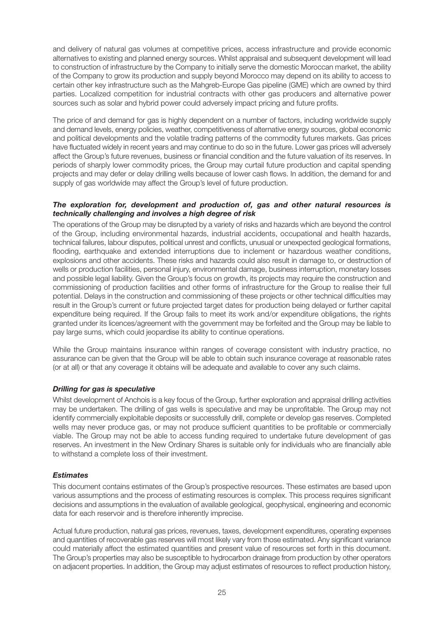and delivery of natural gas volumes at competitive prices, access infrastructure and provide economic alternatives to existing and planned energy sources. Whilst appraisal and subsequent development will lead to construction of infrastructure by the Company to initially serve the domestic Moroccan market, the ability of the Company to grow its production and supply beyond Morocco may depend on its ability to access to certain other key infrastructure such as the Mahgreb-Europe Gas pipeline (GME) which are owned by third parties. Localized competition for industrial contracts with other gas producers and alternative power sources such as solar and hybrid power could adversely impact pricing and future profits.

The price of and demand for gas is highly dependent on a number of factors, including worldwide supply and demand levels, energy policies, weather, competitiveness of alternative energy sources, global economic and political developments and the volatile trading patterns of the commodity futures markets. Gas prices have fluctuated widely in recent years and may continue to do so in the future. Lower gas prices will adversely affect the Group's future revenues, business or financial condition and the future valuation of its reserves. In periods of sharply lower commodity prices, the Group may curtail future production and capital spending projects and may defer or delay drilling wells because of lower cash flows. In addition, the demand for and supply of gas worldwide may affect the Group's level of future production.

#### *The exploration for, development and production of, gas and other natural resources is technically challenging and involves a high degree of risk*

The operations of the Group may be disrupted by a variety of risks and hazards which are beyond the control of the Group, including environmental hazards, industrial accidents, occupational and health hazards, technical failures, labour disputes, political unrest and conflicts, unusual or unexpected geological formations, flooding, earthquake and extended interruptions due to inclement or hazardous weather conditions, explosions and other accidents. These risks and hazards could also result in damage to, or destruction of wells or production facilities, personal injury, environmental damage, business interruption, monetary losses and possible legal liability. Given the Group's focus on growth, its projects may require the construction and commissioning of production facilities and other forms of infrastructure for the Group to realise their full potential. Delays in the construction and commissioning of these projects or other technical difficulties may result in the Group's current or future projected target dates for production being delayed or further capital expenditure being required. If the Group fails to meet its work and/or expenditure obligations, the rights granted under its licences/agreement with the government may be forfeited and the Group may be liable to pay large sums, which could jeopardise its ability to continue operations.

While the Group maintains insurance within ranges of coverage consistent with industry practice, no assurance can be given that the Group will be able to obtain such insurance coverage at reasonable rates (or at all) or that any coverage it obtains will be adequate and available to cover any such claims.

#### *Drilling for gas is speculative*

Whilst development of Anchois is a key focus of the Group, further exploration and appraisal drilling activities may be undertaken. The drilling of gas wells is speculative and may be unprofitable. The Group may not identify commercially exploitable deposits or successfully drill, complete or develop gas reserves. Completed wells may never produce gas, or may not produce sufficient quantities to be profitable or commercially viable. The Group may not be able to access funding required to undertake future development of gas reserves. An investment in the New Ordinary Shares is suitable only for individuals who are financially able to withstand a complete loss of their investment.

#### *Estimates*

This document contains estimates of the Group's prospective resources. These estimates are based upon various assumptions and the process of estimating resources is complex. This process requires significant decisions and assumptions in the evaluation of available geological, geophysical, engineering and economic data for each reservoir and is therefore inherently imprecise.

Actual future production, natural gas prices, revenues, taxes, development expenditures, operating expenses and quantities of recoverable gas reserves will most likely vary from those estimated. Any significant variance could materially affect the estimated quantities and present value of resources set forth in this document. The Group's properties may also be susceptible to hydrocarbon drainage from production by other operators on adjacent properties. In addition, the Group may adjust estimates of resources to reflect production history,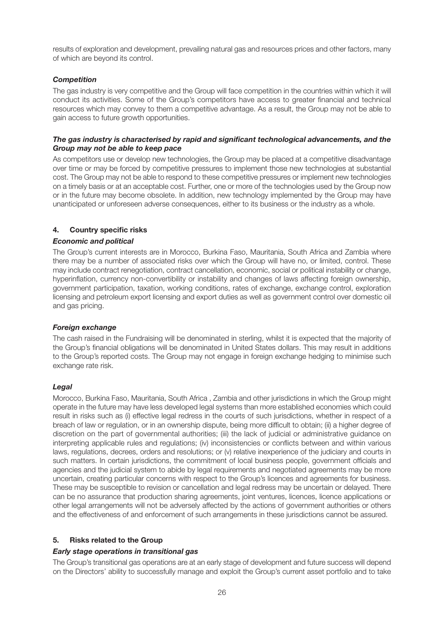results of exploration and development, prevailing natural gas and resources prices and other factors, many of which are beyond its control.

#### *Competition*

The gas industry is very competitive and the Group will face competition in the countries within which it will conduct its activities. Some of the Group's competitors have access to greater financial and technical resources which may convey to them a competitive advantage. As a result, the Group may not be able to gain access to future growth opportunities.

#### *The gas industry is characterised by rapid and significant technological advancements, and the Group may not be able to keep pace*

As competitors use or develop new technologies, the Group may be placed at a competitive disadvantage over time or may be forced by competitive pressures to implement those new technologies at substantial cost. The Group may not be able to respond to these competitive pressures or implement new technologies on a timely basis or at an acceptable cost. Further, one or more of the technologies used by the Group now or in the future may become obsolete. In addition, new technology implemented by the Group may have unanticipated or unforeseen adverse consequences, either to its business or the industry as a whole.

#### **4. Country specific risks**

#### *Economic and political*

The Group's current interests are in Morocco, Burkina Faso, Mauritania, South Africa and Zambia where there may be a number of associated risks over which the Group will have no, or limited, control. These may include contract renegotiation, contract cancellation, economic, social or political instability or change, hyperinflation, currency non-convertibility or instability and changes of laws affecting foreign ownership, government participation, taxation, working conditions, rates of exchange, exchange control, exploration licensing and petroleum export licensing and export duties as well as government control over domestic oil and gas pricing.

#### *Foreign exchange*

The cash raised in the Fundraising will be denominated in sterling, whilst it is expected that the majority of the Group's financial obligations will be denominated in United States dollars. This may result in additions to the Group's reported costs. The Group may not engage in foreign exchange hedging to minimise such exchange rate risk.

#### *Legal*

Morocco, Burkina Faso, Mauritania, South Africa , Zambia and other jurisdictions in which the Group might operate in the future may have less developed legal systems than more established economies which could result in risks such as (i) effective legal redress in the courts of such jurisdictions, whether in respect of a breach of law or regulation, or in an ownership dispute, being more difficult to obtain; (ii) a higher degree of discretion on the part of governmental authorities; (iii) the lack of judicial or administrative guidance on interpreting applicable rules and regulations; (iv) inconsistencies or conflicts between and within various laws, regulations, decrees, orders and resolutions; or (v) relative inexperience of the judiciary and courts in such matters. In certain jurisdictions, the commitment of local business people, government officials and agencies and the judicial system to abide by legal requirements and negotiated agreements may be more uncertain, creating particular concerns with respect to the Group's licences and agreements for business. These may be susceptible to revision or cancellation and legal redress may be uncertain or delayed. There can be no assurance that production sharing agreements, joint ventures, licences, licence applications or other legal arrangements will not be adversely affected by the actions of government authorities or others and the effectiveness of and enforcement of such arrangements in these jurisdictions cannot be assured.

#### **5. Risks related to the Group**

#### *Early stage operations in transitional gas*

The Group's transitional gas operations are at an early stage of development and future success will depend on the Directors' ability to successfully manage and exploit the Group's current asset portfolio and to take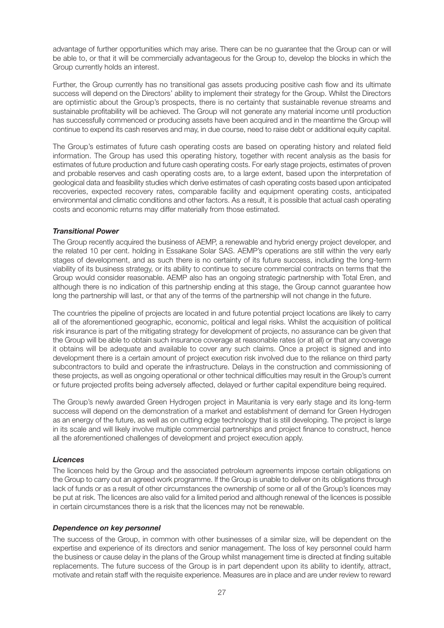advantage of further opportunities which may arise. There can be no guarantee that the Group can or will be able to, or that it will be commercially advantageous for the Group to, develop the blocks in which the Group currently holds an interest.

Further, the Group currently has no transitional gas assets producing positive cash flow and its ultimate success will depend on the Directors' ability to implement their strategy for the Group. Whilst the Directors are optimistic about the Group's prospects, there is no certainty that sustainable revenue streams and sustainable profitability will be achieved. The Group will not generate any material income until production has successfully commenced or producing assets have been acquired and in the meantime the Group will continue to expend its cash reserves and may, in due course, need to raise debt or additional equity capital.

The Group's estimates of future cash operating costs are based on operating history and related field information. The Group has used this operating history, together with recent analysis as the basis for estimates of future production and future cash operating costs. For early stage projects, estimates of proven and probable reserves and cash operating costs are, to a large extent, based upon the interpretation of geological data and feasibility studies which derive estimates of cash operating costs based upon anticipated recoveries, expected recovery rates, comparable facility and equipment operating costs, anticipated environmental and climatic conditions and other factors. As a result, it is possible that actual cash operating costs and economic returns may differ materially from those estimated.

#### *Transitional Power*

The Group recently acquired the business of AEMP, a renewable and hybrid energy project developer, and the related 10 per cent. holding in Essakane Solar SAS. AEMP's operations are still within the very early stages of development, and as such there is no certainty of its future success, including the long-term viability of its business strategy, or its ability to continue to secure commercial contracts on terms that the Group would consider reasonable. AEMP also has an ongoing strategic partnership with Total Eren, and although there is no indication of this partnership ending at this stage, the Group cannot guarantee how long the partnership will last, or that any of the terms of the partnership will not change in the future.

The countries the pipeline of projects are located in and future potential project locations are likely to carry all of the aforementioned geographic, economic, political and legal risks. Whilst the acquisition of political risk insurance is part of the mitigating strategy for development of projects, no assurance can be given that the Group will be able to obtain such insurance coverage at reasonable rates (or at all) or that any coverage it obtains will be adequate and available to cover any such claims. Once a project is signed and into development there is a certain amount of project execution risk involved due to the reliance on third party subcontractors to build and operate the infrastructure. Delays in the construction and commissioning of these projects, as well as ongoing operational or other technical difficulties may result in the Group's current or future projected profits being adversely affected, delayed or further capital expenditure being required.

The Group's newly awarded Green Hydrogen project in Mauritania is very early stage and its long-term success will depend on the demonstration of a market and establishment of demand for Green Hydrogen as an energy of the future, as well as on cutting edge technology that is still developing. The project is large in its scale and will likely involve multiple commercial partnerships and project finance to construct, hence all the aforementioned challenges of development and project execution apply.

#### *Licences*

The licences held by the Group and the associated petroleum agreements impose certain obligations on the Group to carry out an agreed work programme. If the Group is unable to deliver on its obligations through lack of funds or as a result of other circumstances the ownership of some or all of the Group's licences may be put at risk. The licences are also valid for a limited period and although renewal of the licences is possible in certain circumstances there is a risk that the licences may not be renewable.

#### *Dependence on key personnel*

The success of the Group, in common with other businesses of a similar size, will be dependent on the expertise and experience of its directors and senior management. The loss of key personnel could harm the business or cause delay in the plans of the Group whilst management time is directed at finding suitable replacements. The future success of the Group is in part dependent upon its ability to identify, attract, motivate and retain staff with the requisite experience. Measures are in place and are under review to reward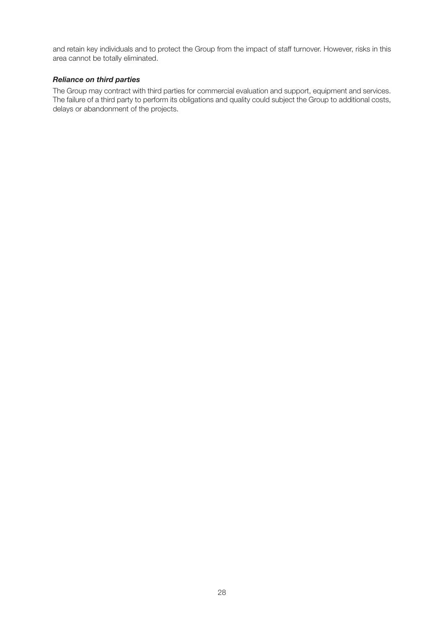and retain key individuals and to protect the Group from the impact of staff turnover. However, risks in this area cannot be totally eliminated.

#### *Reliance on third parties*

The Group may contract with third parties for commercial evaluation and support, equipment and services. The failure of a third party to perform its obligations and quality could subject the Group to additional costs, delays or abandonment of the projects.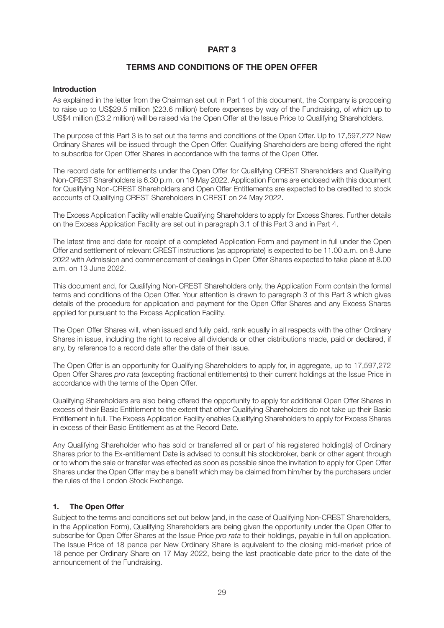#### **PART 3**

#### **TERMS AND CONDITIONS OF THE OPEN OFFER**

#### **Introduction**

As explained in the letter from the Chairman set out in Part 1 of this document, the Company is proposing to raise up to US\$29.5 million (£23.6 million) before expenses by way of the Fundraising, of which up to US\$4 million (£3.2 million) will be raised via the Open Offer at the Issue Price to Qualifying Shareholders.

The purpose of this Part 3 is to set out the terms and conditions of the Open Offer. Up to 17,597,272 New Ordinary Shares will be issued through the Open Offer. Qualifying Shareholders are being offered the right to subscribe for Open Offer Shares in accordance with the terms of the Open Offer.

The record date for entitlements under the Open Offer for Qualifying CREST Shareholders and Qualifying Non-CREST Shareholders is 6.30 p.m. on 19 May 2022. Application Forms are enclosed with this document for Qualifying Non-CREST Shareholders and Open Offer Entitlements are expected to be credited to stock accounts of Qualifying CREST Shareholders in CREST on 24 May 2022.

The Excess Application Facility will enable Qualifying Shareholders to apply for Excess Shares. Further details on the Excess Application Facility are set out in paragraph 3.1 of this Part 3 and in Part 4.

The latest time and date for receipt of a completed Application Form and payment in full under the Open Offer and settlement of relevant CREST instructions (as appropriate) is expected to be 11.00 a.m. on 8 June 2022 with Admission and commencement of dealings in Open Offer Shares expected to take place at 8.00 a.m. on 13 June 2022.

This document and, for Qualifying Non-CREST Shareholders only, the Application Form contain the formal terms and conditions of the Open Offer. Your attention is drawn to paragraph 3 of this Part 3 which gives details of the procedure for application and payment for the Open Offer Shares and any Excess Shares applied for pursuant to the Excess Application Facility.

The Open Offer Shares will, when issued and fully paid, rank equally in all respects with the other Ordinary Shares in issue, including the right to receive all dividends or other distributions made, paid or declared, if any, by reference to a record date after the date of their issue.

The Open Offer is an opportunity for Qualifying Shareholders to apply for, in aggregate, up to 17,597,272 Open Offer Shares pro rata (excepting fractional entitlements) to their current holdings at the Issue Price in accordance with the terms of the Open Offer.

Qualifying Shareholders are also being offered the opportunity to apply for additional Open Offer Shares in excess of their Basic Entitlement to the extent that other Qualifying Shareholders do not take up their Basic Entitlement in full. The Excess Application Facility enables Qualifying Shareholders to apply for Excess Shares in excess of their Basic Entitlement as at the Record Date.

Any Qualifying Shareholder who has sold or transferred all or part of his registered holding(s) of Ordinary Shares prior to the Ex-entitlement Date is advised to consult his stockbroker, bank or other agent through or to whom the sale or transfer was effected as soon as possible since the invitation to apply for Open Offer Shares under the Open Offer may be a benefit which may be claimed from him/her by the purchasers under the rules of the London Stock Exchange.

#### **1. The Open Offer**

Subject to the terms and conditions set out below (and, in the case of Qualifying Non-CREST Shareholders, in the Application Form), Qualifying Shareholders are being given the opportunity under the Open Offer to subscribe for Open Offer Shares at the Issue Price *pro rata* to their holdings, payable in full on application. The Issue Price of 18 pence per New Ordinary Share is equivalent to the closing mid-market price of 18 pence per Ordinary Share on 17 May 2022, being the last practicable date prior to the date of the announcement of the Fundraising.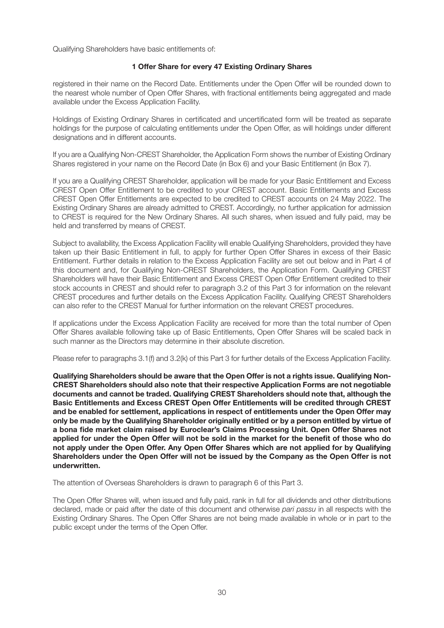Qualifying Shareholders have basic entitlements of:

#### **1 Offer Share for every 47 Existing Ordinary Shares**

registered in their name on the Record Date. Entitlements under the Open Offer will be rounded down to the nearest whole number of Open Offer Shares, with fractional entitlements being aggregated and made available under the Excess Application Facility.

Holdings of Existing Ordinary Shares in certificated and uncertificated form will be treated as separate holdings for the purpose of calculating entitlements under the Open Offer, as will holdings under different designations and in different accounts.

If you are a Qualifying Non-CREST Shareholder, the Application Form shows the number of Existing Ordinary Shares registered in your name on the Record Date (in Box 6) and your Basic Entitlement (in Box 7).

If you are a Qualifying CREST Shareholder, application will be made for your Basic Entitlement and Excess CREST Open Offer Entitlement to be credited to your CREST account. Basic Entitlements and Excess CREST Open Offer Entitlements are expected to be credited to CREST accounts on 24 May 2022. The Existing Ordinary Shares are already admitted to CREST. Accordingly, no further application for admission to CREST is required for the New Ordinary Shares. All such shares, when issued and fully paid, may be held and transferred by means of CREST.

Subject to availability, the Excess Application Facility will enable Qualifying Shareholders, provided they have taken up their Basic Entitlement in full, to apply for further Open Offer Shares in excess of their Basic Entitlement. Further details in relation to the Excess Application Facility are set out below and in Part 4 of this document and, for Qualifying Non-CREST Shareholders, the Application Form. Qualifying CREST Shareholders will have their Basic Entitlement and Excess CREST Open Offer Entitlement credited to their stock accounts in CREST and should refer to paragraph 3.2 of this Part 3 for information on the relevant CREST procedures and further details on the Excess Application Facility. Qualifying CREST Shareholders can also refer to the CREST Manual for further information on the relevant CREST procedures.

If applications under the Excess Application Facility are received for more than the total number of Open Offer Shares available following take up of Basic Entitlements, Open Offer Shares will be scaled back in such manner as the Directors may determine in their absolute discretion.

Please refer to paragraphs 3.1(f) and 3.2(k) of this Part 3 for further details of the Excess Application Facility.

**Qualifying Shareholders should be aware that the Open Offer is not a rights issue. Qualifying Non-CREST Shareholders should also note that their respective Application Forms are not negotiable documents and cannot be traded. Qualifying CREST Shareholders should note that, although the Basic Entitlements and Excess CREST Open Offer Entitlements will be credited through CREST and be enabled for settlement, applications in respect of entitlements under the Open Offer may only be made by the Qualifying Shareholder originally entitled or by a person entitled by virtue of a bona fide market claim raised by Euroclear's Claims Processing Unit. Open Offer Shares not applied for under the Open Offer will not be sold in the market for the benefit of those who do not apply under the Open Offer. Any Open Offer Shares which are not applied for by Qualifying Shareholders under the Open Offer will not be issued by the Company as the Open Offer is not underwritten.**

The attention of Overseas Shareholders is drawn to paragraph 6 of this Part 3.

The Open Offer Shares will, when issued and fully paid, rank in full for all dividends and other distributions declared, made or paid after the date of this document and otherwise pari passu in all respects with the Existing Ordinary Shares. The Open Offer Shares are not being made available in whole or in part to the public except under the terms of the Open Offer.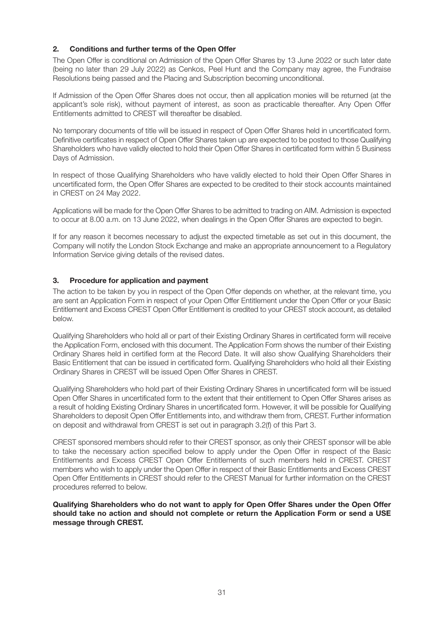#### **2. Conditions and further terms of the Open Offer**

The Open Offer is conditional on Admission of the Open Offer Shares by 13 June 2022 or such later date (being no later than 29 July 2022) as Cenkos, Peel Hunt and the Company may agree, the Fundraise Resolutions being passed and the Placing and Subscription becoming unconditional.

If Admission of the Open Offer Shares does not occur, then all application monies will be returned (at the applicant's sole risk), without payment of interest, as soon as practicable thereafter. Any Open Offer Entitlements admitted to CREST will thereafter be disabled.

No temporary documents of title will be issued in respect of Open Offer Shares held in uncertificated form. Definitive certificates in respect of Open Offer Shares taken up are expected to be posted to those Qualifying Shareholders who have validly elected to hold their Open Offer Shares in certificated form within 5 Business Days of Admission.

In respect of those Qualifying Shareholders who have validly elected to hold their Open Offer Shares in uncertificated form, the Open Offer Shares are expected to be credited to their stock accounts maintained in CREST on 24 May 2022.

Applications will be made for the Open Offer Shares to be admitted to trading on AIM. Admission is expected to occur at 8.00 a.m. on 13 June 2022, when dealings in the Open Offer Shares are expected to begin.

If for any reason it becomes necessary to adjust the expected timetable as set out in this document, the Company will notify the London Stock Exchange and make an appropriate announcement to a Regulatory Information Service giving details of the revised dates.

#### **3. Procedure for application and payment**

The action to be taken by you in respect of the Open Offer depends on whether, at the relevant time, you are sent an Application Form in respect of your Open Offer Entitlement under the Open Offer or your Basic Entitlement and Excess CREST Open Offer Entitlement is credited to your CREST stock account, as detailed below.

Qualifying Shareholders who hold all or part of their Existing Ordinary Shares in certificated form will receive the Application Form, enclosed with this document. The Application Form shows the number of their Existing Ordinary Shares held in certified form at the Record Date. It will also show Qualifying Shareholders their Basic Entitlement that can be issued in certificated form. Qualifying Shareholders who hold all their Existing Ordinary Shares in CREST will be issued Open Offer Shares in CREST.

Qualifying Shareholders who hold part of their Existing Ordinary Shares in uncertificated form will be issued Open Offer Shares in uncertificated form to the extent that their entitlement to Open Offer Shares arises as a result of holding Existing Ordinary Shares in uncertificated form. However, it will be possible for Qualifying Shareholders to deposit Open Offer Entitlements into, and withdraw them from, CREST. Further information on deposit and withdrawal from CREST is set out in paragraph 3.2(f) of this Part 3.

CREST sponsored members should refer to their CREST sponsor, as only their CREST sponsor will be able to take the necessary action specified below to apply under the Open Offer in respect of the Basic Entitlements and Excess CREST Open Offer Entitlements of such members held in CREST. CREST members who wish to apply under the Open Offer in respect of their Basic Entitlements and Excess CREST Open Offer Entitlements in CREST should refer to the CREST Manual for further information on the CREST procedures referred to below.

**Qualifying Shareholders who do not want to apply for Open Offer Shares under the Open Offer should take no action and should not complete or return the Application Form or send a USE message through CREST.**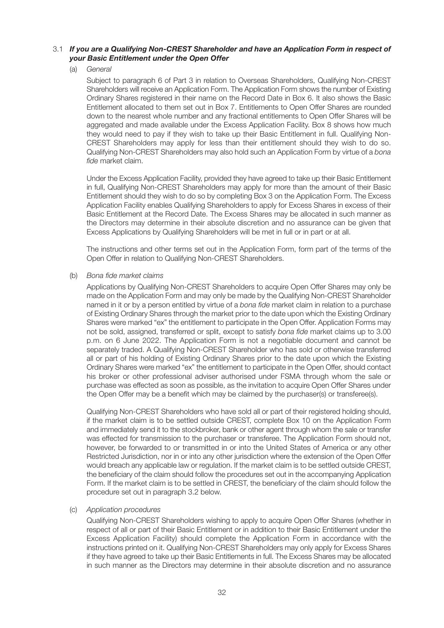#### 3.1 *If you are a Qualifying Non-CREST Shareholder and have an Application Form in respect of your Basic Entitlement under the Open Offer*

(a) General

Subject to paragraph 6 of Part 3 in relation to Overseas Shareholders, Qualifying Non-CREST Shareholders will receive an Application Form. The Application Form shows the number of Existing Ordinary Shares registered in their name on the Record Date in Box 6. It also shows the Basic Entitlement allocated to them set out in Box 7. Entitlements to Open Offer Shares are rounded down to the nearest whole number and any fractional entitlements to Open Offer Shares will be aggregated and made available under the Excess Application Facility. Box 8 shows how much they would need to pay if they wish to take up their Basic Entitlement in full. Qualifying Non-CREST Shareholders may apply for less than their entitlement should they wish to do so. Qualifying Non-CREST Shareholders may also hold such an Application Form by virtue of a bona fide market claim.

Under the Excess Application Facility, provided they have agreed to take up their Basic Entitlement in full, Qualifying Non-CREST Shareholders may apply for more than the amount of their Basic Entitlement should they wish to do so by completing Box 3 on the Application Form. The Excess Application Facility enables Qualifying Shareholders to apply for Excess Shares in excess of their Basic Entitlement at the Record Date. The Excess Shares may be allocated in such manner as the Directors may determine in their absolute discretion and no assurance can be given that Excess Applications by Qualifying Shareholders will be met in full or in part or at all.

The instructions and other terms set out in the Application Form, form part of the terms of the Open Offer in relation to Qualifying Non-CREST Shareholders.

(b) Bona fide market claims

Applications by Qualifying Non-CREST Shareholders to acquire Open Offer Shares may only be made on the Application Form and may only be made by the Qualifying Non-CREST Shareholder named in it or by a person entitled by virtue of a bona fide market claim in relation to a purchase of Existing Ordinary Shares through the market prior to the date upon which the Existing Ordinary Shares were marked "ex" the entitlement to participate in the Open Offer. Application Forms may not be sold, assigned, transferred or split, except to satisfy bona fide market claims up to 3.00 p.m. on 6 June 2022. The Application Form is not a negotiable document and cannot be separately traded. A Qualifying Non-CREST Shareholder who has sold or otherwise transferred all or part of his holding of Existing Ordinary Shares prior to the date upon which the Existing Ordinary Shares were marked "ex" the entitlement to participate in the Open Offer, should contact his broker or other professional adviser authorised under FSMA through whom the sale or purchase was effected as soon as possible, as the invitation to acquire Open Offer Shares under the Open Offer may be a benefit which may be claimed by the purchaser(s) or transferee(s).

Qualifying Non-CREST Shareholders who have sold all or part of their registered holding should, if the market claim is to be settled outside CREST, complete Box 10 on the Application Form and immediately send it to the stockbroker, bank or other agent through whom the sale or transfer was effected for transmission to the purchaser or transferee. The Application Form should not, however, be forwarded to or transmitted in or into the United States of America or any other Restricted Jurisdiction, nor in or into any other jurisdiction where the extension of the Open Offer would breach any applicable law or regulation. If the market claim is to be settled outside CREST, the beneficiary of the claim should follow the procedures set out in the accompanying Application Form. If the market claim is to be settled in CREST, the beneficiary of the claim should follow the procedure set out in paragraph 3.2 below.

#### (c) Application procedures

Qualifying Non-CREST Shareholders wishing to apply to acquire Open Offer Shares (whether in respect of all or part of their Basic Entitlement or in addition to their Basic Entitlement under the Excess Application Facility) should complete the Application Form in accordance with the instructions printed on it. Qualifying Non-CREST Shareholders may only apply for Excess Shares if they have agreed to take up their Basic Entitlements in full. The Excess Shares may be allocated in such manner as the Directors may determine in their absolute discretion and no assurance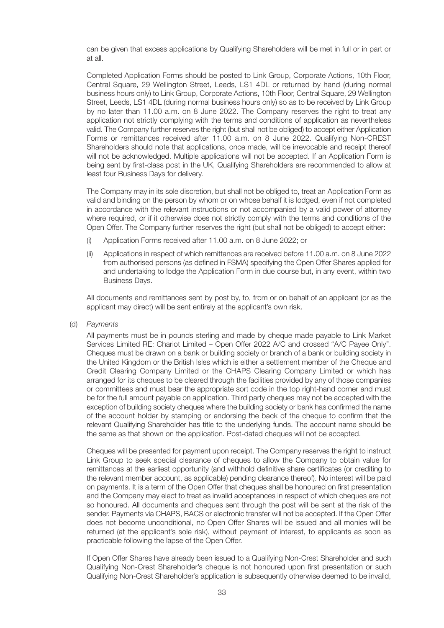can be given that excess applications by Qualifying Shareholders will be met in full or in part or at all.

Completed Application Forms should be posted to Link Group, Corporate Actions, 10th Floor, Central Square, 29 Wellington Street, Leeds, LS1 4DL or returned by hand (during normal business hours only) to Link Group, Corporate Actions, 10th Floor, Central Square, 29 Wellington Street, Leeds, LS1 4DL (during normal business hours only) so as to be received by Link Group by no later than 11.00 a.m. on 8 June 2022. The Company reserves the right to treat any application not strictly complying with the terms and conditions of application as nevertheless valid. The Company further reserves the right (but shall not be obliged) to accept either Application Forms or remittances received after 11.00 a.m. on 8 June 2022. Qualifying Non-CREST Shareholders should note that applications, once made, will be irrevocable and receipt thereof will not be acknowledged. Multiple applications will not be accepted. If an Application Form is being sent by first-class post in the UK, Qualifying Shareholders are recommended to allow at least four Business Days for delivery.

The Company may in its sole discretion, but shall not be obliged to, treat an Application Form as valid and binding on the person by whom or on whose behalf it is lodged, even if not completed in accordance with the relevant instructions or not accompanied by a valid power of attorney where required, or if it otherwise does not strictly comply with the terms and conditions of the Open Offer. The Company further reserves the right (but shall not be obliged) to accept either:

- (i) Application Forms received after 11.00 a.m. on 8 June 2022; or
- (ii) Applications in respect of which remittances are received before 11.00 a.m. on 8 June 2022 from authorised persons (as defined in FSMA) specifying the Open Offer Shares applied for and undertaking to lodge the Application Form in due course but, in any event, within two Business Days.

All documents and remittances sent by post by, to, from or on behalf of an applicant (or as the applicant may direct) will be sent entirely at the applicant's own risk.

(d) Payments

All payments must be in pounds sterling and made by cheque made payable to Link Market Services Limited RE: Chariot Limited – Open Offer 2022 A/C and crossed "A/C Payee Only". Cheques must be drawn on a bank or building society or branch of a bank or building society in the United Kingdom or the British Isles which is either a settlement member of the Cheque and Credit Clearing Company Limited or the CHAPS Clearing Company Limited or which has arranged for its cheques to be cleared through the facilities provided by any of those companies or committees and must bear the appropriate sort code in the top right-hand corner and must be for the full amount payable on application. Third party cheques may not be accepted with the exception of building society cheques where the building society or bank has confirmed the name of the account holder by stamping or endorsing the back of the cheque to confirm that the relevant Qualifying Shareholder has title to the underlying funds. The account name should be the same as that shown on the application. Post-dated cheques will not be accepted.

Cheques will be presented for payment upon receipt. The Company reserves the right to instruct Link Group to seek special clearance of cheques to allow the Company to obtain value for remittances at the earliest opportunity (and withhold definitive share certificates (or crediting to the relevant member account, as applicable) pending clearance thereof). No interest will be paid on payments. It is a term of the Open Offer that cheques shall be honoured on first presentation and the Company may elect to treat as invalid acceptances in respect of which cheques are not so honoured. All documents and cheques sent through the post will be sent at the risk of the sender. Payments via CHAPS, BACS or electronic transfer will not be accepted. If the Open Offer does not become unconditional, no Open Offer Shares will be issued and all monies will be returned (at the applicant's sole risk), without payment of interest, to applicants as soon as practicable following the lapse of the Open Offer.

If Open Offer Shares have already been issued to a Qualifying Non-Crest Shareholder and such Qualifying Non-Crest Shareholder's cheque is not honoured upon first presentation or such Qualifying Non-Crest Shareholder's application is subsequently otherwise deemed to be invalid,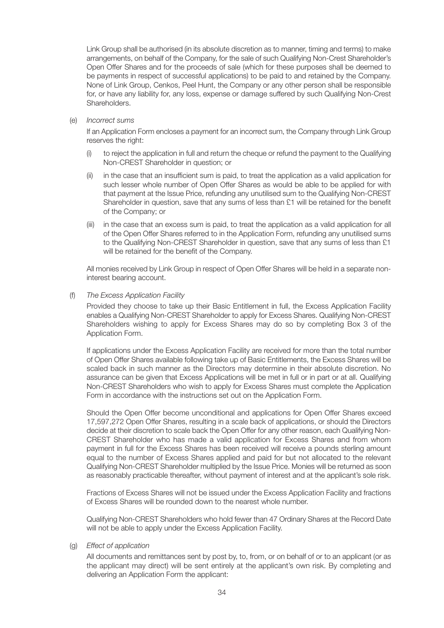Link Group shall be authorised (in its absolute discretion as to manner, timing and terms) to make arrangements, on behalf of the Company, for the sale of such Qualifying Non-Crest Shareholder's Open Offer Shares and for the proceeds of sale (which for these purposes shall be deemed to be payments in respect of successful applications) to be paid to and retained by the Company. None of Link Group, Cenkos, Peel Hunt, the Company or any other person shall be responsible for, or have any liability for, any loss, expense or damage suffered by such Qualifying Non-Crest Shareholders.

(e) Incorrect sums

If an Application Form encloses a payment for an incorrect sum, the Company through Link Group reserves the right:

- (i) to reject the application in full and return the cheque or refund the payment to the Qualifying Non-CREST Shareholder in question; or
- (ii) in the case that an insufficient sum is paid, to treat the application as a valid application for such lesser whole number of Open Offer Shares as would be able to be applied for with that payment at the Issue Price, refunding any unutilised sum to the Qualifying Non-CREST Shareholder in question, save that any sums of less than £1 will be retained for the benefit of the Company; or
- (iii) in the case that an excess sum is paid, to treat the application as a valid application for all of the Open Offer Shares referred to in the Application Form, refunding any unutilised sums to the Qualifying Non-CREST Shareholder in question, save that any sums of less than £1 will be retained for the benefit of the Company.

All monies received by Link Group in respect of Open Offer Shares will be held in a separate noninterest bearing account.

(f) The Excess Application Facility

Provided they choose to take up their Basic Entitlement in full, the Excess Application Facility enables a Qualifying Non-CREST Shareholder to apply for Excess Shares. Qualifying Non-CREST Shareholders wishing to apply for Excess Shares may do so by completing Box 3 of the Application Form.

If applications under the Excess Application Facility are received for more than the total number of Open Offer Shares available following take up of Basic Entitlements, the Excess Shares will be scaled back in such manner as the Directors may determine in their absolute discretion. No assurance can be given that Excess Applications will be met in full or in part or at all. Qualifying Non-CREST Shareholders who wish to apply for Excess Shares must complete the Application Form in accordance with the instructions set out on the Application Form.

Should the Open Offer become unconditional and applications for Open Offer Shares exceed 17,597,272 Open Offer Shares, resulting in a scale back of applications, or should the Directors decide at their discretion to scale back the Open Offer for any other reason, each Qualifying Non-CREST Shareholder who has made a valid application for Excess Shares and from whom payment in full for the Excess Shares has been received will receive a pounds sterling amount equal to the number of Excess Shares applied and paid for but not allocated to the relevant Qualifying Non-CREST Shareholder multiplied by the Issue Price. Monies will be returned as soon as reasonably practicable thereafter, without payment of interest and at the applicant's sole risk.

Fractions of Excess Shares will not be issued under the Excess Application Facility and fractions of Excess Shares will be rounded down to the nearest whole number.

Qualifying Non-CREST Shareholders who hold fewer than 47 Ordinary Shares at the Record Date will not be able to apply under the Excess Application Facility.

(g) Effect of application

All documents and remittances sent by post by, to, from, or on behalf of or to an applicant (or as the applicant may direct) will be sent entirely at the applicant's own risk. By completing and delivering an Application Form the applicant: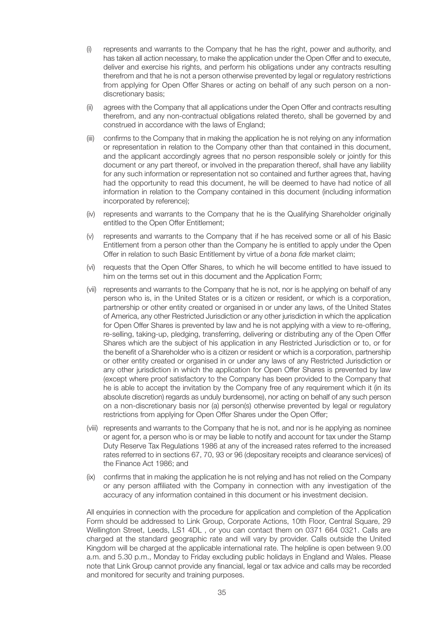- (i) represents and warrants to the Company that he has the right, power and authority, and has taken all action necessary, to make the application under the Open Offer and to execute, deliver and exercise his rights, and perform his obligations under any contracts resulting therefrom and that he is not a person otherwise prevented by legal or regulatory restrictions from applying for Open Offer Shares or acting on behalf of any such person on a nondiscretionary basis;
- (ii) agrees with the Company that all applications under the Open Offer and contracts resulting therefrom, and any non-contractual obligations related thereto, shall be governed by and construed in accordance with the laws of England;
- (iii) confirms to the Company that in making the application he is not relying on any information or representation in relation to the Company other than that contained in this document, and the applicant accordingly agrees that no person responsible solely or jointly for this document or any part thereof, or involved in the preparation thereof, shall have any liability for any such information or representation not so contained and further agrees that, having had the opportunity to read this document, he will be deemed to have had notice of all information in relation to the Company contained in this document (including information incorporated by reference);
- (iv) represents and warrants to the Company that he is the Qualifying Shareholder originally entitled to the Open Offer Entitlement;
- (v) represents and warrants to the Company that if he has received some or all of his Basic Entitlement from a person other than the Company he is entitled to apply under the Open Offer in relation to such Basic Entitlement by virtue of a bona fide market claim;
- (vi) requests that the Open Offer Shares, to which he will become entitled to have issued to him on the terms set out in this document and the Application Form;
- (vii) represents and warrants to the Company that he is not, nor is he applying on behalf of any person who is, in the United States or is a citizen or resident, or which is a corporation, partnership or other entity created or organised in or under any laws, of the United States of America, any other Restricted Jurisdiction or any other jurisdiction in which the application for Open Offer Shares is prevented by law and he is not applying with a view to re-offering, re-selling, taking-up, pledging, transferring, delivering or distributing any of the Open Offer Shares which are the subject of his application in any Restricted Jurisdiction or to, or for the benefit of a Shareholder who is a citizen or resident or which is a corporation, partnership or other entity created or organised in or under any laws of any Restricted Jurisdiction or any other jurisdiction in which the application for Open Offer Shares is prevented by law (except where proof satisfactory to the Company has been provided to the Company that he is able to accept the invitation by the Company free of any requirement which it (in its absolute discretion) regards as unduly burdensome), nor acting on behalf of any such person on a non-discretionary basis nor (a) person(s) otherwise prevented by legal or regulatory restrictions from applying for Open Offer Shares under the Open Offer;
- (viii) represents and warrants to the Company that he is not, and nor is he applying as nominee or agent for, a person who is or may be liable to notify and account for tax under the Stamp Duty Reserve Tax Regulations 1986 at any of the increased rates referred to the increased rates referred to in sections 67, 70, 93 or 96 (depositary receipts and clearance services) of the Finance Act 1986; and
- (ix) confirms that in making the application he is not relying and has not relied on the Company or any person affiliated with the Company in connection with any investigation of the accuracy of any information contained in this document or his investment decision.

All enquiries in connection with the procedure for application and completion of the Application Form should be addressed to Link Group, Corporate Actions, 10th Floor, Central Square, 29 Wellington Street, Leeds, LS1 4DL , or you can contact them on 0371 664 0321. Calls are charged at the standard geographic rate and will vary by provider. Calls outside the United Kingdom will be charged at the applicable international rate. The helpline is open between 9.00 a.m. and 5.30 p.m., Monday to Friday excluding public holidays in England and Wales. Please note that Link Group cannot provide any financial, legal or tax advice and calls may be recorded and monitored for security and training purposes.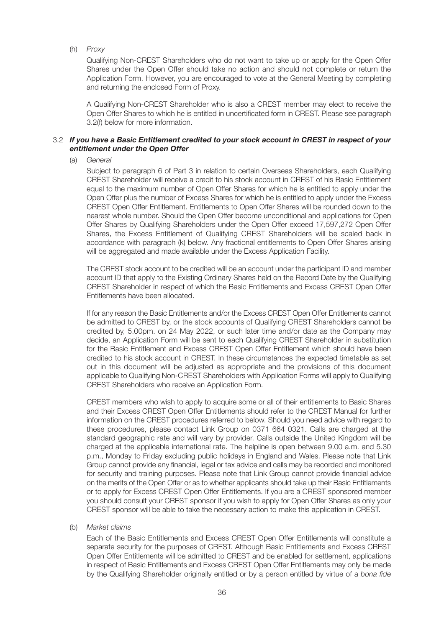(h) Proxy

Qualifying Non-CREST Shareholders who do not want to take up or apply for the Open Offer Shares under the Open Offer should take no action and should not complete or return the Application Form. However, you are encouraged to vote at the General Meeting by completing and returning the enclosed Form of Proxy.

A Qualifying Non-CREST Shareholder who is also a CREST member may elect to receive the Open Offer Shares to which he is entitled in uncertificated form in CREST. Please see paragraph 3.2(f) below for more information.

#### 3.2 *If you have a Basic Entitlement credited to your stock account in CREST in respect of your entitlement under the Open Offer*

(a) General

Subject to paragraph 6 of Part 3 in relation to certain Overseas Shareholders, each Qualifying CREST Shareholder will receive a credit to his stock account in CREST of his Basic Entitlement equal to the maximum number of Open Offer Shares for which he is entitled to apply under the Open Offer plus the number of Excess Shares for which he is entitled to apply under the Excess CREST Open Offer Entitlement. Entitlements to Open Offer Shares will be rounded down to the nearest whole number. Should the Open Offer become unconditional and applications for Open Offer Shares by Qualifying Shareholders under the Open Offer exceed 17,597,272 Open Offer Shares, the Excess Entitlement of Qualifying CREST Shareholders will be scaled back in accordance with paragraph (k) below. Any fractional entitlements to Open Offer Shares arising will be aggregated and made available under the Excess Application Facility.

The CREST stock account to be credited will be an account under the participant ID and member account ID that apply to the Existing Ordinary Shares held on the Record Date by the Qualifying CREST Shareholder in respect of which the Basic Entitlements and Excess CREST Open Offer Entitlements have been allocated.

If for any reason the Basic Entitlements and/or the Excess CREST Open Offer Entitlements cannot be admitted to CREST by, or the stock accounts of Qualifying CREST Shareholders cannot be credited by, 5.00pm. on 24 May 2022, or such later time and/or date as the Company may decide, an Application Form will be sent to each Qualifying CREST Shareholder in substitution for the Basic Entitlement and Excess CREST Open Offer Entitlement which should have been credited to his stock account in CREST. In these circumstances the expected timetable as set out in this document will be adjusted as appropriate and the provisions of this document applicable to Qualifying Non-CREST Shareholders with Application Forms will apply to Qualifying CREST Shareholders who receive an Application Form.

CREST members who wish to apply to acquire some or all of their entitlements to Basic Shares and their Excess CREST Open Offer Entitlements should refer to the CREST Manual for further information on the CREST procedures referred to below. Should you need advice with regard to these procedures, please contact Link Group on 0371 664 0321. Calls are charged at the standard geographic rate and will vary by provider. Calls outside the United Kingdom will be charged at the applicable international rate. The helpline is open between 9.00 a.m. and 5.30 p.m., Monday to Friday excluding public holidays in England and Wales. Please note that Link Group cannot provide any financial, legal or tax advice and calls may be recorded and monitored for security and training purposes. Please note that Link Group cannot provide financial advice on the merits of the Open Offer or as to whether applicants should take up their Basic Entitlements or to apply for Excess CREST Open Offer Entitlements. If you are a CREST sponsored member you should consult your CREST sponsor if you wish to apply for Open Offer Shares as only your CREST sponsor will be able to take the necessary action to make this application in CREST.

(b) Market claims

Each of the Basic Entitlements and Excess CREST Open Offer Entitlements will constitute a separate security for the purposes of CREST. Although Basic Entitlements and Excess CREST Open Offer Entitlements will be admitted to CREST and be enabled for settlement, applications in respect of Basic Entitlements and Excess CREST Open Offer Entitlements may only be made by the Qualifying Shareholder originally entitled or by a person entitled by virtue of a bona fide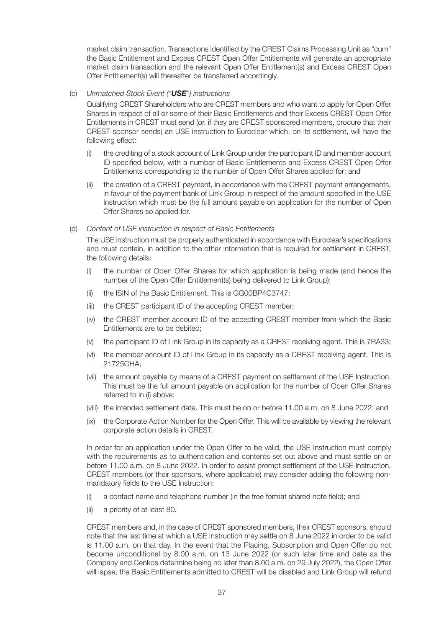market claim transaction. Transactions identified by the CREST Claims Processing Unit as "cum" the Basic Entitlement and Excess CREST Open Offer Entitlements will generate an appropriate market claim transaction and the relevant Open Offer Entitlement(s) and Excess CREST Open Offer Entitlement(s) will thereafter be transferred accordingly.

#### (c) Unmatched Stock Event ("*USE*") instructions

Qualifying CREST Shareholders who are CREST members and who want to apply for Open Offer Shares in respect of all or some of their Basic Entitlements and their Excess CREST Open Offer Entitlements in CREST must send (or, if they are CREST sponsored members, procure that their CREST sponsor sends) an USE instruction to Euroclear which, on its settlement, will have the following effect:

- (i) the crediting of a stock account of Link Group under the participant ID and member account ID specified below, with a number of Basic Entitlements and Excess CREST Open Offer Entitlements corresponding to the number of Open Offer Shares applied for; and
- (ii) the creation of a CREST payment, in accordance with the CREST payment arrangements, in favour of the payment bank of Link Group in respect of the amount specified in the USE Instruction which must be the full amount payable on application for the number of Open Offer Shares so applied for.

#### (d) Content of USE instruction in respect of Basic Entitlements

The USE instruction must be properly authenticated in accordance with Euroclear's specifications and must contain, in addition to the other information that is required for settlement in CREST, the following details:

- (i) the number of Open Offer Shares for which application is being made (and hence the number of the Open Offer Entitlement(s) being delivered to Link Group);
- (ii) the ISIN of the Basic Entitlement. This is GG00BP4C3747;
- (iii) the CREST participant ID of the accepting CREST member;
- (iv) the CREST member account ID of the accepting CREST member from which the Basic Entitlements are to be debited;
- (v) the participant ID of Link Group in its capacity as a CREST receiving agent. This is 7RA33;
- (vi) the member account ID of Link Group in its capacity as a CREST receiving agent. This is 21725CHA;
- (vii) the amount payable by means of a CREST payment on settlement of the USE Instruction. This must be the full amount payable on application for the number of Open Offer Shares referred to in (i) above;
- (viii) the intended settlement date. This must be on or before 11.00 a.m. on 8 June 2022; and
- (ix) the Corporate Action Number for the Open Offer. This will be available by viewing the relevant corporate action details in CREST.

In order for an application under the Open Offer to be valid, the USE Instruction must comply with the requirements as to authentication and contents set out above and must settle on or before 11.00 a.m. on 8 June 2022. In order to assist prompt settlement of the USE Instruction, CREST members (or their sponsors, where applicable) may consider adding the following nonmandatory fields to the USE Instruction:

- (i) a contact name and telephone number (in the free format shared note field); and
- (ii) a priority of at least 80.

CREST members and, in the case of CREST sponsored members, their CREST sponsors, should note that the last time at which a USE Instruction may settle on 8 June 2022 in order to be valid is 11.00 a.m. on that day. In the event that the Placing, Subscription and Open Offer do not become unconditional by 8.00 a.m. on 13 June 2022 (or such later time and date as the Company and Cenkos determine being no later than 8.00 a.m. on 29 July 2022), the Open Offer will lapse, the Basic Entitlements admitted to CREST will be disabled and Link Group will refund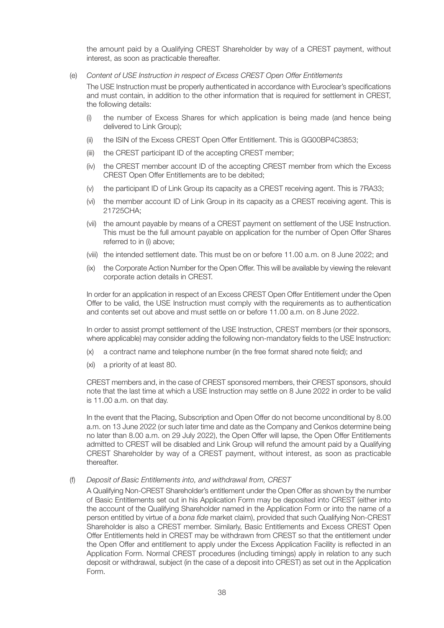the amount paid by a Qualifying CREST Shareholder by way of a CREST payment, without interest, as soon as practicable thereafter.

(e) Content of USE Instruction in respect of Excess CREST Open Offer Entitlements

The USE Instruction must be properly authenticated in accordance with Euroclear's specifications and must contain, in addition to the other information that is required for settlement in CREST, the following details:

- (i) the number of Excess Shares for which application is being made (and hence being delivered to Link Group);
- (ii) the ISIN of the Excess CREST Open Offer Entitlement. This is GG00BP4C3853;
- (iii) the CREST participant ID of the accepting CREST member;
- (iv) the CREST member account ID of the accepting CREST member from which the Excess CREST Open Offer Entitlements are to be debited;
- (v) the participant ID of Link Group its capacity as a CREST receiving agent. This is 7RA33;
- (vi) the member account ID of Link Group in its capacity as a CREST receiving agent. This is 21725CHA;
- (vii) the amount payable by means of a CREST payment on settlement of the USE Instruction. This must be the full amount payable on application for the number of Open Offer Shares referred to in (i) above;
- (viii) the intended settlement date. This must be on or before 11.00 a.m. on 8 June 2022; and
- (ix) the Corporate Action Number for the Open Offer. This will be available by viewing the relevant corporate action details in CREST.

In order for an application in respect of an Excess CREST Open Offer Entitlement under the Open Offer to be valid, the USE Instruction must comply with the requirements as to authentication and contents set out above and must settle on or before 11.00 a.m. on 8 June 2022.

In order to assist prompt settlement of the USE Instruction, CREST members (or their sponsors, where applicable) may consider adding the following non-mandatory fields to the USE Instruction:

- (x) a contract name and telephone number (in the free format shared note field); and
- (xi) a priority of at least 80.

CREST members and, in the case of CREST sponsored members, their CREST sponsors, should note that the last time at which a USE Instruction may settle on 8 June 2022 in order to be valid is 11.00 a.m. on that day.

In the event that the Placing, Subscription and Open Offer do not become unconditional by 8.00 a.m. on 13 June 2022 (or such later time and date as the Company and Cenkos determine being no later than 8.00 a.m. on 29 July 2022), the Open Offer will lapse, the Open Offer Entitlements admitted to CREST will be disabled and Link Group will refund the amount paid by a Qualifying CREST Shareholder by way of a CREST payment, without interest, as soon as practicable thereafter.

(f) Deposit of Basic Entitlements into, and withdrawal from, CREST

A Qualifying Non-CREST Shareholder's entitlement under the Open Offer as shown by the number of Basic Entitlements set out in his Application Form may be deposited into CREST (either into the account of the Qualifying Shareholder named in the Application Form or into the name of a person entitled by virtue of a bona fide market claim), provided that such Qualifying Non-CREST Shareholder is also a CREST member. Similarly, Basic Entitlements and Excess CREST Open Offer Entitlements held in CREST may be withdrawn from CREST so that the entitlement under the Open Offer and entitlement to apply under the Excess Application Facility is reflected in an Application Form. Normal CREST procedures (including timings) apply in relation to any such deposit or withdrawal, subject (in the case of a deposit into CREST) as set out in the Application Form.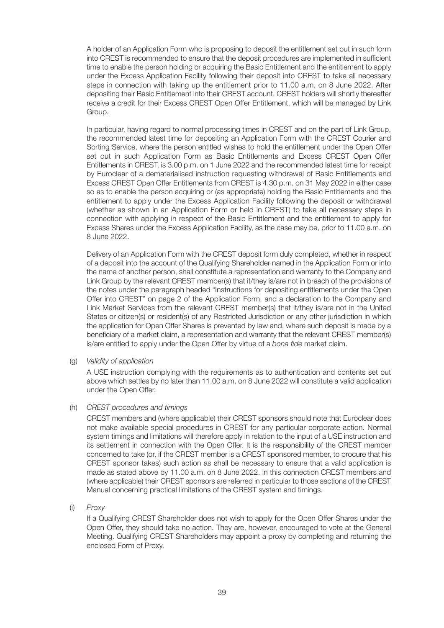A holder of an Application Form who is proposing to deposit the entitlement set out in such form into CREST is recommended to ensure that the deposit procedures are implemented in sufficient time to enable the person holding or acquiring the Basic Entitlement and the entitlement to apply under the Excess Application Facility following their deposit into CREST to take all necessary steps in connection with taking up the entitlement prior to 11.00 a.m. on 8 June 2022. After depositing their Basic Entitlement into their CREST account, CREST holders will shortly thereafter receive a credit for their Excess CREST Open Offer Entitlement, which will be managed by Link Group.

In particular, having regard to normal processing times in CREST and on the part of Link Group, the recommended latest time for depositing an Application Form with the CREST Courier and Sorting Service, where the person entitled wishes to hold the entitlement under the Open Offer set out in such Application Form as Basic Entitlements and Excess CREST Open Offer Entitlements in CREST, is 3.00 p.m. on 1 June 2022 and the recommended latest time for receipt by Euroclear of a dematerialised instruction requesting withdrawal of Basic Entitlements and Excess CREST Open Offer Entitlements from CREST is 4.30 p.m. on 31 May 2022 in either case so as to enable the person acquiring or (as appropriate) holding the Basic Entitlements and the entitlement to apply under the Excess Application Facility following the deposit or withdrawal (whether as shown in an Application Form or held in CREST) to take all necessary steps in connection with applying in respect of the Basic Entitlement and the entitlement to apply for Excess Shares under the Excess Application Facility, as the case may be, prior to 11.00 a.m. on 8 June 2022.

Delivery of an Application Form with the CREST deposit form duly completed, whether in respect of a deposit into the account of the Qualifying Shareholder named in the Application Form or into the name of another person, shall constitute a representation and warranty to the Company and Link Group by the relevant CREST member(s) that it/they is/are not in breach of the provisions of the notes under the paragraph headed "Instructions for depositing entitlements under the Open Offer into CREST" on page 2 of the Application Form, and a declaration to the Company and Link Market Services from the relevant CREST member(s) that it/they is/are not in the United States or citizen(s) or resident(s) of any Restricted Jurisdiction or any other jurisdiction in which the application for Open Offer Shares is prevented by law and, where such deposit is made by a beneficiary of a market claim, a representation and warranty that the relevant CREST member(s) is/are entitled to apply under the Open Offer by virtue of a bona fide market claim.

(g) Validity of application

A USE instruction complying with the requirements as to authentication and contents set out above which settles by no later than 11.00 a.m. on 8 June 2022 will constitute a valid application under the Open Offer.

(h) CREST procedures and timings

CREST members and (where applicable) their CREST sponsors should note that Euroclear does not make available special procedures in CREST for any particular corporate action. Normal system timings and limitations will therefore apply in relation to the input of a USE instruction and its settlement in connection with the Open Offer. It is the responsibility of the CREST member concerned to take (or, if the CREST member is a CREST sponsored member, to procure that his CREST sponsor takes) such action as shall be necessary to ensure that a valid application is made as stated above by 11.00 a.m. on 8 June 2022. In this connection CREST members and (where applicable) their CREST sponsors are referred in particular to those sections of the CREST Manual concerning practical limitations of the CREST system and timings.

(i) Proxy

If a Qualifying CREST Shareholder does not wish to apply for the Open Offer Shares under the Open Offer, they should take no action. They are, however, encouraged to vote at the General Meeting. Qualifying CREST Shareholders may appoint a proxy by completing and returning the enclosed Form of Proxy.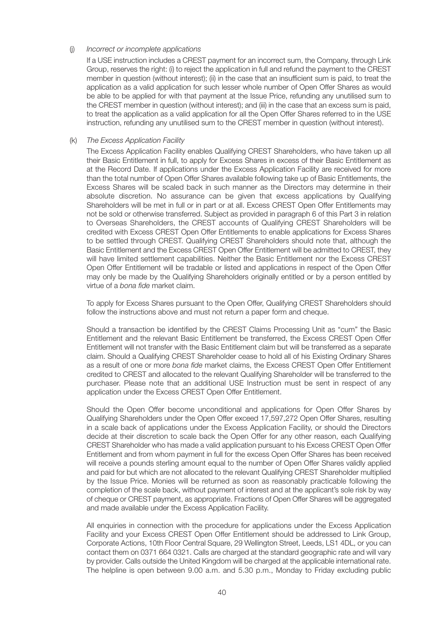#### (j) Incorrect or incomplete applications

If a USE instruction includes a CREST payment for an incorrect sum, the Company, through Link Group, reserves the right: (i) to reject the application in full and refund the payment to the CREST member in question (without interest); (ii) in the case that an insufficient sum is paid, to treat the application as a valid application for such lesser whole number of Open Offer Shares as would be able to be applied for with that payment at the Issue Price, refunding any unutilised sum to the CREST member in question (without interest); and (iii) in the case that an excess sum is paid, to treat the application as a valid application for all the Open Offer Shares referred to in the USE instruction, refunding any unutilised sum to the CREST member in question (without interest).

#### (k) The Excess Application Facility

The Excess Application Facility enables Qualifying CREST Shareholders, who have taken up all their Basic Entitlement in full, to apply for Excess Shares in excess of their Basic Entitlement as at the Record Date. If applications under the Excess Application Facility are received for more than the total number of Open Offer Shares available following take up of Basic Entitlements, the Excess Shares will be scaled back in such manner as the Directors may determine in their absolute discretion. No assurance can be given that excess applications by Qualifying Shareholders will be met in full or in part or at all. Excess CREST Open Offer Entitlements may not be sold or otherwise transferred. Subject as provided in paragraph 6 of this Part 3 in relation to Overseas Shareholders, the CREST accounts of Qualifying CREST Shareholders will be credited with Excess CREST Open Offer Entitlements to enable applications for Excess Shares to be settled through CREST. Qualifying CREST Shareholders should note that, although the Basic Entitlement and the Excess CREST Open Offer Entitlement will be admitted to CREST, they will have limited settlement capabilities. Neither the Basic Entitlement nor the Excess CREST Open Offer Entitlement will be tradable or listed and applications in respect of the Open Offer may only be made by the Qualifying Shareholders originally entitled or by a person entitled by virtue of a bona fide market claim.

To apply for Excess Shares pursuant to the Open Offer, Qualifying CREST Shareholders should follow the instructions above and must not return a paper form and cheque.

Should a transaction be identified by the CREST Claims Processing Unit as "cum" the Basic Entitlement and the relevant Basic Entitlement be transferred, the Excess CREST Open Offer Entitlement will not transfer with the Basic Entitlement claim but will be transferred as a separate claim. Should a Qualifying CREST Shareholder cease to hold all of his Existing Ordinary Shares as a result of one or more bona fide market claims, the Excess CREST Open Offer Entitlement credited to CREST and allocated to the relevant Qualifying Shareholder will be transferred to the purchaser. Please note that an additional USE Instruction must be sent in respect of any application under the Excess CREST Open Offer Entitlement.

Should the Open Offer become unconditional and applications for Open Offer Shares by Qualifying Shareholders under the Open Offer exceed 17,597,272 Open Offer Shares, resulting in a scale back of applications under the Excess Application Facility, or should the Directors decide at their discretion to scale back the Open Offer for any other reason, each Qualifying CREST Shareholder who has made a valid application pursuant to his Excess CREST Open Offer Entitlement and from whom payment in full for the excess Open Offer Shares has been received will receive a pounds sterling amount equal to the number of Open Offer Shares validly applied and paid for but which are not allocated to the relevant Qualifying CREST Shareholder multiplied by the Issue Price. Monies will be returned as soon as reasonably practicable following the completion of the scale back, without payment of interest and at the applicant's sole risk by way of cheque or CREST payment, as appropriate. Fractions of Open Offer Shares will be aggregated and made available under the Excess Application Facility.

All enquiries in connection with the procedure for applications under the Excess Application Facility and your Excess CREST Open Offer Entitlement should be addressed to Link Group, Corporate Actions, 10th Floor Central Square, 29 Wellington Street, Leeds, LS1 4DL, or you can contact them on 0371 664 0321. Calls are charged at the standard geographic rate and will vary by provider. Calls outside the United Kingdom will be charged at the applicable international rate. The helpline is open between 9.00 a.m. and 5.30 p.m., Monday to Friday excluding public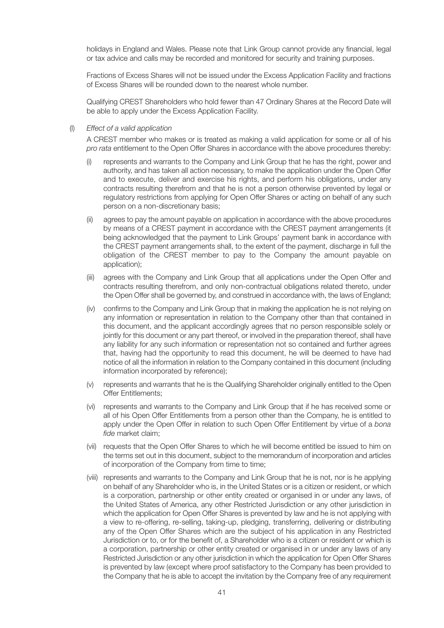holidays in England and Wales. Please note that Link Group cannot provide any financial, legal or tax advice and calls may be recorded and monitored for security and training purposes.

Fractions of Excess Shares will not be issued under the Excess Application Facility and fractions of Excess Shares will be rounded down to the nearest whole number.

Qualifying CREST Shareholders who hold fewer than 47 Ordinary Shares at the Record Date will be able to apply under the Excess Application Facility.

(l) Effect of a valid application

A CREST member who makes or is treated as making a valid application for some or all of his pro rata entitlement to the Open Offer Shares in accordance with the above procedures thereby:

- represents and warrants to the Company and Link Group that he has the right, power and authority, and has taken all action necessary, to make the application under the Open Offer and to execute, deliver and exercise his rights, and perform his obligations, under any contracts resulting therefrom and that he is not a person otherwise prevented by legal or regulatory restrictions from applying for Open Offer Shares or acting on behalf of any such person on a non-discretionary basis;
- (ii) agrees to pay the amount payable on application in accordance with the above procedures by means of a CREST payment in accordance with the CREST payment arrangements (it being acknowledged that the payment to Link Groups' payment bank in accordance with the CREST payment arrangements shall, to the extent of the payment, discharge in full the obligation of the CREST member to pay to the Company the amount payable on application);
- (iii) agrees with the Company and Link Group that all applications under the Open Offer and contracts resulting therefrom, and only non-contractual obligations related thereto, under the Open Offer shall be governed by, and construed in accordance with, the laws of England;
- (iv) confirms to the Company and Link Group that in making the application he is not relying on any information or representation in relation to the Company other than that contained in this document, and the applicant accordingly agrees that no person responsible solely or jointly for this document or any part thereof, or involved in the preparation thereof, shall have any liability for any such information or representation not so contained and further agrees that, having had the opportunity to read this document, he will be deemed to have had notice of all the information in relation to the Company contained in this document (including information incorporated by reference);
- (v) represents and warrants that he is the Qualifying Shareholder originally entitled to the Open Offer Entitlements;
- (vi) represents and warrants to the Company and Link Group that if he has received some or all of his Open Offer Entitlements from a person other than the Company, he is entitled to apply under the Open Offer in relation to such Open Offer Entitlement by virtue of a bona fide market claim;
- (vii) requests that the Open Offer Shares to which he will become entitled be issued to him on the terms set out in this document, subject to the memorandum of incorporation and articles of incorporation of the Company from time to time;
- (viii) represents and warrants to the Company and Link Group that he is not, nor is he applying on behalf of any Shareholder who is, in the United States or is a citizen or resident, or which is a corporation, partnership or other entity created or organised in or under any laws, of the United States of America, any other Restricted Jurisdiction or any other jurisdiction in which the application for Open Offer Shares is prevented by law and he is not applying with a view to re-offering, re-selling, taking-up, pledging, transferring, delivering or distributing any of the Open Offer Shares which are the subject of his application in any Restricted Jurisdiction or to, or for the benefit of, a Shareholder who is a citizen or resident or which is a corporation, partnership or other entity created or organised in or under any laws of any Restricted Jurisdiction or any other jurisdiction in which the application for Open Offer Shares is prevented by law (except where proof satisfactory to the Company has been provided to the Company that he is able to accept the invitation by the Company free of any requirement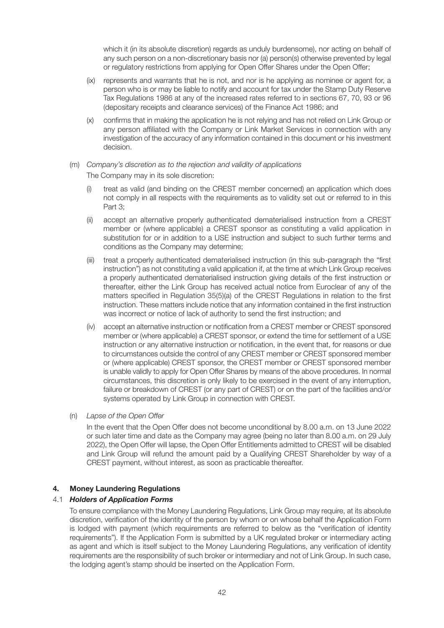which it (in its absolute discretion) regards as unduly burdensome), nor acting on behalf of any such person on a non-discretionary basis nor (a) person(s) otherwise prevented by legal or regulatory restrictions from applying for Open Offer Shares under the Open Offer;

- (ix) represents and warrants that he is not, and nor is he applying as nominee or agent for, a person who is or may be liable to notify and account for tax under the Stamp Duty Reserve Tax Regulations 1986 at any of the increased rates referred to in sections 67, 70, 93 or 96 (depositary receipts and clearance services) of the Finance Act 1986; and
- (x) confirms that in making the application he is not relying and has not relied on Link Group or any person affiliated with the Company or Link Market Services in connection with any investigation of the accuracy of any information contained in this document or his investment decision.

#### (m) Company's discretion as to the rejection and validity of applications

The Company may in its sole discretion:

- (i) treat as valid (and binding on the CREST member concerned) an application which does not comply in all respects with the requirements as to validity set out or referred to in this Part 3:
- (ii) accept an alternative properly authenticated dematerialised instruction from a CREST member or (where applicable) a CREST sponsor as constituting a valid application in substitution for or in addition to a USE instruction and subject to such further terms and conditions as the Company may determine;
- (iii) treat a properly authenticated dematerialised instruction (in this sub-paragraph the "first instruction") as not constituting a valid application if, at the time at which Link Group receives a properly authenticated dematerialised instruction giving details of the first instruction or thereafter, either the Link Group has received actual notice from Euroclear of any of the matters specified in Regulation 35(5)(a) of the CREST Regulations in relation to the first instruction. These matters include notice that any information contained in the first instruction was incorrect or notice of lack of authority to send the first instruction; and
- (iv) accept an alternative instruction or notification from a CREST member or CREST sponsored member or (where applicable) a CREST sponsor, or extend the time for settlement of a USE instruction or any alternative instruction or notification, in the event that, for reasons or due to circumstances outside the control of any CREST member or CREST sponsored member or (where applicable) CREST sponsor, the CREST member or CREST sponsored member is unable validly to apply for Open Offer Shares by means of the above procedures. In normal circumstances, this discretion is only likely to be exercised in the event of any interruption, failure or breakdown of CREST (or any part of CREST) or on the part of the facilities and/or systems operated by Link Group in connection with CREST.
- (n) Lapse of the Open Offer

In the event that the Open Offer does not become unconditional by 8.00 a.m. on 13 June 2022 or such later time and date as the Company may agree (being no later than 8.00 a.m. on 29 July 2022), the Open Offer will lapse, the Open Offer Entitlements admitted to CREST will be disabled and Link Group will refund the amount paid by a Qualifying CREST Shareholder by way of a CREST payment, without interest, as soon as practicable thereafter.

#### **4. Money Laundering Regulations**

#### 4.1 *Holders of Application Forms*

To ensure compliance with the Money Laundering Regulations, Link Group may require, at its absolute discretion, verification of the identity of the person by whom or on whose behalf the Application Form is lodged with payment (which requirements are referred to below as the "verification of identity requirements"). If the Application Form is submitted by a UK regulated broker or intermediary acting as agent and which is itself subject to the Money Laundering Regulations, any verification of identity requirements are the responsibility of such broker or intermediary and not of Link Group. In such case, the lodging agent's stamp should be inserted on the Application Form.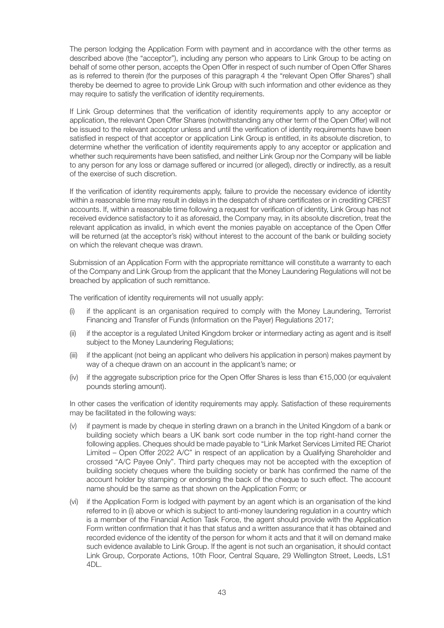The person lodging the Application Form with payment and in accordance with the other terms as described above (the "acceptor"), including any person who appears to Link Group to be acting on behalf of some other person, accepts the Open Offer in respect of such number of Open Offer Shares as is referred to therein (for the purposes of this paragraph 4 the "relevant Open Offer Shares") shall thereby be deemed to agree to provide Link Group with such information and other evidence as they may require to satisfy the verification of identity requirements.

If Link Group determines that the verification of identity requirements apply to any acceptor or application, the relevant Open Offer Shares (notwithstanding any other term of the Open Offer) will not be issued to the relevant acceptor unless and until the verification of identity requirements have been satisfied in respect of that acceptor or application Link Group is entitled, in its absolute discretion, to determine whether the verification of identity requirements apply to any acceptor or application and whether such requirements have been satisfied, and neither Link Group nor the Company will be liable to any person for any loss or damage suffered or incurred (or alleged), directly or indirectly, as a result of the exercise of such discretion.

If the verification of identity requirements apply, failure to provide the necessary evidence of identity within a reasonable time may result in delays in the despatch of share certificates or in crediting CREST accounts. If, within a reasonable time following a request for verification of identity, Link Group has not received evidence satisfactory to it as aforesaid, the Company may, in its absolute discretion, treat the relevant application as invalid, in which event the monies payable on acceptance of the Open Offer will be returned (at the acceptor's risk) without interest to the account of the bank or building society on which the relevant cheque was drawn.

Submission of an Application Form with the appropriate remittance will constitute a warranty to each of the Company and Link Group from the applicant that the Money Laundering Regulations will not be breached by application of such remittance.

The verification of identity requirements will not usually apply:

- (i) if the applicant is an organisation required to comply with the Money Laundering, Terrorist Financing and Transfer of Funds (Information on the Payer) Regulations 2017;
- (ii) if the acceptor is a regulated United Kingdom broker or intermediary acting as agent and is itself subject to the Money Laundering Regulations;
- (iii) if the applicant (not being an applicant who delivers his application in person) makes payment by way of a cheque drawn on an account in the applicant's name; or
- (iv) if the aggregate subscription price for the Open Offer Shares is less than  $\epsilon$ 15,000 (or equivalent pounds sterling amount).

In other cases the verification of identity requirements may apply. Satisfaction of these requirements may be facilitated in the following ways:

- (v) if payment is made by cheque in sterling drawn on a branch in the United Kingdom of a bank or building society which bears a UK bank sort code number in the top right-hand corner the following applies. Cheques should be made payable to "Link Market Services Limited RE Chariot Limited – Open Offer 2022 A/C" in respect of an application by a Qualifying Shareholder and crossed "A/C Payee Only". Third party cheques may not be accepted with the exception of building society cheques where the building society or bank has confirmed the name of the account holder by stamping or endorsing the back of the cheque to such effect. The account name should be the same as that shown on the Application Form; or
- (vi) if the Application Form is lodged with payment by an agent which is an organisation of the kind referred to in (i) above or which is subject to anti-money laundering regulation in a country which is a member of the Financial Action Task Force, the agent should provide with the Application Form written confirmation that it has that status and a written assurance that it has obtained and recorded evidence of the identity of the person for whom it acts and that it will on demand make such evidence available to Link Group. If the agent is not such an organisation, it should contact Link Group, Corporate Actions, 10th Floor, Central Square, 29 Wellington Street, Leeds, LS1 4DL.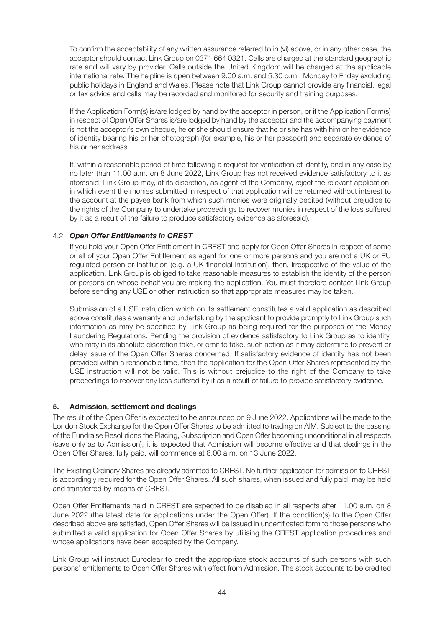To confirm the acceptability of any written assurance referred to in (vi) above, or in any other case, the acceptor should contact Link Group on 0371 664 0321. Calls are charged at the standard geographic rate and will vary by provider. Calls outside the United Kingdom will be charged at the applicable international rate. The helpline is open between 9.00 a.m. and 5.30 p.m., Monday to Friday excluding public holidays in England and Wales. Please note that Link Group cannot provide any financial, legal or tax advice and calls may be recorded and monitored for security and training purposes.

If the Application Form(s) is/are lodged by hand by the acceptor in person, or if the Application Form(s) in respect of Open Offer Shares is/are lodged by hand by the acceptor and the accompanying payment is not the acceptor's own cheque, he or she should ensure that he or she has with him or her evidence of identity bearing his or her photograph (for example, his or her passport) and separate evidence of his or her address.

If, within a reasonable period of time following a request for verification of identity, and in any case by no later than 11.00 a.m. on 8 June 2022, Link Group has not received evidence satisfactory to it as aforesaid, Link Group may, at its discretion, as agent of the Company, reject the relevant application, in which event the monies submitted in respect of that application will be returned without interest to the account at the payee bank from which such monies were originally debited (without prejudice to the rights of the Company to undertake proceedings to recover monies in respect of the loss suffered by it as a result of the failure to produce satisfactory evidence as aforesaid).

#### 4.2 *Open Offer Entitlements in CREST*

If you hold your Open Offer Entitlement in CREST and apply for Open Offer Shares in respect of some or all of your Open Offer Entitlement as agent for one or more persons and you are not a UK or EU regulated person or institution (e.g. a UK financial institution), then, irrespective of the value of the application, Link Group is obliged to take reasonable measures to establish the identity of the person or persons on whose behalf you are making the application. You must therefore contact Link Group before sending any USE or other instruction so that appropriate measures may be taken.

Submission of a USE instruction which on its settlement constitutes a valid application as described above constitutes a warranty and undertaking by the applicant to provide promptly to Link Group such information as may be specified by Link Group as being required for the purposes of the Money Laundering Regulations. Pending the provision of evidence satisfactory to Link Group as to identity, who may in its absolute discretion take, or omit to take, such action as it may determine to prevent or delay issue of the Open Offer Shares concerned. If satisfactory evidence of identity has not been provided within a reasonable time, then the application for the Open Offer Shares represented by the USE instruction will not be valid. This is without prejudice to the right of the Company to take proceedings to recover any loss suffered by it as a result of failure to provide satisfactory evidence.

#### **5. Admission, settlement and dealings**

The result of the Open Offer is expected to be announced on 9 June 2022. Applications will be made to the London Stock Exchange for the Open Offer Shares to be admitted to trading on AIM. Subject to the passing of the Fundraise Resolutions the Placing, Subscription and Open Offer becoming unconditional in all respects (save only as to Admission), it is expected that Admission will become effective and that dealings in the Open Offer Shares, fully paid, will commence at 8.00 a.m. on 13 June 2022.

The Existing Ordinary Shares are already admitted to CREST. No further application for admission to CREST is accordingly required for the Open Offer Shares. All such shares, when issued and fully paid, may be held and transferred by means of CREST.

Open Offer Entitlements held in CREST are expected to be disabled in all respects after 11.00 a.m. on 8 June 2022 (the latest date for applications under the Open Offer). If the condition(s) to the Open Offer described above are satisfied, Open Offer Shares will be issued in uncertificated form to those persons who submitted a valid application for Open Offer Shares by utilising the CREST application procedures and whose applications have been accepted by the Company.

Link Group will instruct Euroclear to credit the appropriate stock accounts of such persons with such persons' entitlements to Open Offer Shares with effect from Admission. The stock accounts to be credited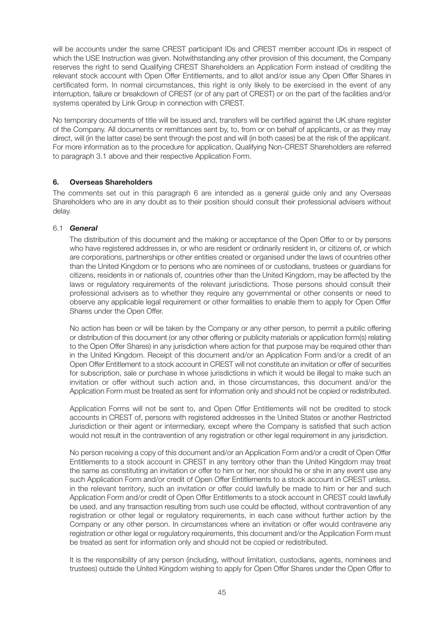will be accounts under the same CREST participant IDs and CREST member account IDs in respect of which the USE Instruction was given. Notwithstanding any other provision of this document, the Company reserves the right to send Qualifying CREST Shareholders an Application Form instead of crediting the relevant stock account with Open Offer Entitlements, and to allot and/or issue any Open Offer Shares in certificated form. In normal circumstances, this right is only likely to be exercised in the event of any interruption, failure or breakdown of CREST (or of any part of CREST) or on the part of the facilities and/or systems operated by Link Group in connection with CREST.

No temporary documents of title will be issued and, transfers will be certified against the UK share register of the Company. All documents or remittances sent by, to, from or on behalf of applicants, or as they may direct, will (in the latter case) be sent through the post and will (in both cases) be at the risk of the applicant. For more information as to the procedure for application, Qualifying Non-CREST Shareholders are referred to paragraph 3.1 above and their respective Application Form.

#### **6. Overseas Shareholders**

The comments set out in this paragraph 6 are intended as a general guide only and any Overseas Shareholders who are in any doubt as to their position should consult their professional advisers without delay.

#### 6.1 *General*

The distribution of this document and the making or acceptance of the Open Offer to or by persons who have registered addresses in, or who are resident or ordinarily resident in, or citizens of, or which are corporations, partnerships or other entities created or organised under the laws of countries other than the United Kingdom or to persons who are nominees of or custodians, trustees or guardians for citizens, residents in or nationals of, countries other than the United Kingdom, may be affected by the laws or regulatory requirements of the relevant jurisdictions. Those persons should consult their professional advisers as to whether they require any governmental or other consents or need to observe any applicable legal requirement or other formalities to enable them to apply for Open Offer Shares under the Open Offer.

No action has been or will be taken by the Company or any other person, to permit a public offering or distribution of this document (or any other offering or publicity materials or application form(s) relating to the Open Offer Shares) in any jurisdiction where action for that purpose may be required other than in the United Kingdom. Receipt of this document and/or an Application Form and/or a credit of an Open Offer Entitlement to a stock account in CREST will not constitute an invitation or offer of securities for subscription, sale or purchase in whose jurisdictions in which it would be illegal to make such an invitation or offer without such action and, in those circumstances, this document and/or the Application Form must be treated as sent for information only and should not be copied or redistributed.

Application Forms will not be sent to, and Open Offer Entitlements will not be credited to stock accounts in CREST of, persons with registered addresses in the United States or another Restricted Jurisdiction or their agent or intermediary, except where the Company is satisfied that such action would not result in the contravention of any registration or other legal requirement in any jurisdiction.

No person receiving a copy of this document and/or an Application Form and/or a credit of Open Offer Entitlements to a stock account in CREST in any territory other than the United Kingdom may treat the same as constituting an invitation or offer to him or her, nor should he or she in any event use any such Application Form and/or credit of Open Offer Entitlements to a stock account in CREST unless, in the relevant territory, such an invitation or offer could lawfully be made to him or her and such Application Form and/or credit of Open Offer Entitlements to a stock account in CREST could lawfully be used, and any transaction resulting from such use could be effected, without contravention of any registration or other legal or regulatory requirements, in each case without further action by the Company or any other person. In circumstances where an invitation or offer would contravene any registration or other legal or regulatory requirements, this document and/or the Application Form must be treated as sent for information only and should not be copied or redistributed.

It is the responsibility of any person (including, without limitation, custodians, agents, nominees and trustees) outside the United Kingdom wishing to apply for Open Offer Shares under the Open Offer to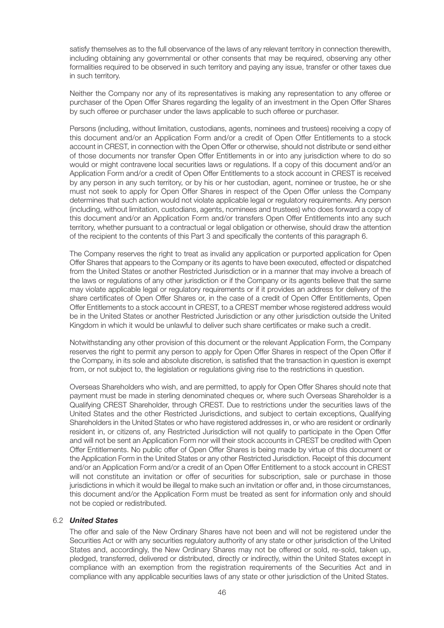satisfy themselves as to the full observance of the laws of any relevant territory in connection therewith, including obtaining any governmental or other consents that may be required, observing any other formalities required to be observed in such territory and paying any issue, transfer or other taxes due in such territory.

Neither the Company nor any of its representatives is making any representation to any offeree or purchaser of the Open Offer Shares regarding the legality of an investment in the Open Offer Shares by such offeree or purchaser under the laws applicable to such offeree or purchaser.

Persons (including, without limitation, custodians, agents, nominees and trustees) receiving a copy of this document and/or an Application Form and/or a credit of Open Offer Entitlements to a stock account in CREST, in connection with the Open Offer or otherwise, should not distribute or send either of those documents nor transfer Open Offer Entitlements in or into any jurisdiction where to do so would or might contravene local securities laws or regulations. If a copy of this document and/or an Application Form and/or a credit of Open Offer Entitlements to a stock account in CREST is received by any person in any such territory, or by his or her custodian, agent, nominee or trustee, he or she must not seek to apply for Open Offer Shares in respect of the Open Offer unless the Company determines that such action would not violate applicable legal or regulatory requirements. Any person (including, without limitation, custodians, agents, nominees and trustees) who does forward a copy of this document and/or an Application Form and/or transfers Open Offer Entitlements into any such territory, whether pursuant to a contractual or legal obligation or otherwise, should draw the attention of the recipient to the contents of this Part 3 and specifically the contents of this paragraph 6.

The Company reserves the right to treat as invalid any application or purported application for Open Offer Shares that appears to the Company or its agents to have been executed, effected or dispatched from the United States or another Restricted Jurisdiction or in a manner that may involve a breach of the laws or regulations of any other jurisdiction or if the Company or its agents believe that the same may violate applicable legal or regulatory requirements or if it provides an address for delivery of the share certificates of Open Offer Shares or, in the case of a credit of Open Offer Entitlements, Open Offer Entitlements to a stock account in CREST, to a CREST member whose registered address would be in the United States or another Restricted Jurisdiction or any other jurisdiction outside the United Kingdom in which it would be unlawful to deliver such share certificates or make such a credit.

Notwithstanding any other provision of this document or the relevant Application Form, the Company reserves the right to permit any person to apply for Open Offer Shares in respect of the Open Offer if the Company, in its sole and absolute discretion, is satisfied that the transaction in question is exempt from, or not subject to, the legislation or regulations giving rise to the restrictions in question.

Overseas Shareholders who wish, and are permitted, to apply for Open Offer Shares should note that payment must be made in sterling denominated cheques or, where such Overseas Shareholder is a Qualifying CREST Shareholder, through CREST. Due to restrictions under the securities laws of the United States and the other Restricted Jurisdictions, and subject to certain exceptions, Qualifying Shareholders in the United States or who have registered addresses in, or who are resident or ordinarily resident in, or citizens of, any Restricted Jurisdiction will not qualify to participate in the Open Offer and will not be sent an Application Form nor will their stock accounts in CREST be credited with Open Offer Entitlements. No public offer of Open Offer Shares is being made by virtue of this document or the Application Form in the United States or any other Restricted Jurisdiction. Receipt of this document and/or an Application Form and/or a credit of an Open Offer Entitlement to a stock account in CREST will not constitute an invitation or offer of securities for subscription, sale or purchase in those jurisdictions in which it would be illegal to make such an invitation or offer and, in those circumstances, this document and/or the Application Form must be treated as sent for information only and should not be copied or redistributed.

#### 6.2 *United States*

The offer and sale of the New Ordinary Shares have not been and will not be registered under the Securities Act or with any securities regulatory authority of any state or other jurisdiction of the United States and, accordingly, the New Ordinary Shares may not be offered or sold, re-sold, taken up, pledged, transferred, delivered or distributed, directly or indirectly, within the United States except in compliance with an exemption from the registration requirements of the Securities Act and in compliance with any applicable securities laws of any state or other jurisdiction of the United States.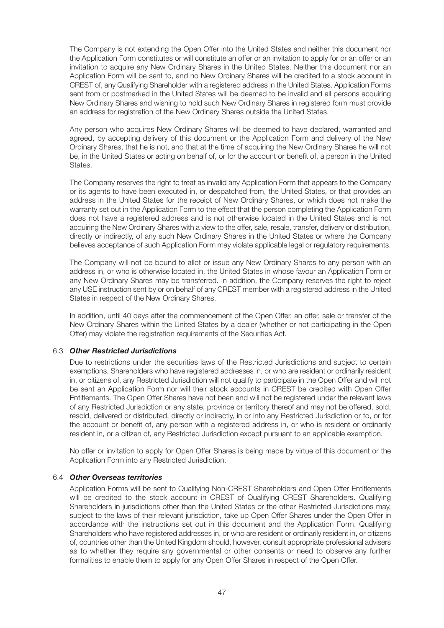The Company is not extending the Open Offer into the United States and neither this document nor the Application Form constitutes or will constitute an offer or an invitation to apply for or an offer or an invitation to acquire any New Ordinary Shares in the United States. Neither this document nor an Application Form will be sent to, and no New Ordinary Shares will be credited to a stock account in CREST of, any Qualifying Shareholder with a registered address in the United States. Application Forms sent from or postmarked in the United States will be deemed to be invalid and all persons acquiring New Ordinary Shares and wishing to hold such New Ordinary Shares in registered form must provide an address for registration of the New Ordinary Shares outside the United States.

Any person who acquires New Ordinary Shares will be deemed to have declared, warranted and agreed, by accepting delivery of this document or the Application Form and delivery of the New Ordinary Shares, that he is not, and that at the time of acquiring the New Ordinary Shares he will not be, in the United States or acting on behalf of, or for the account or benefit of, a person in the United States.

The Company reserves the right to treat as invalid any Application Form that appears to the Company or its agents to have been executed in, or despatched from, the United States, or that provides an address in the United States for the receipt of New Ordinary Shares, or which does not make the warranty set out in the Application Form to the effect that the person completing the Application Form does not have a registered address and is not otherwise located in the United States and is not acquiring the New Ordinary Shares with a view to the offer, sale, resale, transfer, delivery or distribution, directly or indirectly, of any such New Ordinary Shares in the United States or where the Company believes acceptance of such Application Form may violate applicable legal or regulatory requirements.

The Company will not be bound to allot or issue any New Ordinary Shares to any person with an address in, or who is otherwise located in, the United States in whose favour an Application Form or any New Ordinary Shares may be transferred. In addition, the Company reserves the right to reject any USE instruction sent by or on behalf of any CREST member with a registered address in the United States in respect of the New Ordinary Shares.

In addition, until 40 days after the commencement of the Open Offer, an offer, sale or transfer of the New Ordinary Shares within the United States by a dealer (whether or not participating in the Open Offer) may violate the registration requirements of the Securities Act.

#### 6.3 *Other Restricted Jurisdictions*

Due to restrictions under the securities laws of the Restricted Jurisdictions and subject to certain exemptions, Shareholders who have registered addresses in, or who are resident or ordinarily resident in, or citizens of, any Restricted Jurisdiction will not qualify to participate in the Open Offer and will not be sent an Application Form nor will their stock accounts in CREST be credited with Open Offer Entitlements. The Open Offer Shares have not been and will not be registered under the relevant laws of any Restricted Jurisdiction or any state, province or territory thereof and may not be offered, sold, resold, delivered or distributed, directly or indirectly, in or into any Restricted Jurisdiction or to, or for the account or benefit of, any person with a registered address in, or who is resident or ordinarily resident in, or a citizen of, any Restricted Jurisdiction except pursuant to an applicable exemption.

No offer or invitation to apply for Open Offer Shares is being made by virtue of this document or the Application Form into any Restricted Jurisdiction.

#### 6.4 *Other Overseas territories*

Application Forms will be sent to Qualifying Non-CREST Shareholders and Open Offer Entitlements will be credited to the stock account in CREST of Qualifying CREST Shareholders. Qualifying Shareholders in jurisdictions other than the United States or the other Restricted Jurisdictions may, subject to the laws of their relevant jurisdiction, take up Open Offer Shares under the Open Offer in accordance with the instructions set out in this document and the Application Form. Qualifying Shareholders who have registered addresses in, or who are resident or ordinarily resident in, or citizens of, countries other than the United Kingdom should, however, consult appropriate professional advisers as to whether they require any governmental or other consents or need to observe any further formalities to enable them to apply for any Open Offer Shares in respect of the Open Offer.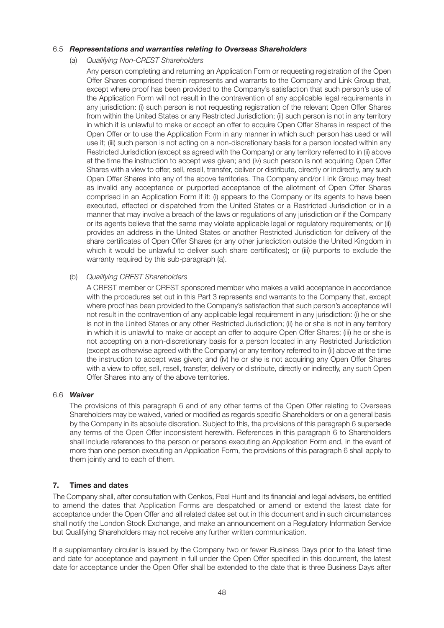#### 6.5 *Representations and warranties relating to Overseas Shareholders*

(a) Qualifying Non-CREST Shareholders

Any person completing and returning an Application Form or requesting registration of the Open Offer Shares comprised therein represents and warrants to the Company and Link Group that, except where proof has been provided to the Company's satisfaction that such person's use of the Application Form will not result in the contravention of any applicable legal requirements in any jurisdiction: (i) such person is not requesting registration of the relevant Open Offer Shares from within the United States or any Restricted Jurisdiction; (ii) such person is not in any territory in which it is unlawful to make or accept an offer to acquire Open Offer Shares in respect of the Open Offer or to use the Application Form in any manner in which such person has used or will use it; (iii) such person is not acting on a non-discretionary basis for a person located within any Restricted Jurisdiction (except as agreed with the Company) or any territory referred to in (ii) above at the time the instruction to accept was given; and (iv) such person is not acquiring Open Offer Shares with a view to offer, sell, resell, transfer, deliver or distribute, directly or indirectly, any such Open Offer Shares into any of the above territories. The Company and/or Link Group may treat as invalid any acceptance or purported acceptance of the allotment of Open Offer Shares comprised in an Application Form if it: (i) appears to the Company or its agents to have been executed, effected or dispatched from the United States or a Restricted Jurisdiction or in a manner that may involve a breach of the laws or regulations of any jurisdiction or if the Company or its agents believe that the same may violate applicable legal or regulatory requirements; or (ii) provides an address in the United States or another Restricted Jurisdiction for delivery of the share certificates of Open Offer Shares (or any other jurisdiction outside the United Kingdom in which it would be unlawful to deliver such share certificates); or (iii) purports to exclude the warranty required by this sub-paragraph (a).

#### (b) Qualifying CREST Shareholders

A CREST member or CREST sponsored member who makes a valid acceptance in accordance with the procedures set out in this Part 3 represents and warrants to the Company that, except where proof has been provided to the Company's satisfaction that such person's acceptance will not result in the contravention of any applicable legal requirement in any jurisdiction: (i) he or she is not in the United States or any other Restricted Jurisdiction; (ii) he or she is not in any territory in which it is unlawful to make or accept an offer to acquire Open Offer Shares; (iii) he or she is not accepting on a non-discretionary basis for a person located in any Restricted Jurisdiction (except as otherwise agreed with the Company) or any territory referred to in (ii) above at the time the instruction to accept was given; and (iv) he or she is not acquiring any Open Offer Shares with a view to offer, sell, resell, transfer, delivery or distribute, directly or indirectly, any such Open Offer Shares into any of the above territories.

#### 6.6 *Waiver*

The provisions of this paragraph 6 and of any other terms of the Open Offer relating to Overseas Shareholders may be waived, varied or modified as regards specific Shareholders or on a general basis by the Company in its absolute discretion. Subject to this, the provisions of this paragraph 6 supersede any terms of the Open Offer inconsistent herewith. References in this paragraph 6 to Shareholders shall include references to the person or persons executing an Application Form and, in the event of more than one person executing an Application Form, the provisions of this paragraph 6 shall apply to them jointly and to each of them.

#### **7. Times and dates**

The Company shall, after consultation with Cenkos, Peel Hunt and its financial and legal advisers, be entitled to amend the dates that Application Forms are despatched or amend or extend the latest date for acceptance under the Open Offer and all related dates set out in this document and in such circumstances shall notify the London Stock Exchange, and make an announcement on a Regulatory Information Service but Qualifying Shareholders may not receive any further written communication.

If a supplementary circular is issued by the Company two or fewer Business Days prior to the latest time and date for acceptance and payment in full under the Open Offer specified in this document, the latest date for acceptance under the Open Offer shall be extended to the date that is three Business Days after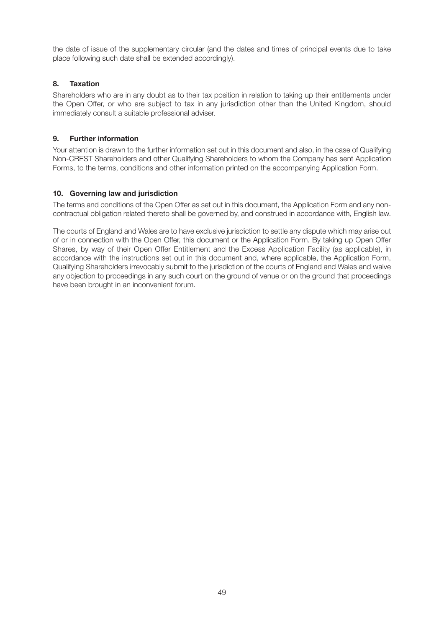the date of issue of the supplementary circular (and the dates and times of principal events due to take place following such date shall be extended accordingly).

#### **8. Taxation**

Shareholders who are in any doubt as to their tax position in relation to taking up their entitlements under the Open Offer, or who are subject to tax in any jurisdiction other than the United Kingdom, should immediately consult a suitable professional adviser.

#### **9. Further information**

Your attention is drawn to the further information set out in this document and also, in the case of Qualifying Non-CREST Shareholders and other Qualifying Shareholders to whom the Company has sent Application Forms, to the terms, conditions and other information printed on the accompanying Application Form.

#### **10. Governing law and jurisdiction**

The terms and conditions of the Open Offer as set out in this document, the Application Form and any noncontractual obligation related thereto shall be governed by, and construed in accordance with, English law.

The courts of England and Wales are to have exclusive jurisdiction to settle any dispute which may arise out of or in connection with the Open Offer, this document or the Application Form. By taking up Open Offer Shares, by way of their Open Offer Entitlement and the Excess Application Facility (as applicable), in accordance with the instructions set out in this document and, where applicable, the Application Form, Qualifying Shareholders irrevocably submit to the jurisdiction of the courts of England and Wales and waive any objection to proceedings in any such court on the ground of venue or on the ground that proceedings have been brought in an inconvenient forum.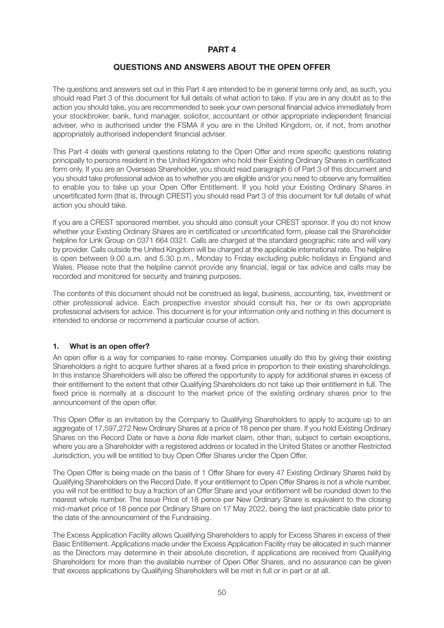#### **PART 4**

#### **QUESTIONS AND ANSWERS ABOUT THE OPEN OFFER**

The questions and answers set out in this Part 4 are intended to be in general terms only and, as such, you should read Part 3 of this document for full details of what action to take. If you are in any doubt as to the action you should take, you are recommended to seek your own personal financial advice immediately from your stockbroker, bank, fund manager, solicitor, accountant or other appropriate independent financial adviser, who is authorised under the FSMA if you are in the United Kingdom, or, if not, from another appropriately authorised independent financial adviser.

This Part 4 deals with general questions relating to the Open Offer and more specific questions relating principally to persons resident in the United Kingdom who hold their Existing Ordinary Shares in certificated form only. If you are an Overseas Shareholder, you should read paragraph 6 of Part 3 of this document and you should take professional advice as to whether you are eligible and/or you need to observe any formalities to enable you to take up your Open Offer Entitlement. If you hold your Existing Ordinary Shares in uncertificated form (that is, through CREST) you should read Part 3 of this document for full details of what action you should take.

If you are a CREST sponsored member, you should also consult your CREST sponsor. If you do not know whether your Existing Ordinary Shares are in certificated or uncertificated form, please call the Shareholder helpline for Link Group on 0371 664 0321. Calls are charged at the standard geographic rate and will vary by provider. Calls outside the United Kingdom will be charged at the applicable international rate. The helpline is open between 9.00 a.m. and 5.30 p.m., Monday to Friday excluding public holidays in England and Wales. Please note that the helpline cannot provide any financial, legal or tax advice and calls may be recorded and monitored for security and training purposes.

The contents of this document should not be construed as legal, business, accounting, tax, investment or other professional advice. Each prospective investor should consult his, her or its own appropriate professional advisers for advice. This document is for your information only and nothing in this document is intended to endorse or recommend a particular course of action.

#### **1. What is an open offer?**

An open offer is a way for companies to raise money. Companies usually do this by giving their existing Shareholders a right to acquire further shares at a fixed price in proportion to their existing shareholdings. In this instance Shareholders will also be offered the opportunity to apply for additional shares in excess of their entitlement to the extent that other Qualifying Shareholders do not take up their entitlement in full. The fixed price is normally at a discount to the market price of the existing ordinary shares prior to the announcement of the open offer.

This Open Offer is an invitation by the Company to Qualifying Shareholders to apply to acquire up to an aggregate of 17,597,272 New Ordinary Shares at a price of 18 pence per share. If you hold Existing Ordinary Shares on the Record Date or have a bona fide market claim, other than, subject to certain exceptions, where you are a Shareholder with a registered address or located in the United States or another Restricted Jurisdiction, you will be entitled to buy Open Offer Shares under the Open Offer.

The Open Offer is being made on the basis of 1 Offer Share for every 47 Existing Ordinary Shares held by Qualifying Shareholders on the Record Date. If your entitlement to Open Offer Shares is not a whole number, you will not be entitled to buy a fraction of an Offer Share and your entitlement will be rounded down to the nearest whole number. The Issue Price of 18 pence per New Ordinary Share is equivalent to the closing mid-market price of 18 pence per Ordinary Share on 17 May 2022, being the last practicable date prior to the date of the announcement of the Fundraising.

The Excess Application Facility allows Qualifying Shareholders to apply for Excess Shares in excess of their Basic Entitlement. Applications made under the Excess Application Facility may be allocated in such manner as the Directors may determine in their absolute discretion, if applications are received from Qualifying Shareholders for more than the available number of Open Offer Shares, and no assurance can be given that excess applications by Qualifying Shareholders will be met in full or in part or at all.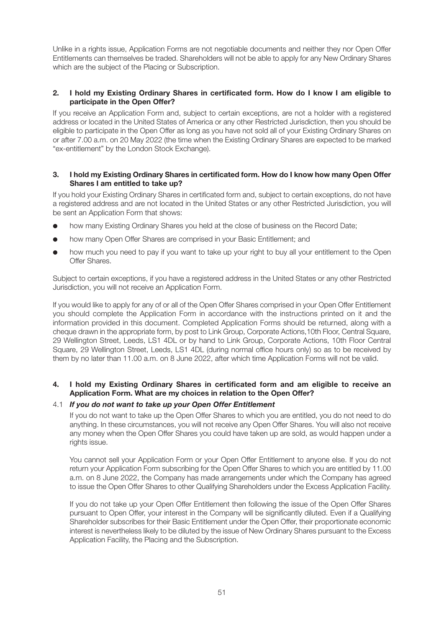Unlike in a rights issue, Application Forms are not negotiable documents and neither they nor Open Offer Entitlements can themselves be traded. Shareholders will not be able to apply for any New Ordinary Shares which are the subject of the Placing or Subscription.

#### **2. I hold my Existing Ordinary Shares in certificated form. How do I know I am eligible to participate in the Open Offer?**

If you receive an Application Form and, subject to certain exceptions, are not a holder with a registered address or located in the United States of America or any other Restricted Jurisdiction, then you should be eligible to participate in the Open Offer as long as you have not sold all of your Existing Ordinary Shares on or after 7.00 a.m. on 20 May 2022 (the time when the Existing Ordinary Shares are expected to be marked "ex-entitlement" by the London Stock Exchange).

#### **3. I hold my Existing Ordinary Shares in certificated form. How do I know how many Open Offer Shares I am entitled to take up?**

If you hold your Existing Ordinary Shares in certificated form and, subject to certain exceptions, do not have a registered address and are not located in the United States or any other Restricted Jurisdiction, you will be sent an Application Form that shows:

- how many Existing Ordinary Shares you held at the close of business on the Record Date;
- how many Open Offer Shares are comprised in your Basic Entitlement; and
- how much you need to pay if you want to take up your right to buy all your entitlement to the Open Offer Shares.

Subject to certain exceptions, if you have a registered address in the United States or any other Restricted Jurisdiction, you will not receive an Application Form.

If you would like to apply for any of or all of the Open Offer Shares comprised in your Open Offer Entitlement you should complete the Application Form in accordance with the instructions printed on it and the information provided in this document. Completed Application Forms should be returned, along with a cheque drawn in the appropriate form, by post to Link Group, Corporate Actions,10th Floor, Central Square, 29 Wellington Street, Leeds, LS1 4DL or by hand to Link Group, Corporate Actions, 10th Floor Central Square, 29 Wellington Street, Leeds, LS1 4DL (during normal office hours only) so as to be received by them by no later than 11.00 a.m. on 8 June 2022, after which time Application Forms will not be valid.

#### **4. I hold my Existing Ordinary Shares in certificated form and am eligible to receive an Application Form. What are my choices in relation to the Open Offer?**

#### 4.1 *If you do not want to take up your Open Offer Entitlement*

If you do not want to take up the Open Offer Shares to which you are entitled, you do not need to do anything. In these circumstances, you will not receive any Open Offer Shares. You will also not receive any money when the Open Offer Shares you could have taken up are sold, as would happen under a rights issue.

You cannot sell your Application Form or your Open Offer Entitlement to anyone else. If you do not return your Application Form subscribing for the Open Offer Shares to which you are entitled by 11.00 a.m. on 8 June 2022, the Company has made arrangements under which the Company has agreed to issue the Open Offer Shares to other Qualifying Shareholders under the Excess Application Facility.

If you do not take up your Open Offer Entitlement then following the issue of the Open Offer Shares pursuant to Open Offer, your interest in the Company will be significantly diluted. Even if a Qualifying Shareholder subscribes for their Basic Entitlement under the Open Offer, their proportionate economic interest is nevertheless likely to be diluted by the issue of New Ordinary Shares pursuant to the Excess Application Facility, the Placing and the Subscription.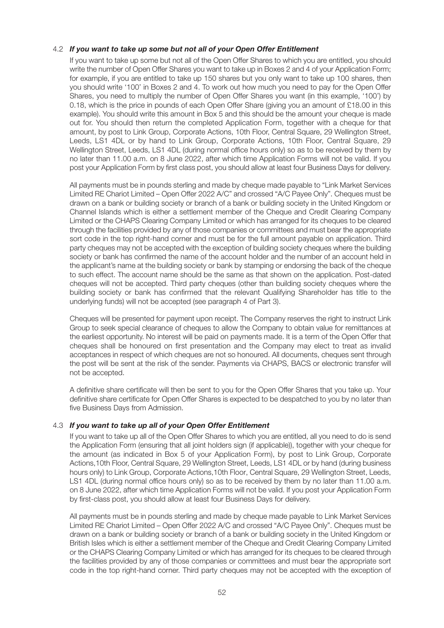#### 4.2 *If you want to take up some but not all of your Open Offer Entitlement*

If you want to take up some but not all of the Open Offer Shares to which you are entitled, you should write the number of Open Offer Shares you want to take up in Boxes 2 and 4 of your Application Form; for example, if you are entitled to take up 150 shares but you only want to take up 100 shares, then you should write '100' in Boxes 2 and 4. To work out how much you need to pay for the Open Offer Shares, you need to multiply the number of Open Offer Shares you want (in this example, '100') by 0.18, which is the price in pounds of each Open Offer Share (giving you an amount of £18.00 in this example). You should write this amount in Box 5 and this should be the amount your cheque is made out for. You should then return the completed Application Form, together with a cheque for that amount, by post to Link Group, Corporate Actions, 10th Floor, Central Square, 29 Wellington Street, Leeds, LS1 4DL or by hand to Link Group, Corporate Actions, 10th Floor, Central Square, 29 Wellington Street, Leeds, LS1 4DL (during normal office hours only) so as to be received by them by no later than 11.00 a.m. on 8 June 2022, after which time Application Forms will not be valid. If you post your Application Form by first class post, you should allow at least four Business Days for delivery.

All payments must be in pounds sterling and made by cheque made payable to "Link Market Services Limited RE Chariot Limited – Open Offer 2022 A/C" and crossed "A/C Payee Only". Cheques must be drawn on a bank or building society or branch of a bank or building society in the United Kingdom or Channel Islands which is either a settlement member of the Cheque and Credit Clearing Company Limited or the CHAPS Clearing Company Limited or which has arranged for its cheques to be cleared through the facilities provided by any of those companies or committees and must bear the appropriate sort code in the top right-hand corner and must be for the full amount payable on application. Third party cheques may not be accepted with the exception of building society cheques where the building society or bank has confirmed the name of the account holder and the number of an account held in the applicant's name at the building society or bank by stamping or endorsing the back of the cheque to such effect. The account name should be the same as that shown on the application. Post-dated cheques will not be accepted. Third party cheques (other than building society cheques where the building society or bank has confirmed that the relevant Qualifying Shareholder has title to the underlying funds) will not be accepted (see paragraph 4 of Part 3).

Cheques will be presented for payment upon receipt. The Company reserves the right to instruct Link Group to seek special clearance of cheques to allow the Company to obtain value for remittances at the earliest opportunity. No interest will be paid on payments made. It is a term of the Open Offer that cheques shall be honoured on first presentation and the Company may elect to treat as invalid acceptances in respect of which cheques are not so honoured. All documents, cheques sent through the post will be sent at the risk of the sender. Payments via CHAPS, BACS or electronic transfer will not be accepted.

A definitive share certificate will then be sent to you for the Open Offer Shares that you take up. Your definitive share certificate for Open Offer Shares is expected to be despatched to you by no later than five Business Days from Admission.

#### 4.3 *If you want to take up all of your Open Offer Entitlement*

If you want to take up all of the Open Offer Shares to which you are entitled, all you need to do is send the Application Form (ensuring that all joint holders sign (if applicable)), together with your cheque for the amount (as indicated in Box 5 of your Application Form), by post to Link Group, Corporate Actions,10th Floor, Central Square, 29 Wellington Street, Leeds, LS1 4DL or by hand (during business hours only) to Link Group, Corporate Actions,10th Floor, Central Square, 29 Wellington Street, Leeds, LS1 4DL (during normal office hours only) so as to be received by them by no later than 11.00 a.m. on 8 June 2022, after which time Application Forms will not be valid. If you post your Application Form by first-class post, you should allow at least four Business Days for delivery.

All payments must be in pounds sterling and made by cheque made payable to Link Market Services Limited RE Chariot Limited – Open Offer 2022 A/C and crossed "A/C Payee Only". Cheques must be drawn on a bank or building society or branch of a bank or building society in the United Kingdom or British Isles which is either a settlement member of the Cheque and Credit Clearing Company Limited or the CHAPS Clearing Company Limited or which has arranged for its cheques to be cleared through the facilities provided by any of those companies or committees and must bear the appropriate sort code in the top right-hand corner. Third party cheques may not be accepted with the exception of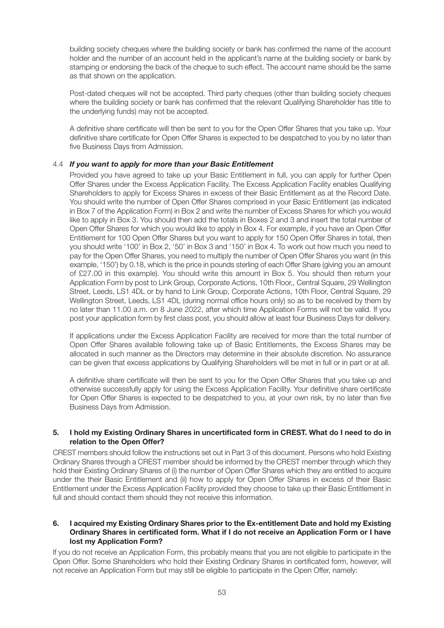building society cheques where the building society or bank has confirmed the name of the account holder and the number of an account held in the applicant's name at the building society or bank by stamping or endorsing the back of the cheque to such effect. The account name should be the same as that shown on the application.

Post-dated cheques will not be accepted. Third party cheques (other than building society cheques where the building society or bank has confirmed that the relevant Qualifying Shareholder has title to the underlying funds) may not be accepted.

A definitive share certificate will then be sent to you for the Open Offer Shares that you take up. Your definitive share certificate for Open Offer Shares is expected to be despatched to you by no later than five Business Days from Admission.

#### 4.4 *If you want to apply for more than your Basic Entitlement*

Provided you have agreed to take up your Basic Entitlement in full, you can apply for further Open Offer Shares under the Excess Application Facility. The Excess Application Facility enables Qualifying Shareholders to apply for Excess Shares in excess of their Basic Entitlement as at the Record Date. You should write the number of Open Offer Shares comprised in your Basic Entitlement (as indicated in Box 7 of the Application Form) in Box 2 and write the number of Excess Shares for which you would like to apply in Box 3. You should then add the totals in Boxes 2 and 3 and insert the total number of Open Offer Shares for which you would like to apply in Box 4. For example, if you have an Open Offer Entitlement for 100 Open Offer Shares but you want to apply for 150 Open Offer Shares in total, then you should write '100' in Box 2, '50' in Box 3 and '150' in Box 4. To work out how much you need to pay for the Open Offer Shares, you need to multiply the number of Open Offer Shares you want (in this example, '150') by 0.18, which is the price in pounds sterling of each Offer Share (giving you an amount of £27.00 in this example). You should write this amount in Box 5. You should then return your Application Form by post to Link Group, Corporate Actions, 10th Floor,, Central Square, 29 Wellington Street, Leeds, LS1 4DL or by hand to Link Group, Corporate Actions, 10th Floor, Central Square, 29 Wellington Street, Leeds, LS1 4DL (during normal office hours only) so as to be received by them by no later than 11.00 a.m. on 8 June 2022, after which time Application Forms will not be valid. If you post your application form by first class post, you should allow at least four Business Days for delivery.

If applications under the Excess Application Facility are received for more than the total number of Open Offer Shares available following take up of Basic Entitlements, the Excess Shares may be allocated in such manner as the Directors may determine in their absolute discretion. No assurance can be given that excess applications by Qualifying Shareholders will be met in full or in part or at all.

A definitive share certificate will then be sent to you for the Open Offer Shares that you take up and otherwise successfully apply for using the Excess Application Facility. Your definitive share certificate for Open Offer Shares is expected to be despatched to you, at your own risk, by no later than five Business Days from Admission.

#### **5. I hold my Existing Ordinary Shares in uncertificated form in CREST. What do I need to do in relation to the Open Offer?**

CREST members should follow the instructions set out in Part 3 of this document. Persons who hold Existing Ordinary Shares through a CREST member should be informed by the CREST member through which they hold their Existing Ordinary Shares of (i) the number of Open Offer Shares which they are entitled to acquire under the their Basic Entitlement and (ii) how to apply for Open Offer Shares in excess of their Basic Entitlement under the Excess Application Facility provided they choose to take up their Basic Entitlement in full and should contact them should they not receive this information.

#### **6. I acquired my Existing Ordinary Shares prior to the Ex-entitlement Date and hold my Existing Ordinary Shares in certificated form. What if I do not receive an Application Form or I have lost my Application Form?**

If you do not receive an Application Form, this probably means that you are not eligible to participate in the Open Offer. Some Shareholders who hold their Existing Ordinary Shares in certificated form, however, will not receive an Application Form but may still be eligible to participate in the Open Offer, namely: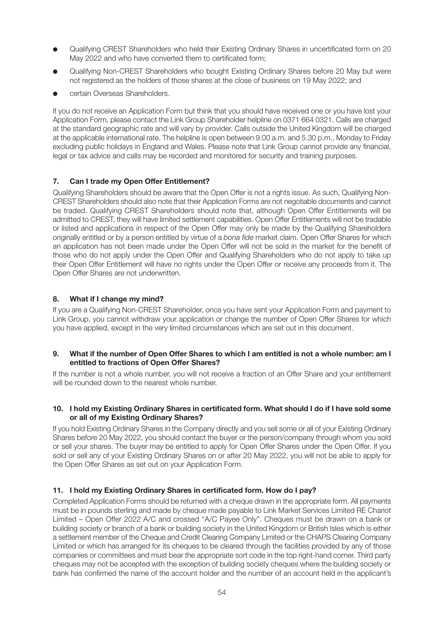- l Qualifying CREST Shareholders who held their Existing Ordinary Shares in uncertificated form on 20 May 2022 and who have converted them to certificated form;
- l Qualifying Non-CREST Shareholders who bought Existing Ordinary Shares before 20 May but were not registered as the holders of those shares at the close of business on 19 May 2022; and
- certain Overseas Shareholders.

If you do not receive an Application Form but think that you should have received one or you have lost your Application Form, please contact the Link Group Shareholder helpline on 0371 664 0321. Calls are charged at the standard geographic rate and will vary by provider. Calls outside the United Kingdom will be charged at the applicable international rate. The helpline is open between 9.00 a.m. and 5.30 p.m., Monday to Friday excluding public holidays in England and Wales. Please note that Link Group cannot provide any financial, legal or tax advice and calls may be recorded and monitored for security and training purposes.

#### **7. Can I trade my Open Offer Entitlement?**

Qualifying Shareholders should be aware that the Open Offer is not a rights issue. As such, Qualifying Non-CREST Shareholders should also note that their Application Forms are not negotiable documents and cannot be traded. Qualifying CREST Shareholders should note that, although Open Offer Entitlements will be admitted to CREST, they will have limited settlement capabilities. Open Offer Entitlements will not be tradable or listed and applications in respect of the Open Offer may only be made by the Qualifying Shareholders originally entitled or by a person entitled by virtue of a bona fide market claim. Open Offer Shares for which an application has not been made under the Open Offer will not be sold in the market for the benefit of those who do not apply under the Open Offer and Qualifying Shareholders who do not apply to take up their Open Offer Entitlement will have no rights under the Open Offer or receive any proceeds from it. The Open Offer Shares are not underwritten.

#### **8. What if I change my mind?**

If you are a Qualifying Non-CREST Shareholder, once you have sent your Application Form and payment to Link Group, you cannot withdraw your application or change the number of Open Offer Shares for which you have applied, except in the very limited circumstances which are set out in this document.

#### **9. What if the number of Open Offer Shares to which I am entitled is not a whole number: am I entitled to fractions of Open Offer Shares?**

If the number is not a whole number, you will not receive a fraction of an Offer Share and your entitlement will be rounded down to the nearest whole number.

#### **10. I hold my Existing Ordinary Shares in certificated form. What should I do if I have sold some or all of my Existing Ordinary Shares?**

If you hold Existing Ordinary Shares in the Company directly and you sell some or all of your Existing Ordinary Shares before 20 May 2022, you should contact the buyer or the person/company through whom you sold or sell your shares. The buyer may be entitled to apply for Open Offer Shares under the Open Offer. If you sold or sell any of your Existing Ordinary Shares on or after 20 May 2022, you will not be able to apply for the Open Offer Shares as set out on your Application Form.

#### **11. I hold my Existing Ordinary Shares in certificated form. How do I pay?**

Completed Application Forms should be returned with a cheque drawn in the appropriate form. All payments must be in pounds sterling and made by cheque made payable to Link Market Services Limited RE Chariot Limited – Open Offer 2022 A/C and crossed "A/C Payee Only". Cheques must be drawn on a bank or building society or branch of a bank or building society in the United Kingdom or British Isles which is either a settlement member of the Cheque and Credit Clearing Company Limited or the CHAPS Clearing Company Limited or which has arranged for its cheques to be cleared through the facilities provided by any of those companies or committees and must bear the appropriate sort code in the top right-hand corner. Third party cheques may not be accepted with the exception of building society cheques where the building society or bank has confirmed the name of the account holder and the number of an account held in the applicant's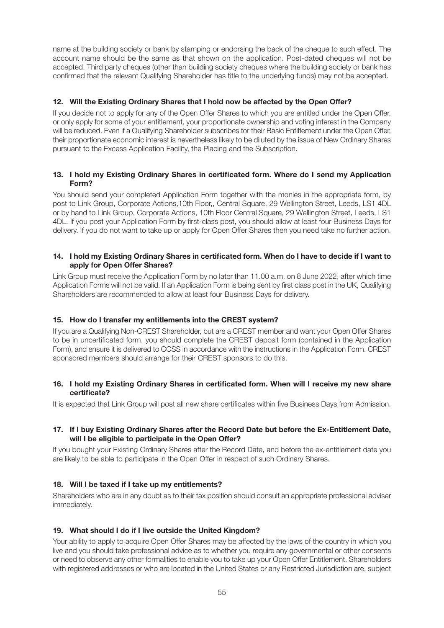name at the building society or bank by stamping or endorsing the back of the cheque to such effect. The account name should be the same as that shown on the application. Post-dated cheques will not be accepted. Third party cheques (other than building society cheques where the building society or bank has confirmed that the relevant Qualifying Shareholder has title to the underlying funds) may not be accepted.

#### **12. Will the Existing Ordinary Shares that I hold now be affected by the Open Offer?**

If you decide not to apply for any of the Open Offer Shares to which you are entitled under the Open Offer, or only apply for some of your entitlement, your proportionate ownership and voting interest in the Company will be reduced. Even if a Qualifying Shareholder subscribes for their Basic Entitlement under the Open Offer, their proportionate economic interest is nevertheless likely to be diluted by the issue of New Ordinary Shares pursuant to the Excess Application Facility, the Placing and the Subscription.

#### **13. I hold my Existing Ordinary Shares in certificated form. Where do I send my Application Form?**

You should send your completed Application Form together with the monies in the appropriate form, by post to Link Group, Corporate Actions,10th Floor,, Central Square, 29 Wellington Street, Leeds, LS1 4DL or by hand to Link Group, Corporate Actions, 10th Floor Central Square, 29 Wellington Street, Leeds, LS1 4DL. If you post your Application Form by first-class post, you should allow at least four Business Days for delivery. If you do not want to take up or apply for Open Offer Shares then you need take no further action.

#### **14. I hold my Existing Ordinary Shares in certificated form. When do I have to decide if I want to apply for Open Offer Shares?**

Link Group must receive the Application Form by no later than 11.00 a.m. on 8 June 2022, after which time Application Forms will not be valid. If an Application Form is being sent by first class post in the UK, Qualifying Shareholders are recommended to allow at least four Business Days for delivery.

#### **15. How do I transfer my entitlements into the CREST system?**

If you are a Qualifying Non-CREST Shareholder, but are a CREST member and want your Open Offer Shares to be in uncertificated form, you should complete the CREST deposit form (contained in the Application Form), and ensure it is delivered to CCSS in accordance with the instructions in the Application Form. CREST sponsored members should arrange for their CREST sponsors to do this.

#### **16. I hold my Existing Ordinary Shares in certificated form. When will I receive my new share certificate?**

It is expected that Link Group will post all new share certificates within five Business Days from Admission.

#### **17. If I buy Existing Ordinary Shares after the Record Date but before the Ex-Entitlement Date, will I be eligible to participate in the Open Offer?**

If you bought your Existing Ordinary Shares after the Record Date, and before the ex-entitlement date you are likely to be able to participate in the Open Offer in respect of such Ordinary Shares.

#### **18. Will I be taxed if I take up my entitlements?**

Shareholders who are in any doubt as to their tax position should consult an appropriate professional adviser immediately.

#### **19. What should I do if I live outside the United Kingdom?**

Your ability to apply to acquire Open Offer Shares may be affected by the laws of the country in which you live and you should take professional advice as to whether you require any governmental or other consents or need to observe any other formalities to enable you to take up your Open Offer Entitlement. Shareholders with registered addresses or who are located in the United States or any Restricted Jurisdiction are, subject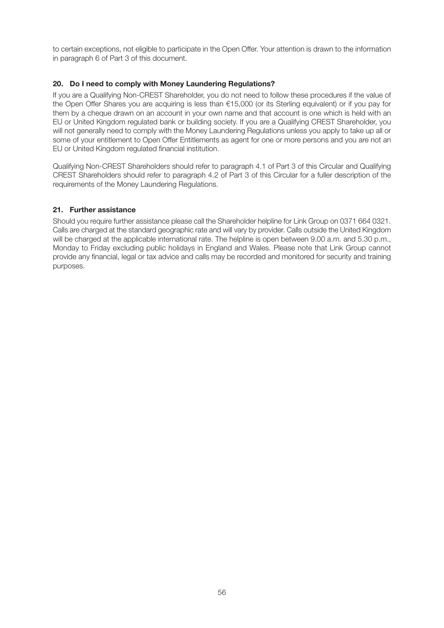to certain exceptions, not eligible to participate in the Open Offer. Your attention is drawn to the information in paragraph 6 of Part 3 of this document.

#### **20. Do I need to comply with Money Laundering Regulations?**

If you are a Qualifying Non-CREST Shareholder, you do not need to follow these procedures if the value of the Open Offer Shares you are acquiring is less than €15,000 (or its Sterling equivalent) or if you pay for them by a cheque drawn on an account in your own name and that account is one which is held with an EU or United Kingdom regulated bank or building society. If you are a Qualifying CREST Shareholder, you will not generally need to comply with the Money Laundering Regulations unless you apply to take up all or some of your entitlement to Open Offer Entitlements as agent for one or more persons and you are not an EU or United Kingdom regulated financial institution.

Qualifying Non-CREST Shareholders should refer to paragraph 4.1 of Part 3 of this Circular and Qualifying CREST Shareholders should refer to paragraph 4.2 of Part 3 of this Circular for a fuller description of the requirements of the Money Laundering Regulations.

#### **21. Further assistance**

Should you require further assistance please call the Shareholder helpline for Link Group on 0371 664 0321. Calls are charged at the standard geographic rate and will vary by provider. Calls outside the United Kingdom will be charged at the applicable international rate. The helpline is open between 9.00 a.m. and 5.30 p.m., Monday to Friday excluding public holidays in England and Wales. Please note that Link Group cannot provide any financial, legal or tax advice and calls may be recorded and monitored for security and training purposes.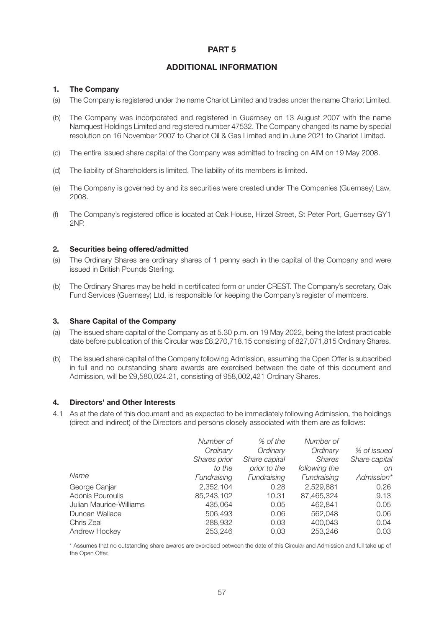#### **PART 5**

#### **ADDITIONAL INFORMATION**

#### **1. The Company**

- (a) The Company is registered under the name Chariot Limited and trades under the name Chariot Limited.
- (b) The Company was incorporated and registered in Guernsey on 13 August 2007 with the name Namquest Holdings Limited and registered number 47532. The Company changed its name by special resolution on 16 November 2007 to Chariot Oil & Gas Limited and in June 2021 to Chariot Limited.
- (c) The entire issued share capital of the Company was admitted to trading on AIM on 19 May 2008.
- (d) The liability of Shareholders is limited. The liability of its members is limited.
- (e) The Company is governed by and its securities were created under The Companies (Guernsey) Law, 2008.
- (f) The Company's registered office is located at Oak House, Hirzel Street, St Peter Port, Guernsey GY1 2NP.

#### **2. Securities being offered/admitted**

- (a) The Ordinary Shares are ordinary shares of 1 penny each in the capital of the Company and were issued in British Pounds Sterling.
- (b) The Ordinary Shares may be held in certificated form or under CREST. The Company's secretary, Oak Fund Services (Guernsey) Ltd, is responsible for keeping the Company's register of members.

#### **3. Share Capital of the Company**

- (a) The issued share capital of the Company as at 5.30 p.m. on 19 May 2022, being the latest practicable date before publication of this Circular was £8,270,718.15 consisting of 827,071,815 Ordinary Shares.
- (b) The issued share capital of the Company following Admission, assuming the Open Offer is subscribed in full and no outstanding share awards are exercised between the date of this document and Admission, will be £9,580,024.21, consisting of 958,002,421 Ordinary Shares.

#### **4. Directors' and Other Interests**

4.1 As at the date of this document and as expected to be immediately following Admission, the holdings (direct and indirect) of the Directors and persons closely associated with them are as follows:

|                         | Number of    | % of the      | Number of     |               |
|-------------------------|--------------|---------------|---------------|---------------|
|                         | Ordinary     | Ordinary      | Ordinary      | % of issued   |
|                         | Shares prior | Share capital | <b>Shares</b> | Share capital |
|                         | to the       | prior to the  | following the | on            |
| Name                    | Fundraising  | Fundraising   | Fundraising   | Admission*    |
| George Canjar           | 2,352,104    | 0.28          | 2,529,881     | 0.26          |
| Adonis Pouroulis        | 85,243,102   | 10.31         | 87,465,324    | 9.13          |
| Julian Maurice-Williams | 435.064      | 0.05          | 462.841       | 0.05          |
| Duncan Wallace          | 506,493      | 0.06          | 562,048       | 0.06          |
| Chris Zeal              | 288,932      | 0.03          | 400.043       | 0.04          |
| Andrew Hockey           | 253.246      | 0.03          | 253,246       | 0.03          |

\* Assumes that no outstanding share awards are exercised between the date of this Circular and Admission and full take up of the Open Offer.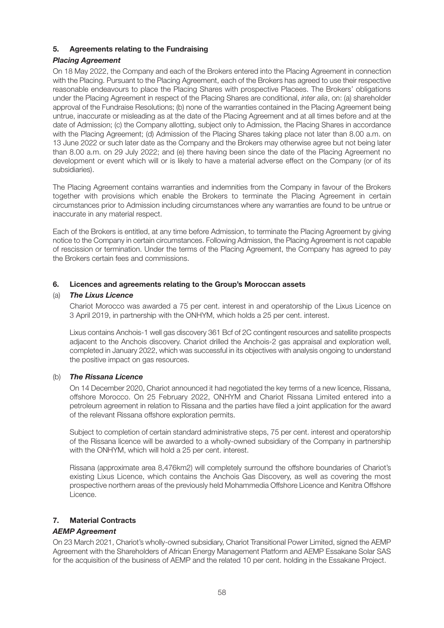#### **5. Agreements relating to the Fundraising**

#### *Placing Agreement*

On 18 May 2022, the Company and each of the Brokers entered into the Placing Agreement in connection with the Placing. Pursuant to the Placing Agreement, each of the Brokers has agreed to use their respective reasonable endeavours to place the Placing Shares with prospective Placees. The Brokers' obligations under the Placing Agreement in respect of the Placing Shares are conditional, inter alia, on: (a) shareholder approval of the Fundraise Resolutions; (b) none of the warranties contained in the Placing Agreement being untrue, inaccurate or misleading as at the date of the Placing Agreement and at all times before and at the date of Admission; (c) the Company allotting, subject only to Admission, the Placing Shares in accordance with the Placing Agreement; (d) Admission of the Placing Shares taking place not later than 8.00 a.m. on 13 June 2022 or such later date as the Company and the Brokers may otherwise agree but not being later than 8.00 a.m. on 29 July 2022; and (e) there having been since the date of the Placing Agreement no development or event which will or is likely to have a material adverse effect on the Company (or of its subsidiaries).

The Placing Agreement contains warranties and indemnities from the Company in favour of the Brokers together with provisions which enable the Brokers to terminate the Placing Agreement in certain circumstances prior to Admission including circumstances where any warranties are found to be untrue or inaccurate in any material respect.

Each of the Brokers is entitled, at any time before Admission, to terminate the Placing Agreement by giving notice to the Company in certain circumstances. Following Admission, the Placing Agreement is not capable of rescission or termination. Under the terms of the Placing Agreement, the Company has agreed to pay the Brokers certain fees and commissions.

#### **6. Licences and agreements relating to the Group's Moroccan assets**

#### (a) *The Lixus Licence*

Chariot Morocco was awarded a 75 per cent. interest in and operatorship of the Lixus Licence on 3 April 2019, in partnership with the ONHYM, which holds a 25 per cent. interest.

Lixus contains Anchois-1 well gas discovery 361 Bcf of 2C contingent resources and satellite prospects adjacent to the Anchois discovery. Chariot drilled the Anchois-2 gas appraisal and exploration well, completed in January 2022, which was successful in its objectives with analysis ongoing to understand the positive impact on gas resources.

#### (b) *The Rissana Licence*

On 14 December 2020, Chariot announced it had negotiated the key terms of a new licence, Rissana, offshore Morocco. On 25 February 2022, ONHYM and Chariot Rissana Limited entered into a petroleum agreement in relation to Rissana and the parties have filed a joint application for the award of the relevant Rissana offshore exploration permits.

Subject to completion of certain standard administrative steps, 75 per cent. interest and operatorship of the Rissana licence will be awarded to a wholly-owned subsidiary of the Company in partnership with the ONHYM, which will hold a 25 per cent. interest.

Rissana (approximate area 8,476km2) will completely surround the offshore boundaries of Chariot's existing Lixus Licence, which contains the Anchois Gas Discovery, as well as covering the most prospective northern areas of the previously held Mohammedia Offshore Licence and Kenitra Offshore Licence.

#### **7. Material Contracts**

#### *AEMP Agreement*

On 23 March 2021, Chariot's wholly-owned subsidiary, Chariot Transitional Power Limited, signed the AEMP Agreement with the Shareholders of African Energy Management Platform and AEMP Essakane Solar SAS for the acquisition of the business of AEMP and the related 10 per cent. holding in the Essakane Project.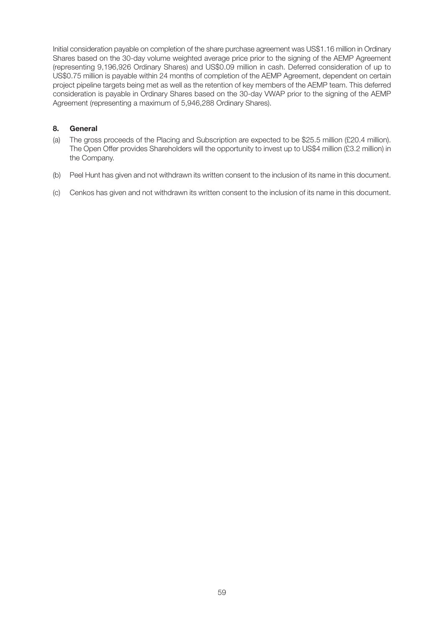Initial consideration payable on completion of the share purchase agreement was US\$1.16 million in Ordinary Shares based on the 30-day volume weighted average price prior to the signing of the AEMP Agreement (representing 9,196,926 Ordinary Shares) and US\$0.09 million in cash. Deferred consideration of up to US\$0.75 million is payable within 24 months of completion of the AEMP Agreement, dependent on certain project pipeline targets being met as well as the retention of key members of the AEMP team. This deferred consideration is payable in Ordinary Shares based on the 30-day VWAP prior to the signing of the AEMP Agreement (representing a maximum of 5,946,288 Ordinary Shares).

#### **8. General**

- (a) The gross proceeds of the Placing and Subscription are expected to be \$25.5 million (£20.4 million). The Open Offer provides Shareholders will the opportunity to invest up to US\$4 million (£3.2 million) in the Company.
- (b) Peel Hunt has given and not withdrawn its written consent to the inclusion of its name in this document.
- (c) Cenkos has given and not withdrawn its written consent to the inclusion of its name in this document.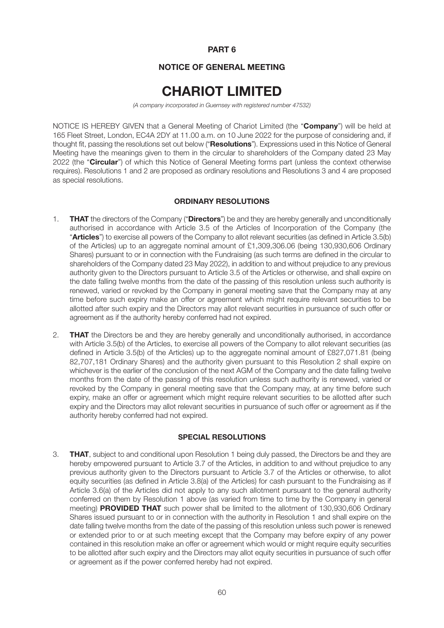#### **PART 6**

#### **NOTICE OF GENERAL MEETING**

# **CHARIOT LIMITED**

(A company incorporated in Guernsey with registered number 47532)

NOTICE IS HEREBY GIVEN that a General Meeting of Chariot Limited (the "**Company**") will be held at 165 Fleet Street, London, EC4A 2DY at 11.00 a.m. on 10 June 2022 for the purpose of considering and, if thought fit, passing the resolutions set out below ("**Resolutions**"). Expressions used in this Notice of General Meeting have the meanings given to them in the circular to shareholders of the Company dated 23 May 2022 (the "**Circular**") of which this Notice of General Meeting forms part (unless the context otherwise requires). Resolutions 1 and 2 are proposed as ordinary resolutions and Resolutions 3 and 4 are proposed as special resolutions.

#### **ORDINARY RESOLUTIONS**

- 1. **THAT** the directors of the Company ("**Directors**") be and they are hereby generally and unconditionally authorised in accordance with Article 3.5 of the Articles of Incorporation of the Company (the "**Articles**") to exercise all powers of the Company to allot relevant securities (as defined in Article 3.5(b) of the Articles) up to an aggregate nominal amount of £1,309,306.06 (being 130,930,606 Ordinary Shares) pursuant to or in connection with the Fundraising (as such terms are defined in the circular to shareholders of the Company dated 23 May 2022), in addition to and without prejudice to any previous authority given to the Directors pursuant to Article 3.5 of the Articles or otherwise, and shall expire on the date falling twelve months from the date of the passing of this resolution unless such authority is renewed, varied or revoked by the Company in general meeting save that the Company may at any time before such expiry make an offer or agreement which might require relevant securities to be allotted after such expiry and the Directors may allot relevant securities in pursuance of such offer or agreement as if the authority hereby conferred had not expired.
- 2. **THAT** the Directors be and they are hereby generally and unconditionally authorised, in accordance with Article 3.5(b) of the Articles, to exercise all powers of the Company to allot relevant securities (as defined in Article 3.5(b) of the Articles) up to the aggregate nominal amount of £827,071.81 (being 82,707,181 Ordinary Shares) and the authority given pursuant to this Resolution 2 shall expire on whichever is the earlier of the conclusion of the next AGM of the Company and the date falling twelve months from the date of the passing of this resolution unless such authority is renewed, varied or revoked by the Company in general meeting save that the Company may, at any time before such expiry, make an offer or agreement which might require relevant securities to be allotted after such expiry and the Directors may allot relevant securities in pursuance of such offer or agreement as if the authority hereby conferred had not expired.

#### **SPECIAL RESOLUTIONS**

3. **THAT**, subject to and conditional upon Resolution 1 being duly passed, the Directors be and they are hereby empowered pursuant to Article 3.7 of the Articles, in addition to and without prejudice to any previous authority given to the Directors pursuant to Article 3.7 of the Articles or otherwise, to allot equity securities (as defined in Article 3.8(a) of the Articles) for cash pursuant to the Fundraising as if Article 3.6(a) of the Articles did not apply to any such allotment pursuant to the general authority conferred on them by Resolution 1 above (as varied from time to time by the Company in general meeting) **PROVIDED THAT** such power shall be limited to the allotment of 130,930,606 Ordinary Shares issued pursuant to or in connection with the authority in Resolution 1 and shall expire on the date falling twelve months from the date of the passing of this resolution unless such power is renewed or extended prior to or at such meeting except that the Company may before expiry of any power contained in this resolution make an offer or agreement which would or might require equity securities to be allotted after such expiry and the Directors may allot equity securities in pursuance of such offer or agreement as if the power conferred hereby had not expired.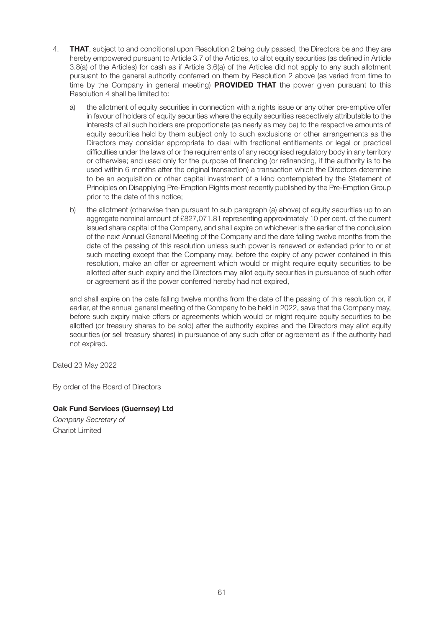- 4. **THAT**, subject to and conditional upon Resolution 2 being duly passed, the Directors be and they are hereby empowered pursuant to Article 3.7 of the Articles, to allot equity securities (as defined in Article 3.8(a) of the Articles) for cash as if Article 3.6(a) of the Articles did not apply to any such allotment pursuant to the general authority conferred on them by Resolution 2 above (as varied from time to time by the Company in general meeting) **PROVIDED THAT** the power given pursuant to this Resolution 4 shall be limited to:
	- a) the allotment of equity securities in connection with a rights issue or any other pre-emptive offer in favour of holders of equity securities where the equity securities respectively attributable to the interests of all such holders are proportionate (as nearly as may be) to the respective amounts of equity securities held by them subject only to such exclusions or other arrangements as the Directors may consider appropriate to deal with fractional entitlements or legal or practical difficulties under the laws of or the requirements of any recognised regulatory body in any territory or otherwise; and used only for the purpose of financing (or refinancing, if the authority is to be used within 6 months after the original transaction) a transaction which the Directors determine to be an acquisition or other capital investment of a kind contemplated by the Statement of Principles on Disapplying Pre-Emption Rights most recently published by the Pre-Emption Group prior to the date of this notice;
	- b) the allotment (otherwise than pursuant to sub paragraph (a) above) of equity securities up to an aggregate nominal amount of £827,071.81 representing approximately 10 per cent. of the current issued share capital of the Company, and shall expire on whichever is the earlier of the conclusion of the next Annual General Meeting of the Company and the date falling twelve months from the date of the passing of this resolution unless such power is renewed or extended prior to or at such meeting except that the Company may, before the expiry of any power contained in this resolution, make an offer or agreement which would or might require equity securities to be allotted after such expiry and the Directors may allot equity securities in pursuance of such offer or agreement as if the power conferred hereby had not expired,

and shall expire on the date falling twelve months from the date of the passing of this resolution or, if earlier, at the annual general meeting of the Company to be held in 2022, save that the Company may, before such expiry make offers or agreements which would or might require equity securities to be allotted (or treasury shares to be sold) after the authority expires and the Directors may allot equity securities (or sell treasury shares) in pursuance of any such offer or agreement as if the authority had not expired.

Dated 23 May 2022

By order of the Board of Directors

#### **Oak Fund Services (Guernsey) Ltd**

Company Secretary of Chariot Limited